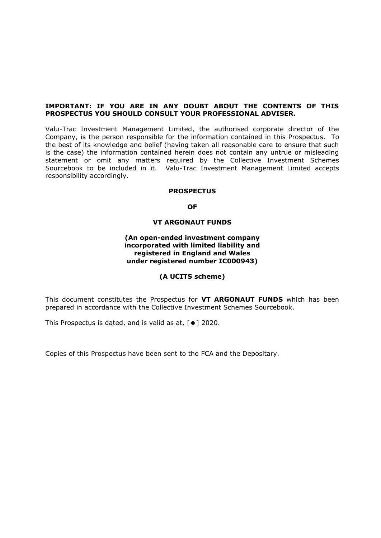#### **IMPORTANT: IF YOU ARE IN ANY DOUBT ABOUT THE CONTENTS OF THIS PROSPECTUS YOU SHOULD CONSULT YOUR PROFESSIONAL ADVISER.**

Valu-Trac Investment Management Limited, the authorised corporate director of the Company, is the person responsible for the information contained in this Prospectus. To the best of its knowledge and belief (having taken all reasonable care to ensure that such is the case) the information contained herein does not contain any untrue or misleading statement or omit any matters required by the Collective Investment Schemes Sourcebook to be included in it. Valu-Trac Investment Management Limited accepts responsibility accordingly.

#### **PROSPECTUS**

#### **OF**

### **VT ARGONAUT FUNDS**

#### **(An open-ended investment company incorporated with limited liability and registered in England and Wales under registered number IC000943)**

#### **(A UCITS scheme)**

This document constitutes the Prospectus for **VT ARGONAUT FUNDS** which has been prepared in accordance with the Collective Investment Schemes Sourcebook.

This Prospectus is dated, and is valid as at,  $[•]$  2020.

Copies of this Prospectus have been sent to the FCA and the Depositary.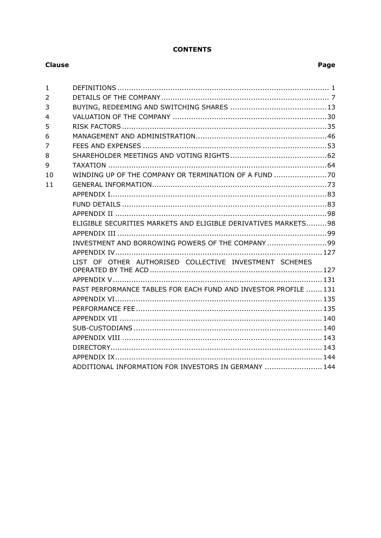# **CONTENTS**

### **Clause**

| $\mathbf{1}$   |                                                                 |  |
|----------------|-----------------------------------------------------------------|--|
| $\overline{2}$ |                                                                 |  |
| 3              |                                                                 |  |
| 4              |                                                                 |  |
| 5              |                                                                 |  |
| 6              |                                                                 |  |
| 7              |                                                                 |  |
| 8              |                                                                 |  |
| 9              |                                                                 |  |
| 10             |                                                                 |  |
| 11             |                                                                 |  |
|                |                                                                 |  |
|                |                                                                 |  |
|                |                                                                 |  |
|                | ELIGIBLE SECURITIES MARKETS AND ELIGIBLE DERIVATIVES MARKETS98  |  |
|                |                                                                 |  |
|                | INVESTMENT AND BORROWING POWERS OF THE COMPANY 99               |  |
|                |                                                                 |  |
|                | LIST OF OTHER AUTHORISED COLLECTIVE INVESTMENT SCHEMES          |  |
|                |                                                                 |  |
|                |                                                                 |  |
|                | PAST PERFORMANCE TABLES FOR EACH FUND AND INVESTOR PROFILE  131 |  |
|                |                                                                 |  |
|                |                                                                 |  |
|                |                                                                 |  |
|                |                                                                 |  |
|                |                                                                 |  |
|                |                                                                 |  |
|                |                                                                 |  |
|                | ADDITIONAL INFORMATION FOR INVESTORS IN GERMANY  144            |  |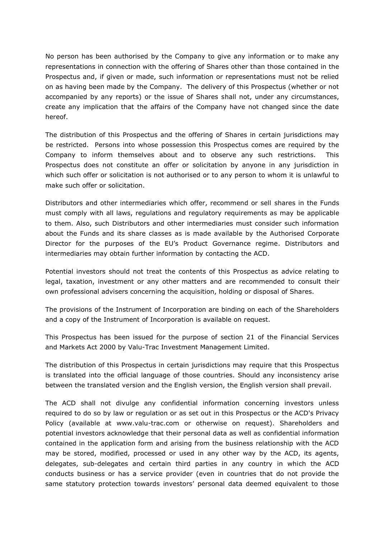No person has been authorised by the Company to give any information or to make any representations in connection with the offering of Shares other than those contained in the Prospectus and, if given or made, such information or representations must not be relied on as having been made by the Company. The delivery of this Prospectus (whether or not accompanied by any reports) or the issue of Shares shall not, under any circumstances, create any implication that the affairs of the Company have not changed since the date hereof.

The distribution of this Prospectus and the offering of Shares in certain jurisdictions may be restricted. Persons into whose possession this Prospectus comes are required by the Company to inform themselves about and to observe any such restrictions. This Prospectus does not constitute an offer or solicitation by anyone in any jurisdiction in which such offer or solicitation is not authorised or to any person to whom it is unlawful to make such offer or solicitation.

Distributors and other intermediaries which offer, recommend or sell shares in the Funds must comply with all laws, regulations and regulatory requirements as may be applicable to them. Also, such Distributors and other intermediaries must consider such information about the Funds and its share classes as is made available by the Authorised Corporate Director for the purposes of the EU's Product Governance regime. Distributors and intermediaries may obtain further information by contacting the ACD.

Potential investors should not treat the contents of this Prospectus as advice relating to legal, taxation, investment or any other matters and are recommended to consult their own professional advisers concerning the acquisition, holding or disposal of Shares.

The provisions of the Instrument of Incorporation are binding on each of the Shareholders and a copy of the Instrument of Incorporation is available on request.

This Prospectus has been issued for the purpose of section 21 of the Financial Services and Markets Act 2000 by Valu-Trac Investment Management Limited.

The distribution of this Prospectus in certain jurisdictions may require that this Prospectus is translated into the official language of those countries. Should any inconsistency arise between the translated version and the English version, the English version shall prevail.

The ACD shall not divulge any confidential information concerning investors unless required to do so by law or regulation or as set out in this Prospectus or the ACD's Privacy Policy (available at www.valu-trac.com or otherwise on request). Shareholders and potential investors acknowledge that their personal data as well as confidential information contained in the application form and arising from the business relationship with the ACD may be stored, modified, processed or used in any other way by the ACD, its agents, delegates, sub-delegates and certain third parties in any country in which the ACD conducts business or has a service provider (even in countries that do not provide the same statutory protection towards investors' personal data deemed equivalent to those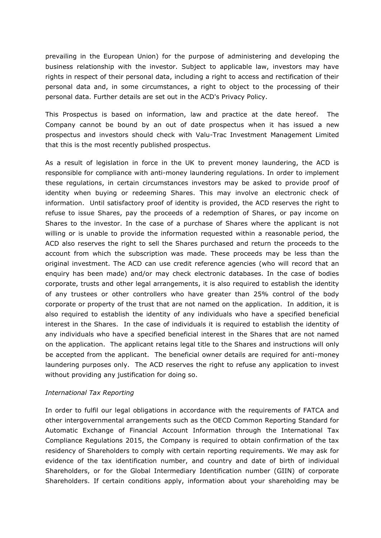prevailing in the European Union) for the purpose of administering and developing the business relationship with the investor. Subject to applicable law, investors may have rights in respect of their personal data, including a right to access and rectification of their personal data and, in some circumstances, a right to object to the processing of their personal data. Further details are set out in the ACD's Privacy Policy.

This Prospectus is based on information, law and practice at the date hereof. The Company cannot be bound by an out of date prospectus when it has issued a new prospectus and investors should check with Valu-Trac Investment Management Limited that this is the most recently published prospectus.

As a result of legislation in force in the UK to prevent money laundering, the ACD is responsible for compliance with anti-money laundering regulations. In order to implement these regulations, in certain circumstances investors may be asked to provide proof of identity when buying or redeeming Shares. This may involve an electronic check of information. Until satisfactory proof of identity is provided, the ACD reserves the right to refuse to issue Shares, pay the proceeds of a redemption of Shares, or pay income on Shares to the investor. In the case of a purchase of Shares where the applicant is not willing or is unable to provide the information requested within a reasonable period, the ACD also reserves the right to sell the Shares purchased and return the proceeds to the account from which the subscription was made. These proceeds may be less than the original investment. The ACD can use credit reference agencies (who will record that an enquiry has been made) and/or may check electronic databases. In the case of bodies corporate, trusts and other legal arrangements, it is also required to establish the identity of any trustees or other controllers who have greater than 25% control of the body corporate or property of the trust that are not named on the application. In addition, it is also required to establish the identity of any individuals who have a specified beneficial interest in the Shares. In the case of individuals it is required to establish the identity of any individuals who have a specified beneficial interest in the Shares that are not named on the application. The applicant retains legal title to the Shares and instructions will only be accepted from the applicant. The beneficial owner details are required for anti-money laundering purposes only. The ACD reserves the right to refuse any application to invest without providing any justification for doing so.

# *International Tax Reporting*

In order to fulfil our legal obligations in accordance with the requirements of FATCA and other intergovernmental arrangements such as the OECD Common Reporting Standard for Automatic Exchange of Financial Account Information through the International Tax Compliance Regulations 2015, the Company is required to obtain confirmation of the tax residency of Shareholders to comply with certain reporting requirements. We may ask for evidence of the tax identification number, and country and date of birth of individual Shareholders, or for the Global Intermediary Identification number (GIIN) of corporate Shareholders. If certain conditions apply, information about your shareholding may be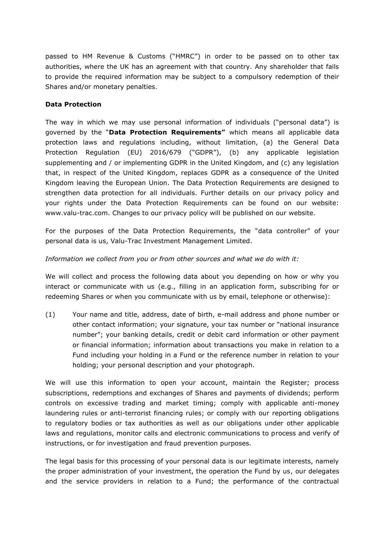passed to HM Revenue & Customs ("HMRC") in order to be passed on to other tax authorities, where the UK has an agreement with that country. Any shareholder that fails to provide the required information may be subject to a compulsory redemption of their Shares and/or monetary penalties.

# **Data Protection**

The way in which we may use personal information of individuals ("personal data") is governed by the "**Data Protection Requirements"** which means all applicable data protection laws and regulations including, without limitation, (a) the General Data Protection Regulation (EU) 2016/679 ("GDPR"), (b) any applicable legislation supplementing and / or implementing GDPR in the United Kingdom, and (c) any legislation that, in respect of the United Kingdom, replaces GDPR as a consequence of the United Kingdom leaving the European Union. The Data Protection Requirements are designed to strengthen data protection for all individuals. Further details on our privacy policy and your rights under the Data Protection Requirements can be found on our website: www.valu-trac.com. Changes to our privacy policy will be published on our website.

For the purposes of the Data Protection Requirements, the "data controller" of your personal data is us, Valu-Trac Investment Management Limited.

### *Information we collect from you or from other sources and what we do with it:*

We will collect and process the following data about you depending on how or why you interact or communicate with us (e.g., filling in an application form, subscribing for or redeeming Shares or when you communicate with us by email, telephone or otherwise):

(1) Your name and title, address, date of birth, e-mail address and phone number or other contact information; your signature, your tax number or "national insurance number"; your banking details, credit or debit card information or other payment or financial information; information about transactions you make in relation to a Fund including your holding in a Fund or the reference number in relation to your holding; your personal description and your photograph.

We will use this information to open your account, maintain the Register; process subscriptions, redemptions and exchanges of Shares and payments of dividends; perform controls on excessive trading and market timing; comply with applicable anti-money laundering rules or anti-terrorist financing rules; or comply with our reporting obligations to regulatory bodies or tax authorities as well as our obligations under other applicable laws and regulations, monitor calls and electronic communications to process and verify of instructions, or for investigation and fraud prevention purposes.

The legal basis for this processing of your personal data is our legitimate interests, namely the proper administration of your investment, the operation the Fund by us, our delegates and the service providers in relation to a Fund; the performance of the contractual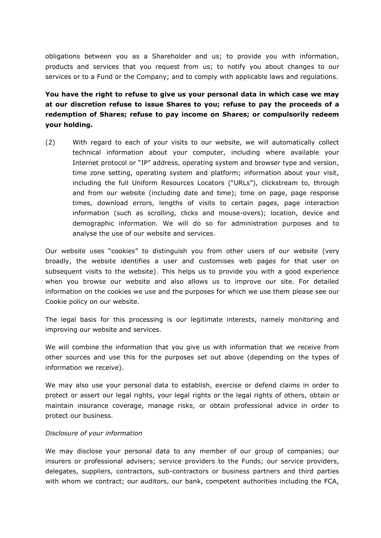obligations between you as a Shareholder and us; to provide you with information, products and services that you request from us; to notify you about changes to our services or to a Fund or the Company; and to comply with applicable laws and regulations.

# **You have the right to refuse to give us your personal data in which case we may at our discretion refuse to issue Shares to you; refuse to pay the proceeds of a redemption of Shares; refuse to pay income on Shares; or compulsorily redeem your holding.**

(2) With regard to each of your visits to our website, we will automatically collect technical information about your computer, including where available your Internet protocol or "IP" address, operating system and browser type and version, time zone setting, operating system and platform; information about your visit, including the full Uniform Resources Locators ("URLs"), clickstream to, through and from our website (including date and time); time on page, page response times, download errors, lengths of visits to certain pages, page interaction information (such as scrolling, clicks and mouse-overs); location, device and demographic information. We will do so for administration purposes and to analyse the use of our website and services.

Our website uses "cookies" to distinguish you from other users of our website (very broadly, the website identifies a user and customises web pages for that user on subsequent visits to the website). This helps us to provide you with a good experience when you browse our website and also allows us to improve our site. For detailed information on the cookies we use and the purposes for which we use them please see our Cookie policy on our website.

The legal basis for this processing is our legitimate interests, namely monitoring and improving our website and services.

We will combine the information that you give us with information that we receive from other sources and use this for the purposes set out above (depending on the types of information we receive).

We may also use your personal data to establish, exercise or defend claims in order to protect or assert our legal rights, your legal rights or the legal rights of others, obtain or maintain insurance coverage, manage risks, or obtain professional advice in order to protect our business.

#### *Disclosure of your information*

We may disclose your personal data to any member of our group of companies; our insurers or professional advisers; service providers to the Funds; our service providers, delegates, suppliers, contractors, sub-contractors or business partners and third parties with whom we contract; our auditors, our bank, competent authorities including the FCA,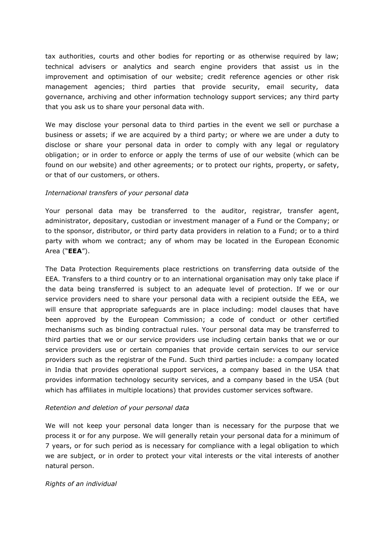tax authorities, courts and other bodies for reporting or as otherwise required by law; technical advisers or analytics and search engine providers that assist us in the improvement and optimisation of our website; credit reference agencies or other risk management agencies; third parties that provide security, email security, data governance, archiving and other information technology support services; any third party that you ask us to share your personal data with.

We may disclose your personal data to third parties in the event we sell or purchase a business or assets; if we are acquired by a third party; or where we are under a duty to disclose or share your personal data in order to comply with any legal or regulatory obligation; or in order to enforce or apply the terms of use of our website (which can be found on our website) and other agreements; or to protect our rights, property, or safety, or that of our customers, or others.

#### *International transfers of your personal data*

Your personal data may be transferred to the auditor, registrar, transfer agent, administrator, depositary, custodian or investment manager of a Fund or the Company; or to the sponsor, distributor, or third party data providers in relation to a Fund; or to a third party with whom we contract; any of whom may be located in the European Economic Area ("**EEA**").

The Data Protection Requirements place restrictions on transferring data outside of the EEA. Transfers to a third country or to an international organisation may only take place if the data being transferred is subject to an adequate level of protection. If we or our service providers need to share your personal data with a recipient outside the EEA, we will ensure that appropriate safeguards are in place including: model clauses that have been approved by the European Commission; a code of conduct or other certified mechanisms such as binding contractual rules. Your personal data may be transferred to third parties that we or our service providers use including certain banks that we or our service providers use or certain companies that provide certain services to our service providers such as the registrar of the Fund. Such third parties include: a company located in India that provides operational support services, a company based in the USA that provides information technology security services, and a company based in the USA (but which has affiliates in multiple locations) that provides customer services software.

# *Retention and deletion of your personal data*

We will not keep your personal data longer than is necessary for the purpose that we process it or for any purpose. We will generally retain your personal data for a minimum of 7 years, or for such period as is necessary for compliance with a legal obligation to which we are subject, or in order to protect your vital interests or the vital interests of another natural person.

# *Rights of an individual*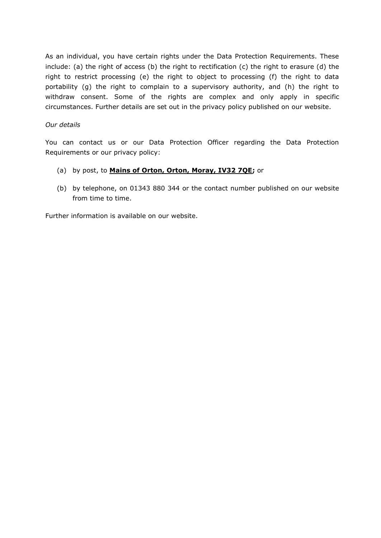As an individual, you have certain rights under the Data Protection Requirements. These include: (a) the right of access (b) the right to rectification (c) the right to erasure (d) the right to restrict processing (e) the right to object to processing (f) the right to data portability (g) the right to complain to a supervisory authority, and (h) the right to withdraw consent. Some of the rights are complex and only apply in specific circumstances. Further details are set out in the privacy policy published on our website.

### *Our details*

You can contact us or our Data Protection Officer regarding the Data Protection Requirements or our privacy policy:

- (a) by post, to **Mains of Orton, Orton, Moray, IV32 7QE;** or
- (b) by telephone, on 01343 880 344 or the contact number published on our website from time to time.

Further information is available on our website.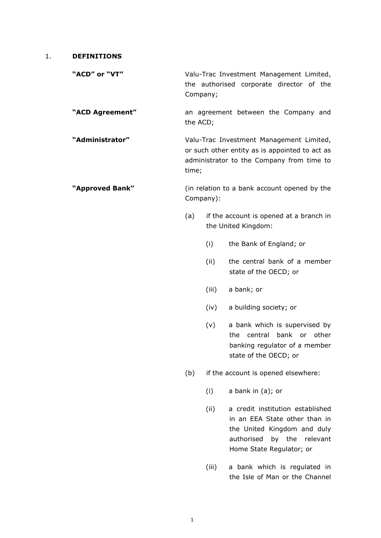#### 1. **DEFINITIONS**

"ACD" or "VT" Valu-Trac Investment Management Limited, the authorised corporate director of the Company;

**"ACD Agreement"** an agreement between the Company and the ACD;

**"Administrator"** Valu-Trac Investment Management Limited, or such other entity as is appointed to act as administrator to the Company from time to time;

**"Approved Bank"** (in relation to a bank account opened by the Company):

- (a) if the account is opened at a branch in the United Kingdom:
	- (i) the Bank of England; or
	- (ii) the central bank of a member state of the OECD; or
	- (iii) a bank; or
	- (iv) a building society; or
	- (v) a bank which is supervised by the central bank or other banking regulator of a member state of the OECD; or

(b) if the account is opened elsewhere:

(i) a bank in (a); or

- (ii) a credit institution established in an EEA State other than in the United Kingdom and duly authorised by the relevant Home State Regulator; or
- (iii) a bank which is regulated in the Isle of Man or the Channel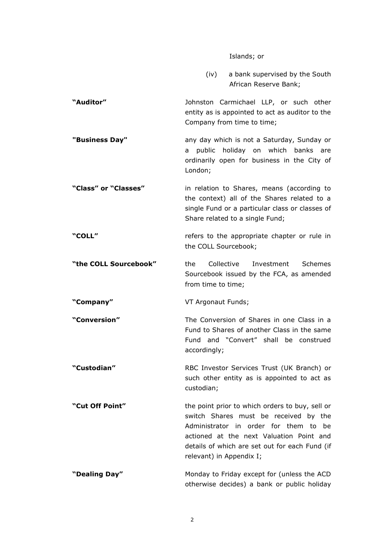#### Islands; or

(iv) a bank supervised by the South African Reserve Bank;

**"Auditor"** Johnston Carmichael LLP, or such other entity as is appointed to act as auditor to the Company from time to time;

**"Business Day" any day which is not a Saturday, Sunday or** a public holiday on which banks are ordinarily open for business in the City of London;

**"Class" or "Classes"** in relation to Shares, means (according to the context) all of the Shares related to a single Fund or a particular class or classes of Share related to a single Fund;

**"COLL"** refers to the appropriate chapter or rule in the COLL Sourcebook;

**"the COLL Sourcebook"** the Collective Investment Schemes Sourcebook issued by the FCA, as amended from time to time;

**"Company"** VT Argonaut Funds;

**"Conversion"** The Conversion of Shares in one Class in a Fund to Shares of another Class in the same Fund and "Convert" shall be construed accordingly;

**"Custodian"** RBC Investor Services Trust (UK Branch) or such other entity as is appointed to act as custodian;

**"Cut Off Point"** the point prior to which orders to buy, sell or switch Shares must be received by the Administrator in order for them to be actioned at the next Valuation Point and details of which are set out for each Fund (if relevant) in Appendix I;

**"Dealing Day"** Monday to Friday except for (unless the ACD otherwise decides) a bank or public holiday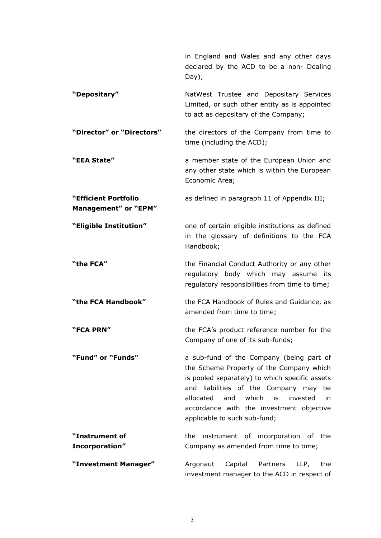|                                              | in England and Wales and any other days<br>declared by the ACD to be a non- Dealing<br>Day);                                                                                                                                                                                                                         |  |  |  |  |  |
|----------------------------------------------|----------------------------------------------------------------------------------------------------------------------------------------------------------------------------------------------------------------------------------------------------------------------------------------------------------------------|--|--|--|--|--|
| "Depositary"                                 | NatWest Trustee and Depositary Services<br>Limited, or such other entity as is appointed<br>to act as depositary of the Company;                                                                                                                                                                                     |  |  |  |  |  |
| "Director" or "Directors"                    | the directors of the Company from time to<br>time (including the ACD);                                                                                                                                                                                                                                               |  |  |  |  |  |
| "EEA State"                                  | a member state of the European Union and<br>any other state which is within the European<br>Economic Area;                                                                                                                                                                                                           |  |  |  |  |  |
| "Efficient Portfolio<br>Management" or "EPM" | as defined in paragraph 11 of Appendix III;                                                                                                                                                                                                                                                                          |  |  |  |  |  |
| "Eligible Institution"                       | one of certain eligible institutions as defined<br>in the glossary of definitions to the FCA<br>Handbook;                                                                                                                                                                                                            |  |  |  |  |  |
| "the FCA"                                    | the Financial Conduct Authority or any other<br>regulatory body which may assume<br>its:<br>regulatory responsibilities from time to time;                                                                                                                                                                           |  |  |  |  |  |
| "the FCA Handbook"                           | the FCA Handbook of Rules and Guidance, as<br>amended from time to time;                                                                                                                                                                                                                                             |  |  |  |  |  |
| "FCA PRN"                                    | the FCA's product reference number for the<br>Company of one of its sub-funds;                                                                                                                                                                                                                                       |  |  |  |  |  |
| "Fund" or "Funds"                            | a sub-fund of the Company (being part of<br>the Scheme Property of the Company which<br>is pooled separately) to which specific assets<br>and liabilities of the Company may<br>be<br>allocated<br>and<br>which<br>invested<br>is<br>in.<br>accordance with the investment objective<br>applicable to such sub-fund; |  |  |  |  |  |
| "Instrument of                               | instrument of incorporation of the<br>the                                                                                                                                                                                                                                                                            |  |  |  |  |  |
| Incorporation"                               | Company as amended from time to time;                                                                                                                                                                                                                                                                                |  |  |  |  |  |
| "Investment Manager"                         | Argonaut<br>Partners<br>LLP,<br>Capital<br>the<br>investment manager to the ACD in respect of                                                                                                                                                                                                                        |  |  |  |  |  |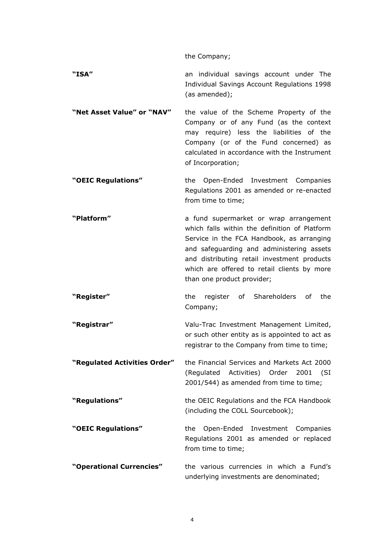the Company;

**"ISA"** an individual savings account under The Individual Savings Account Regulations 1998 (as amended);

**"Net Asset Value" or "NAV"** the value of the Scheme Property of the Company or of any Fund (as the context may require) less the liabilities of the Company (or of the Fund concerned) as calculated in accordance with the Instrument of Incorporation;

**"OEIC Regulations"** the Open-Ended Investment Companies Regulations 2001 as amended or re-enacted from time to time;

**"Platform"** a fund supermarket or wrap arrangement which falls within the definition of Platform Service in the FCA Handbook, as arranging and safeguarding and administering assets and distributing retail investment products which are offered to retail clients by more than one product provider;

**"Register"** the register of Shareholders of the Company;

**"Registrar"** Valu-Trac Investment Management Limited, or such other entity as is appointed to act as registrar to the Company from time to time;

**"Regulated Activities Order"** the Financial Services and Markets Act 2000 (Regulated Activities) Order 2001 (SI 2001/544) as amended from time to time;

**"Regulations"** the OEIC Regulations and the FCA Handbook (including the COLL Sourcebook);

**"OEIC Regulations"** the Open-Ended Investment Companies Regulations 2001 as amended or replaced from time to time;

**"Operational Currencies"** the various currencies in which a Fund's underlying investments are denominated;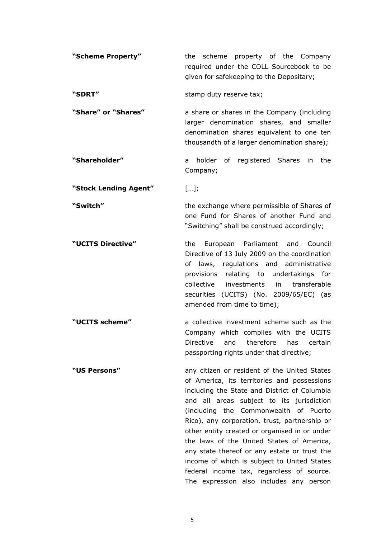| "Scheme Property" |                                          |  |  |  |                                          | the scheme property of the Company |  |  |
|-------------------|------------------------------------------|--|--|--|------------------------------------------|------------------------------------|--|--|
|                   |                                          |  |  |  | required under the COLL Sourcebook to be |                                    |  |  |
|                   | given for safekeeping to the Depositary; |  |  |  |                                          |                                    |  |  |
|                   |                                          |  |  |  |                                          |                                    |  |  |

"**SDRT"** stamp duty reserve tax;

**"Share" or "Shares"** a share or shares in the Company (including larger denomination shares, and smaller denomination shares equivalent to one ten thousandth of a larger denomination share);

**"Shareholder"** a holder of registered Shares in the Company;

**"Stock Lending Agent"** […];

**"Switch"** the exchange where permissible of Shares of

**"UCITS Directive"** the European Parliament and Council Directive of 13 July 2009 on the coordination of laws, regulations and administrative provisions relating to undertakings for collective investments in transferable securities (UCITS) (No. 2009/65/EC) (as amended from time to time);

one Fund for Shares of another Fund and "Switching" shall be construed accordingly;

**"UCITS scheme"** a collective investment scheme such as the Company which complies with the UCITS Directive and therefore has certain passporting rights under that directive;

**"US Persons"** any citizen or resident of the United States of America, its territories and possessions including the State and District of Columbia and all areas subject to its jurisdiction (including the Commonwealth of Puerto Rico), any corporation, trust, partnership or other entity created or organised in or under the laws of the United States of America, any state thereof or any estate or trust the income of which is subject to United States federal income tax, regardless of source. The expression also includes any person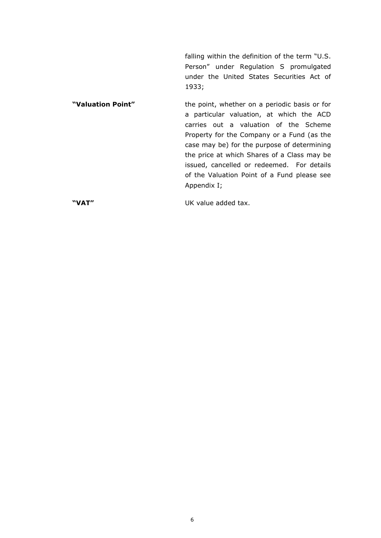falling within the definition of the term "U.S. Person" under Regulation S promulgated under the United States Securities Act of 1933;

**"Valuation Point"** the point, whether on a periodic basis or for a particular valuation, at which the ACD carries out a valuation of the Scheme Property for the Company or a Fund (as the case may be) for the purpose of determining the price at which Shares of a Class may be issued, cancelled or redeemed. For details of the Valuation Point of a Fund please see Appendix I;

**"VAT"** UK value added tax.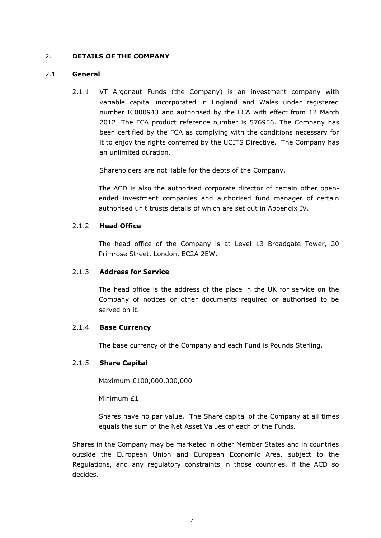# 2. **DETAILS OF THE COMPANY**

### 2.1 **General**

2.1.1 VT Argonaut Funds (the Company) is an investment company with variable capital incorporated in England and Wales under registered number IC000943 and authorised by the FCA with effect from 12 March 2012. The FCA product reference number is 576956. The Company has been certified by the FCA as complying with the conditions necessary for it to enjoy the rights conferred by the UCITS Directive. The Company has an unlimited duration.

Shareholders are not liable for the debts of the Company.

The ACD is also the authorised corporate director of certain other openended investment companies and authorised fund manager of certain authorised unit trusts details of which are set out in Appendix IV.

### 2.1.2 **Head Office**

The head office of the Company is at Level 13 Broadgate Tower, 20 Primrose Street, London, EC2A 2EW.

# 2.1.3 **Address for Service**

The head office is the address of the place in the UK for service on the Company of notices or other documents required or authorised to be served on it.

# 2.1.4 **Base Currency**

The base currency of the Company and each Fund is Pounds Sterling.

#### 2.1.5 **Share Capital**

Maximum £100,000,000,000

Minimum £1

Shares have no par value. The Share capital of the Company at all times equals the sum of the Net Asset Values of each of the Funds.

Shares in the Company may be marketed in other Member States and in countries outside the European Union and European Economic Area, subject to the Regulations, and any regulatory constraints in those countries, if the ACD so decides.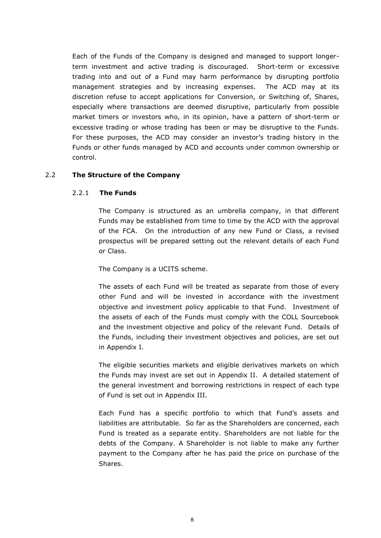Each of the Funds of the Company is designed and managed to support longerterm investment and active trading is discouraged. Short-term or excessive trading into and out of a Fund may harm performance by disrupting portfolio management strategies and by increasing expenses. The ACD may at its discretion refuse to accept applications for Conversion, or Switching of, Shares, especially where transactions are deemed disruptive, particularly from possible market timers or investors who, in its opinion, have a pattern of short-term or excessive trading or whose trading has been or may be disruptive to the Funds. For these purposes, the ACD may consider an investor's trading history in the Funds or other funds managed by ACD and accounts under common ownership or control.

# 2.2 **The Structure of the Company**

# 2.2.1 **The Funds**

The Company is structured as an umbrella company, in that different Funds may be established from time to time by the ACD with the approval of the FCA. On the introduction of any new Fund or Class, a revised prospectus will be prepared setting out the relevant details of each Fund or Class.

The Company is a UCITS scheme.

The assets of each Fund will be treated as separate from those of every other Fund and will be invested in accordance with the investment objective and investment policy applicable to that Fund. Investment of the assets of each of the Funds must comply with the COLL Sourcebook and the investment objective and policy of the relevant Fund. Details of the Funds, including their investment objectives and policies, are set out in Appendix I.

The eligible securities markets and eligible derivatives markets on which the Funds may invest are set out in Appendix II. A detailed statement of the general investment and borrowing restrictions in respect of each type of Fund is set out in Appendix III.

Each Fund has a specific portfolio to which that Fund's assets and liabilities are attributable. So far as the Shareholders are concerned, each Fund is treated as a separate entity. Shareholders are not liable for the debts of the Company. A Shareholder is not liable to make any further payment to the Company after he has paid the price on purchase of the Shares.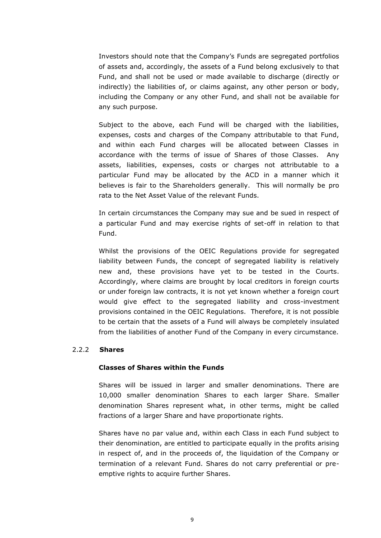Investors should note that the Company's Funds are segregated portfolios of assets and, accordingly, the assets of a Fund belong exclusively to that Fund, and shall not be used or made available to discharge (directly or indirectly) the liabilities of, or claims against, any other person or body, including the Company or any other Fund, and shall not be available for any such purpose.

Subject to the above, each Fund will be charged with the liabilities, expenses, costs and charges of the Company attributable to that Fund, and within each Fund charges will be allocated between Classes in accordance with the terms of issue of Shares of those Classes. Any assets, liabilities, expenses, costs or charges not attributable to a particular Fund may be allocated by the ACD in a manner which it believes is fair to the Shareholders generally. This will normally be pro rata to the Net Asset Value of the relevant Funds.

In certain circumstances the Company may sue and be sued in respect of a particular Fund and may exercise rights of set-off in relation to that Fund.

Whilst the provisions of the OEIC Regulations provide for segregated liability between Funds, the concept of segregated liability is relatively new and, these provisions have yet to be tested in the Courts. Accordingly, where claims are brought by local creditors in foreign courts or under foreign law contracts, it is not yet known whether a foreign court would give effect to the segregated liability and cross-investment provisions contained in the OEIC Regulations. Therefore, it is not possible to be certain that the assets of a Fund will always be completely insulated from the liabilities of another Fund of the Company in every circumstance.

#### 2.2.2 **Shares**

#### **Classes of Shares within the Funds**

Shares will be issued in larger and smaller denominations. There are 10,000 smaller denomination Shares to each larger Share. Smaller denomination Shares represent what, in other terms, might be called fractions of a larger Share and have proportionate rights.

Shares have no par value and, within each Class in each Fund subject to their denomination, are entitled to participate equally in the profits arising in respect of, and in the proceeds of, the liquidation of the Company or termination of a relevant Fund. Shares do not carry preferential or preemptive rights to acquire further Shares.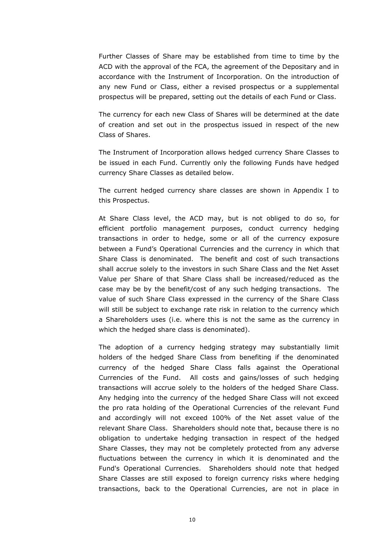Further Classes of Share may be established from time to time by the ACD with the approval of the FCA, the agreement of the Depositary and in accordance with the Instrument of Incorporation. On the introduction of any new Fund or Class, either a revised prospectus or a supplemental prospectus will be prepared, setting out the details of each Fund or Class.

The currency for each new Class of Shares will be determined at the date of creation and set out in the prospectus issued in respect of the new Class of Shares.

The Instrument of Incorporation allows hedged currency Share Classes to be issued in each Fund. Currently only the following Funds have hedged currency Share Classes as detailed below.

The current hedged currency share classes are shown in Appendix I to this Prospectus.

At Share Class level, the ACD may, but is not obliged to do so, for efficient portfolio management purposes, conduct currency hedging transactions in order to hedge, some or all of the currency exposure between a Fund's Operational Currencies and the currency in which that Share Class is denominated. The benefit and cost of such transactions shall accrue solely to the investors in such Share Class and the Net Asset Value per Share of that Share Class shall be increased/reduced as the case may be by the benefit/cost of any such hedging transactions. The value of such Share Class expressed in the currency of the Share Class will still be subject to exchange rate risk in relation to the currency which a Shareholders uses (i.e. where this is not the same as the currency in which the hedged share class is denominated).

The adoption of a currency hedging strategy may substantially limit holders of the hedged Share Class from benefiting if the denominated currency of the hedged Share Class falls against the Operational Currencies of the Fund. All costs and gains/losses of such hedging transactions will accrue solely to the holders of the hedged Share Class. Any hedging into the currency of the hedged Share Class will not exceed the pro rata holding of the Operational Currencies of the relevant Fund and accordingly will not exceed 100% of the Net asset value of the relevant Share Class. Shareholders should note that, because there is no obligation to undertake hedging transaction in respect of the hedged Share Classes, they may not be completely protected from any adverse fluctuations between the currency in which it is denominated and the Fund's Operational Currencies. Shareholders should note that hedged Share Classes are still exposed to foreign currency risks where hedging transactions, back to the Operational Currencies, are not in place in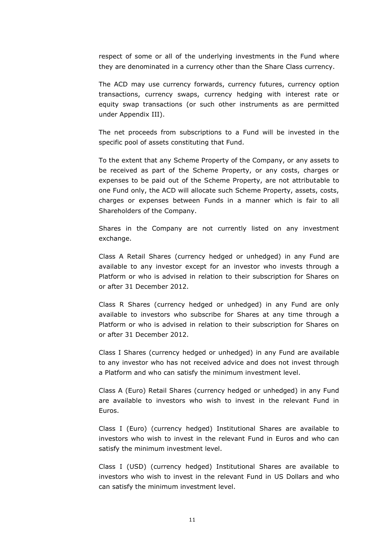respect of some or all of the underlying investments in the Fund where they are denominated in a currency other than the Share Class currency.

The ACD may use currency forwards, currency futures, currency option transactions, currency swaps, currency hedging with interest rate or equity swap transactions (or such other instruments as are permitted under Appendix III).

The net proceeds from subscriptions to a Fund will be invested in the specific pool of assets constituting that Fund.

To the extent that any Scheme Property of the Company, or any assets to be received as part of the Scheme Property, or any costs, charges or expenses to be paid out of the Scheme Property, are not attributable to one Fund only, the ACD will allocate such Scheme Property, assets, costs, charges or expenses between Funds in a manner which is fair to all Shareholders of the Company.

Shares in the Company are not currently listed on any investment exchange.

Class A Retail Shares (currency hedged or unhedged) in any Fund are available to any investor except for an investor who invests through a Platform or who is advised in relation to their subscription for Shares on or after 31 December 2012.

Class R Shares (currency hedged or unhedged) in any Fund are only available to investors who subscribe for Shares at any time through a Platform or who is advised in relation to their subscription for Shares on or after 31 December 2012.

Class I Shares (currency hedged or unhedged) in any Fund are available to any investor who has not received advice and does not invest through a Platform and who can satisfy the minimum investment level.

Class A (Euro) Retail Shares (currency hedged or unhedged) in any Fund are available to investors who wish to invest in the relevant Fund in Euros.

Class I (Euro) (currency hedged) Institutional Shares are available to investors who wish to invest in the relevant Fund in Euros and who can satisfy the minimum investment level.

Class I (USD) (currency hedged) Institutional Shares are available to investors who wish to invest in the relevant Fund in US Dollars and who can satisfy the minimum investment level.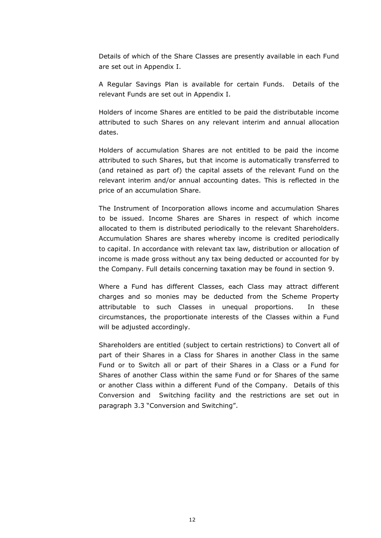Details of which of the Share Classes are presently available in each Fund are set out in Appendix I.

A Regular Savings Plan is available for certain Funds. Details of the relevant Funds are set out in Appendix I.

Holders of income Shares are entitled to be paid the distributable income attributed to such Shares on any relevant interim and annual allocation dates.

Holders of accumulation Shares are not entitled to be paid the income attributed to such Shares, but that income is automatically transferred to (and retained as part of) the capital assets of the relevant Fund on the relevant interim and/or annual accounting dates. This is reflected in the price of an accumulation Share.

The Instrument of Incorporation allows income and accumulation Shares to be issued. Income Shares are Shares in respect of which income allocated to them is distributed periodically to the relevant Shareholders. Accumulation Shares are shares whereby income is credited periodically to capital. In accordance with relevant tax law, distribution or allocation of income is made gross without any tax being deducted or accounted for by the Company. Full details concerning taxation may be found in section [9.](#page-71-0)

Where a Fund has different Classes, each Class may attract different charges and so monies may be deducted from the Scheme Property attributable to such Classes in unequal proportions. In these circumstances, the proportionate interests of the Classes within a Fund will be adjusted accordingly.

Shareholders are entitled (subject to certain restrictions) to Convert all of part of their Shares in a Class for Shares in another Class in the same Fund or to Switch all or part of their Shares in a Class or a Fund for Shares of another Class within the same Fund or for Shares of the same or another Class within a different Fund of the Company. Details of this Conversion and Switching facility and the restrictions are set out in paragraph [3.3](#page-25-0) "Conversion and Switching".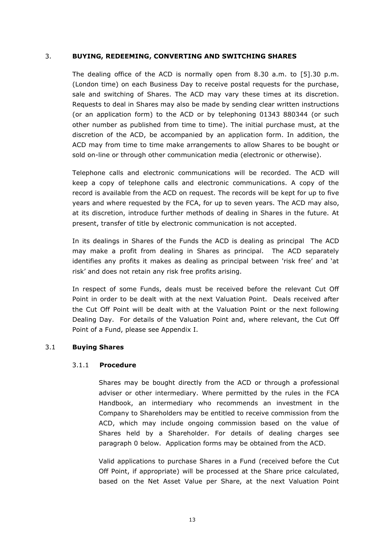# 3. **BUYING, REDEEMING, CONVERTING AND SWITCHING SHARES**

The dealing office of the ACD is normally open from 8.30 a.m. to [5].30 p.m. (London time) on each Business Day to receive postal requests for the purchase, sale and switching of Shares. The ACD may vary these times at its discretion. Requests to deal in Shares may also be made by sending clear written instructions (or an application form) to the ACD or by telephoning 01343 880344 (or such other number as published from time to time). The initial purchase must, at the discretion of the ACD, be accompanied by an application form. In addition, the ACD may from time to time make arrangements to allow Shares to be bought or sold on-line or through other communication media (electronic or otherwise).

Telephone calls and electronic communications will be recorded. The ACD will keep a copy of telephone calls and electronic communications. A copy of the record is available from the ACD on request. The records will be kept for up to five years and where requested by the FCA, for up to seven years. The ACD may also, at its discretion, introduce further methods of dealing in Shares in the future. At present, transfer of title by electronic communication is not accepted.

In its dealings in Shares of the Funds the ACD is dealing as principal The ACD may make a profit from dealing in Shares as principal. The ACD separately identifies any profits it makes as dealing as principal between 'risk free' and 'at risk' and does not retain any risk free profits arising.

In respect of some Funds, deals must be received before the relevant Cut Off Point in order to be dealt with at the next Valuation Point. Deals received after the Cut Off Point will be dealt with at the Valuation Point or the next following Dealing Day. For details of the Valuation Point and, where relevant, the Cut Off Point of a Fund, please see Appendix I.

# 3.1 **Buying Shares**

#### 3.1.1 **Procedure**

Shares may be bought directly from the ACD or through a professional adviser or other intermediary. Where permitted by the rules in the FCA Handbook, an intermediary who recommends an investment in the Company to Shareholders may be entitled to receive commission from the ACD, which may include ongoing commission based on the value of Shares held by a Shareholder. For details of dealing charges see paragraph [0](#page-27-0) below. Application forms may be obtained from the ACD.

Valid applications to purchase Shares in a Fund (received before the Cut Off Point, if appropriate) will be processed at the Share price calculated, based on the Net Asset Value per Share, at the next Valuation Point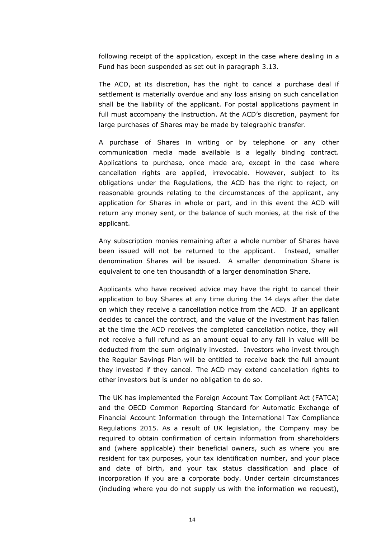following receipt of the application, except in the case where dealing in a Fund has been suspended as set out in paragraph 3.13.

The ACD, at its discretion, has the right to cancel a purchase deal if settlement is materially overdue and any loss arising on such cancellation shall be the liability of the applicant. For postal applications payment in full must accompany the instruction. At the ACD's discretion, payment for large purchases of Shares may be made by telegraphic transfer.

A purchase of Shares in writing or by telephone or any other communication media made available is a legally binding contract. Applications to purchase, once made are, except in the case where cancellation rights are applied, irrevocable. However, subject to its obligations under the Regulations, the ACD has the right to reject, on reasonable grounds relating to the circumstances of the applicant, any application for Shares in whole or part, and in this event the ACD will return any money sent, or the balance of such monies, at the risk of the applicant.

Any subscription monies remaining after a whole number of Shares have been issued will not be returned to the applicant. Instead, smaller denomination Shares will be issued. A smaller denomination Share is equivalent to one ten thousandth of a larger denomination Share.

Applicants who have received advice may have the right to cancel their application to buy Shares at any time during the 14 days after the date on which they receive a cancellation notice from the ACD. If an applicant decides to cancel the contract, and the value of the investment has fallen at the time the ACD receives the completed cancellation notice, they will not receive a full refund as an amount equal to any fall in value will be deducted from the sum originally invested. Investors who invest through the Regular Savings Plan will be entitled to receive back the full amount they invested if they cancel. The ACD may extend cancellation rights to other investors but is under no obligation to do so.

The UK has implemented the Foreign Account Tax Compliant Act (FATCA) and the OECD Common Reporting Standard for Automatic Exchange of Financial Account Information through the International Tax Compliance Regulations 2015. As a result of UK legislation, the Company may be required to obtain confirmation of certain information from shareholders and (where applicable) their beneficial owners, such as where you are resident for tax purposes, your tax identification number, and your place and date of birth, and your tax status classification and place of incorporation if you are a corporate body. Under certain circumstances (including where you do not supply us with the information we request),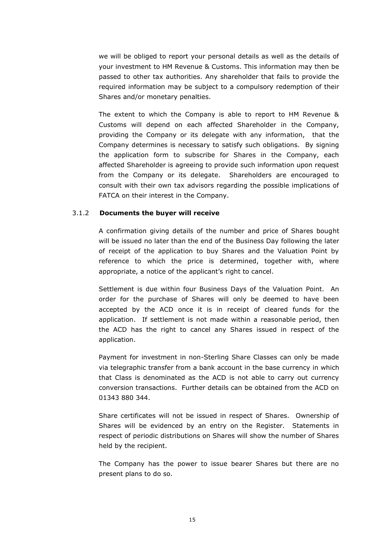we will be obliged to report your personal details as well as the details of your investment to HM Revenue & Customs. This information may then be passed to other tax authorities. Any shareholder that fails to provide the required information may be subject to a compulsory redemption of their Shares and/or monetary penalties.

The extent to which the Company is able to report to HM Revenue & Customs will depend on each affected Shareholder in the Company, providing the Company or its delegate with any information, that the Company determines is necessary to satisfy such obligations. By signing the application form to subscribe for Shares in the Company, each affected Shareholder is agreeing to provide such information upon request from the Company or its delegate. Shareholders are encouraged to consult with their own tax advisors regarding the possible implications of FATCA on their interest in the Company.

### 3.1.2 **Documents the buyer will receive**

A confirmation giving details of the number and price of Shares bought will be issued no later than the end of the Business Day following the later of receipt of the application to buy Shares and the Valuation Point by reference to which the price is determined, together with, where appropriate, a notice of the applicant's right to cancel.

Settlement is due within four Business Days of the Valuation Point. An order for the purchase of Shares will only be deemed to have been accepted by the ACD once it is in receipt of cleared funds for the application. If settlement is not made within a reasonable period, then the ACD has the right to cancel any Shares issued in respect of the application.

Payment for investment in non-Sterling Share Classes can only be made via telegraphic transfer from a bank account in the base currency in which that Class is denominated as the ACD is not able to carry out currency conversion transactions. Further details can be obtained from the ACD on 01343 880 344.

Share certificates will not be issued in respect of Shares. Ownership of Shares will be evidenced by an entry on the Register. Statements in respect of periodic distributions on Shares will show the number of Shares held by the recipient.

The Company has the power to issue bearer Shares but there are no present plans to do so.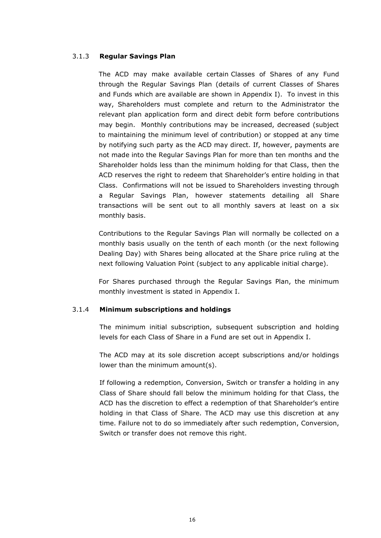# 3.1.3 **Regular Savings Plan**

The ACD may make available certain Classes of Shares of any Fund through the Regular Savings Plan (details of current Classes of Shares and Funds which are available are shown in Appendix I). To invest in this way, Shareholders must complete and return to the Administrator the relevant plan application form and direct debit form before contributions may begin. Monthly contributions may be increased, decreased (subject to maintaining the minimum level of contribution) or stopped at any time by notifying such party as the ACD may direct. If, however, payments are not made into the Regular Savings Plan for more than ten months and the Shareholder holds less than the minimum holding for that Class, then the ACD reserves the right to redeem that Shareholder's entire holding in that Class. Confirmations will not be issued to Shareholders investing through a Regular Savings Plan, however statements detailing all Share transactions will be sent out to all monthly savers at least on a six monthly basis.

Contributions to the Regular Savings Plan will normally be collected on a monthly basis usually on the tenth of each month (or the next following Dealing Day) with Shares being allocated at the Share price ruling at the next following Valuation Point (subject to any applicable initial charge).

For Shares purchased through the Regular Savings Plan, the minimum monthly investment is stated in Appendix I.

# 3.1.4 **Minimum subscriptions and holdings**

The minimum initial subscription, subsequent subscription and holding levels for each Class of Share in a Fund are set out in Appendix I.

The ACD may at its sole discretion accept subscriptions and/or holdings lower than the minimum amount(s).

If following a redemption, Conversion, Switch or transfer a holding in any Class of Share should fall below the minimum holding for that Class, the ACD has the discretion to effect a redemption of that Shareholder's entire holding in that Class of Share. The ACD may use this discretion at any time. Failure not to do so immediately after such redemption, Conversion, Switch or transfer does not remove this right.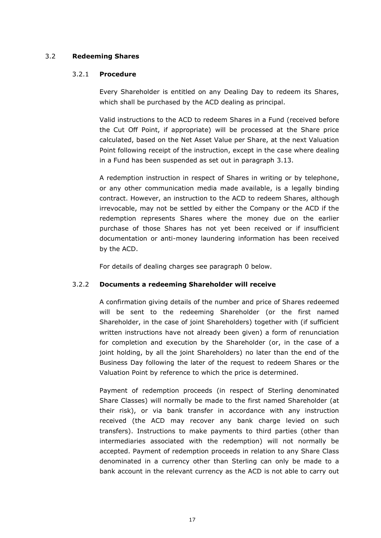# 3.2 **Redeeming Shares**

# 3.2.1 **Procedure**

Every Shareholder is entitled on any Dealing Day to redeem its Shares, which shall be purchased by the ACD dealing as principal.

Valid instructions to the ACD to redeem Shares in a Fund (received before the Cut Off Point, if appropriate) will be processed at the Share price calculated, based on the Net Asset Value per Share, at the next Valuation Point following receipt of the instruction, except in the case where dealing in a Fund has been suspended as set out in paragraph 3.13.

A redemption instruction in respect of Shares in writing or by telephone, or any other communication media made available, is a legally binding contract. However, an instruction to the ACD to redeem Shares, although irrevocable, may not be settled by either the Company or the ACD if the redemption represents Shares where the money due on the earlier purchase of those Shares has not yet been received or if insufficient documentation or anti-money laundering information has been received by the ACD.

For details of dealing charges see paragraph [0](#page-27-0) below.

# 3.2.2 **Documents a redeeming Shareholder will receive**

A confirmation giving details of the number and price of Shares redeemed will be sent to the redeeming Shareholder (or the first named Shareholder, in the case of joint Shareholders) together with (if sufficient written instructions have not already been given) a form of renunciation for completion and execution by the Shareholder (or, in the case of a joint holding, by all the joint Shareholders) no later than the end of the Business Day following the later of the request to redeem Shares or the Valuation Point by reference to which the price is determined.

Payment of redemption proceeds (in respect of Sterling denominated Share Classes) will normally be made to the first named Shareholder (at their risk), or via bank transfer in accordance with any instruction received (the ACD may recover any bank charge levied on such transfers). Instructions to make payments to third parties (other than intermediaries associated with the redemption) will not normally be accepted. Payment of redemption proceeds in relation to any Share Class denominated in a currency other than Sterling can only be made to a bank account in the relevant currency as the ACD is not able to carry out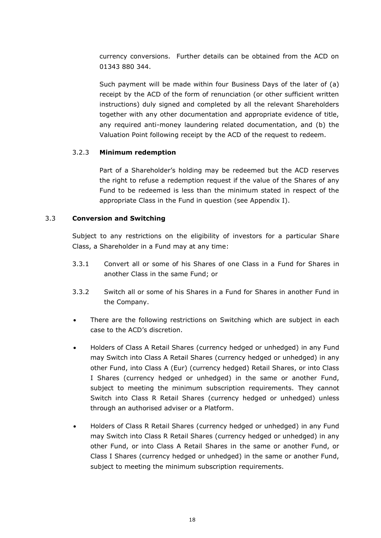currency conversions. Further details can be obtained from the ACD on 01343 880 344.

Such payment will be made within four Business Days of the later of (a) receipt by the ACD of the form of renunciation (or other sufficient written instructions) duly signed and completed by all the relevant Shareholders together with any other documentation and appropriate evidence of title, any required anti-money laundering related documentation, and (b) the Valuation Point following receipt by the ACD of the request to redeem.

### 3.2.3 **Minimum redemption**

Part of a Shareholder's holding may be redeemed but the ACD reserves the right to refuse a redemption request if the value of the Shares of any Fund to be redeemed is less than the minimum stated in respect of the appropriate Class in the Fund in question (see Appendix I).

### <span id="page-25-0"></span>3.3 **Conversion and Switching**

Subject to any restrictions on the eligibility of investors for a particular Share Class, a Shareholder in a Fund may at any time:

- 3.3.1 Convert all or some of his Shares of one Class in a Fund for Shares in another Class in the same Fund; or
- 3.3.2 Switch all or some of his Shares in a Fund for Shares in another Fund in the Company.
- There are the following restrictions on Switching which are subject in each case to the ACD's discretion.
- Holders of Class A Retail Shares (currency hedged or unhedged) in any Fund may Switch into Class A Retail Shares (currency hedged or unhedged) in any other Fund, into Class A (Eur) (currency hedged) Retail Shares, or into Class I Shares (currency hedged or unhedged) in the same or another Fund, subject to meeting the minimum subscription requirements. They cannot Switch into Class R Retail Shares (currency hedged or unhedged) unless through an authorised adviser or a Platform.
- Holders of Class R Retail Shares (currency hedged or unhedged) in any Fund may Switch into Class R Retail Shares (currency hedged or unhedged) in any other Fund, or into Class A Retail Shares in the same or another Fund, or Class I Shares (currency hedged or unhedged) in the same or another Fund, subject to meeting the minimum subscription requirements.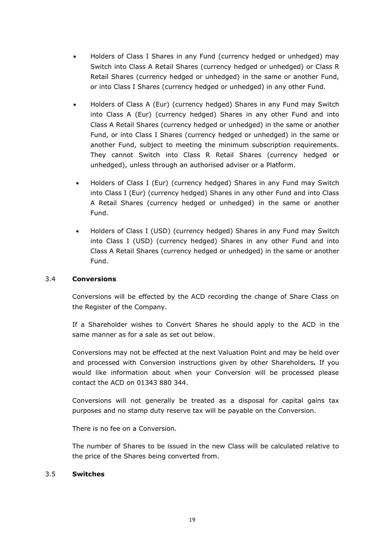- Holders of Class I Shares in any Fund (currency hedged or unhedged) may Switch into Class A Retail Shares (currency hedged or unhedged) or Class R Retail Shares (currency hedged or unhedged) in the same or another Fund, or into Class I Shares (currency hedged or unhedged) in any other Fund.
- Holders of Class A (Eur) (currency hedged) Shares in any Fund may Switch into Class A (Eur) (currency hedged) Shares in any other Fund and into Class A Retail Shares (currency hedged or unhedged) in the same or another Fund, or into Class I Shares (currency hedged or unhedged) in the same or another Fund, subject to meeting the minimum subscription requirements. They cannot Switch into Class R Retail Shares (currency hedged or unhedged), unless through an authorised adviser or a Platform.
- Holders of Class I (Eur) (currency hedged) Shares in any Fund may Switch into Class I (Eur) (currency hedged) Shares in any other Fund and into Class A Retail Shares (currency hedged or unhedged) in the same or another Fund.
- Holders of Class I (USD) (currency hedged) Shares in any Fund may Switch into Class I (USD) (currency hedged) Shares in any other Fund and into Class A Retail Shares (currency hedged or unhedged) in the same or another Fund.

# 3.4 **Conversions**

Conversions will be effected by the ACD recording the change of Share Class on the Register of the Company.

If a Shareholder wishes to Convert Shares he should apply to the ACD in the same manner as for a sale as set out below.

Conversions may not be effected at the next Valuation Point and may be held over and processed with Conversion instructions given by other Shareholders*.* If you would like information about when your Conversion will be processed please contact the ACD on 01343 880 344.

Conversions will not generally be treated as a disposal for capital gains tax purposes and no stamp duty reserve tax will be payable on the Conversion.

There is no fee on a Conversion*.*

The number of Shares to be issued in the new Class will be calculated relative to the price of the Shares being converted from.

#### 3.5 **Switches**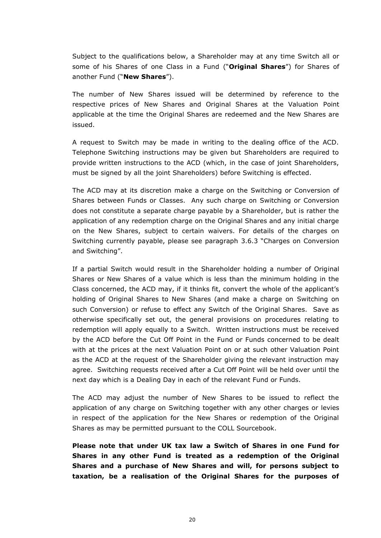Subject to the qualifications below, a Shareholder may at any time Switch all or some of his Shares of one Class in a Fund ("**Original Shares**") for Shares of another Fund ("**New Shares**").

The number of New Shares issued will be determined by reference to the respective prices of New Shares and Original Shares at the Valuation Point applicable at the time the Original Shares are redeemed and the New Shares are issued.

A request to Switch may be made in writing to the dealing office of the ACD. Telephone Switching instructions may be given but Shareholders are required to provide written instructions to the ACD (which, in the case of joint Shareholders, must be signed by all the joint Shareholders) before Switching is effected.

The ACD may at its discretion make a charge on the Switching or Conversion of Shares between Funds or Classes. Any such charge on Switching or Conversion does not constitute a separate charge payable by a Shareholder, but is rather the application of any redemption charge on the Original Shares and any initial charge on the New Shares, subject to certain waivers. For details of the charges on Switching currently payable, please see paragraph [3.6.3](#page-29-0) "Charges on Conversion and Switching".

If a partial Switch would result in the Shareholder holding a number of Original Shares or New Shares of a value which is less than the minimum holding in the Class concerned, the ACD may, if it thinks fit, convert the whole of the applicant's holding of Original Shares to New Shares (and make a charge on Switching on such Conversion) or refuse to effect any Switch of the Original Shares. Save as otherwise specifically set out, the general provisions on procedures relating to redemption will apply equally to a Switch. Written instructions must be received by the ACD before the Cut Off Point in the Fund or Funds concerned to be dealt with at the prices at the next Valuation Point on or at such other Valuation Point as the ACD at the request of the Shareholder giving the relevant instruction may agree. Switching requests received after a Cut Off Point will be held over until the next day which is a Dealing Day in each of the relevant Fund or Funds.

The ACD may adjust the number of New Shares to be issued to reflect the application of any charge on Switching together with any other charges or levies in respect of the application for the New Shares or redemption of the Original Shares as may be permitted pursuant to the COLL Sourcebook.

<span id="page-27-0"></span>**Please note that under UK tax law a Switch of Shares in one Fund for Shares in any other Fund is treated as a redemption of the Original Shares and a purchase of New Shares and will, for persons subject to taxation, be a realisation of the Original Shares for the purposes of**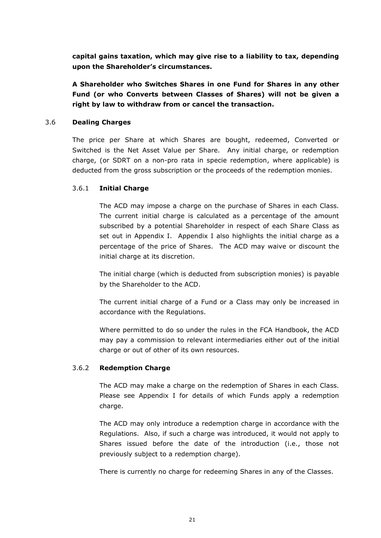**capital gains taxation, which may give rise to a liability to tax, depending upon the Shareholder's circumstances.**

**A Shareholder who Switches Shares in one Fund for Shares in any other Fund (or who Converts between Classes of Shares) will not be given a right by law to withdraw from or cancel the transaction.**

# 3.6 **Dealing Charges**

The price per Share at which Shares are bought, redeemed, Converted or Switched is the Net Asset Value per Share. Any initial charge, or redemption charge, (or SDRT on a non-pro rata in specie redemption, where applicable) is deducted from the gross subscription or the proceeds of the redemption monies.

### 3.6.1 **Initial Charge**

The ACD may impose a charge on the purchase of Shares in each Class. The current initial charge is calculated as a percentage of the amount subscribed by a potential Shareholder in respect of each Share Class as set out in Appendix I. Appendix I also highlights the initial charge as a percentage of the price of Shares. The ACD may waive or discount the initial charge at its discretion.

The initial charge (which is deducted from subscription monies) is payable by the Shareholder to the ACD.

The current initial charge of a Fund or a Class may only be increased in accordance with the Regulations.

Where permitted to do so under the rules in the FCA Handbook, the ACD may pay a commission to relevant intermediaries either out of the initial charge or out of other of its own resources.

# 3.6.2 **Redemption Charge**

The ACD may make a charge on the redemption of Shares in each Class. Please see Appendix I for details of which Funds apply a redemption charge.

The ACD may only introduce a redemption charge in accordance with the Regulations. Also, if such a charge was introduced, it would not apply to Shares issued before the date of the introduction (i.e., those not previously subject to a redemption charge).

There is currently no charge for redeeming Shares in any of the Classes.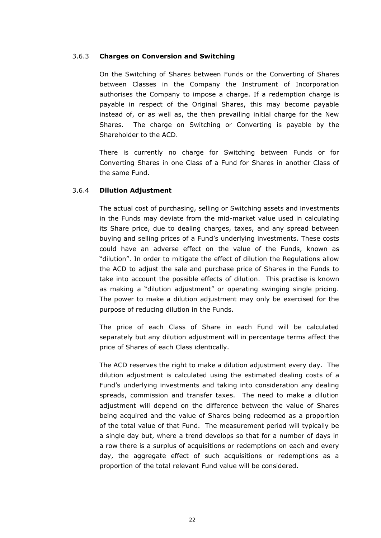### <span id="page-29-0"></span>3.6.3 **Charges on Conversion and Switching**

On the Switching of Shares between Funds or the Converting of Shares between Classes in the Company the Instrument of Incorporation authorises the Company to impose a charge. If a redemption charge is payable in respect of the Original Shares, this may become payable instead of, or as well as, the then prevailing initial charge for the New Shares. The charge on Switching or Converting is payable by the Shareholder to the ACD.

There is currently no charge for Switching between Funds or for Converting Shares in one Class of a Fund for Shares in another Class of the same Fund.

### 3.6.4 **Dilution Adjustment**

The actual cost of purchasing, selling or Switching assets and investments in the Funds may deviate from the mid-market value used in calculating its Share price, due to dealing charges, taxes, and any spread between buying and selling prices of a Fund's underlying investments. These costs could have an adverse effect on the value of the Funds, known as "dilution". In order to mitigate the effect of dilution the Regulations allow the ACD to adjust the sale and purchase price of Shares in the Funds to take into account the possible effects of dilution. This practise is known as making a "dilution adjustment" or operating swinging single pricing. The power to make a dilution adjustment may only be exercised for the purpose of reducing dilution in the Funds.

The price of each Class of Share in each Fund will be calculated separately but any dilution adjustment will in percentage terms affect the price of Shares of each Class identically.

The ACD reserves the right to make a dilution adjustment every day. The dilution adjustment is calculated using the estimated dealing costs of a Fund's underlying investments and taking into consideration any dealing spreads, commission and transfer taxes. The need to make a dilution adjustment will depend on the difference between the value of Shares being acquired and the value of Shares being redeemed as a proportion of the total value of that Fund. The measurement period will typically be a single day but, where a trend develops so that for a number of days in a row there is a surplus of acquisitions or redemptions on each and every day, the aggregate effect of such acquisitions or redemptions as a proportion of the total relevant Fund value will be considered.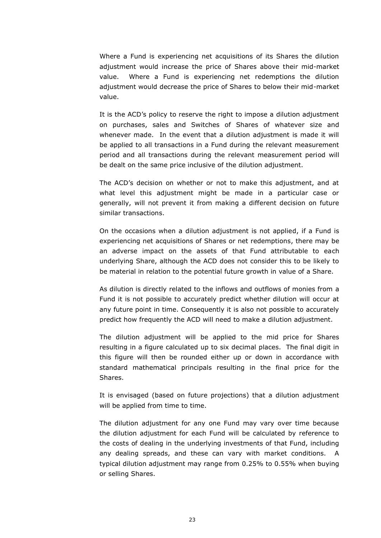Where a Fund is experiencing net acquisitions of its Shares the dilution adjustment would increase the price of Shares above their mid-market value. Where a Fund is experiencing net redemptions the dilution adjustment would decrease the price of Shares to below their mid-market value.

It is the ACD's policy to reserve the right to impose a dilution adjustment on purchases, sales and Switches of Shares of whatever size and whenever made. In the event that a dilution adjustment is made it will be applied to all transactions in a Fund during the relevant measurement period and all transactions during the relevant measurement period will be dealt on the same price inclusive of the dilution adjustment.

The ACD's decision on whether or not to make this adjustment, and at what level this adjustment might be made in a particular case or generally, will not prevent it from making a different decision on future similar transactions.

On the occasions when a dilution adjustment is not applied, if a Fund is experiencing net acquisitions of Shares or net redemptions, there may be an adverse impact on the assets of that Fund attributable to each underlying Share, although the ACD does not consider this to be likely to be material in relation to the potential future growth in value of a Share.

As dilution is directly related to the inflows and outflows of monies from a Fund it is not possible to accurately predict whether dilution will occur at any future point in time. Consequently it is also not possible to accurately predict how frequently the ACD will need to make a dilution adjustment.

The dilution adjustment will be applied to the mid price for Shares resulting in a figure calculated up to six decimal places. The final digit in this figure will then be rounded either up or down in accordance with standard mathematical principals resulting in the final price for the Shares.

It is envisaged (based on future projections) that a dilution adjustment will be applied from time to time.

The dilution adjustment for any one Fund may vary over time because the dilution adjustment for each Fund will be calculated by reference to the costs of dealing in the underlying investments of that Fund, including any dealing spreads, and these can vary with market conditions. typical dilution adjustment may range from 0.25% to 0.55% when buying or selling Shares.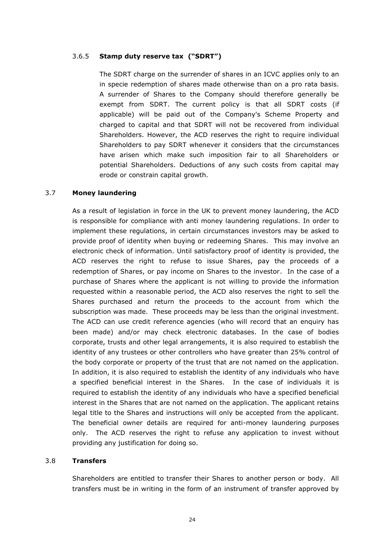# 3.6.5 **Stamp duty reserve tax ("SDRT")**

The SDRT charge on the surrender of shares in an ICVC applies only to an in specie redemption of shares made otherwise than on a pro rata basis. A surrender of Shares to the Company should therefore generally be exempt from SDRT. The current policy is that all SDRT costs (if applicable) will be paid out of the Company's Scheme Property and charged to capital and that SDRT will not be recovered from individual Shareholders. However, the ACD reserves the right to require individual Shareholders to pay SDRT whenever it considers that the circumstances have arisen which make such imposition fair to all Shareholders or potential Shareholders. Deductions of any such costs from capital may erode or constrain capital growth.

# 3.7 **Money laundering**

As a result of legislation in force in the UK to prevent money laundering, the ACD is responsible for compliance with anti money laundering regulations. In order to implement these regulations, in certain circumstances investors may be asked to provide proof of identity when buying or redeeming Shares. This may involve an electronic check of information. Until satisfactory proof of identity is provided, the ACD reserves the right to refuse to issue Shares, pay the proceeds of a redemption of Shares, or pay income on Shares to the investor. In the case of a purchase of Shares where the applicant is not willing to provide the information requested within a reasonable period, the ACD also reserves the right to sell the Shares purchased and return the proceeds to the account from which the subscription was made. These proceeds may be less than the original investment. The ACD can use credit reference agencies (who will record that an enquiry has been made) and/or may check electronic databases. In the case of bodies corporate, trusts and other legal arrangements, it is also required to establish the identity of any trustees or other controllers who have greater than 25% control of the body corporate or property of the trust that are not named on the application. In addition, it is also required to establish the identity of any individuals who have a specified beneficial interest in the Shares. In the case of individuals it is required to establish the identity of any individuals who have a specified beneficial interest in the Shares that are not named on the application. The applicant retains legal title to the Shares and instructions will only be accepted from the applicant. The beneficial owner details are required for anti-money laundering purposes only. The ACD reserves the right to refuse any application to invest without providing any justification for doing so.

# 3.8 **Transfers**

Shareholders are entitled to transfer their Shares to another person or body. All transfers must be in writing in the form of an instrument of transfer approved by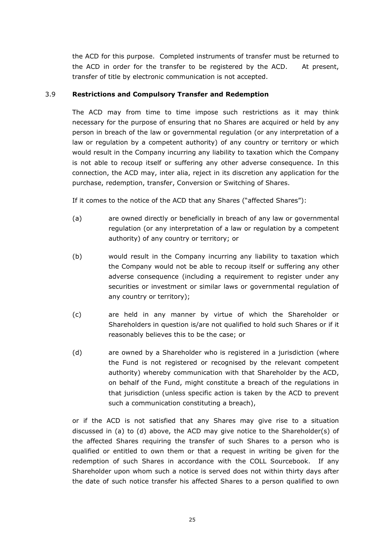the ACD for this purpose. Completed instruments of transfer must be returned to the ACD in order for the transfer to be registered by the ACD. At present, transfer of title by electronic communication is not accepted.

# 3.9 **Restrictions and Compulsory Transfer and Redemption**

The ACD may from time to time impose such restrictions as it may think necessary for the purpose of ensuring that no Shares are acquired or held by any person in breach of the law or governmental regulation (or any interpretation of a law or regulation by a competent authority) of any country or territory or which would result in the Company incurring any liability to taxation which the Company is not able to recoup itself or suffering any other adverse consequence. In this connection, the ACD may, inter alia, reject in its discretion any application for the purchase, redemption, transfer, Conversion or Switching of Shares.

If it comes to the notice of the ACD that any Shares ("affected Shares"):

- (a) are owned directly or beneficially in breach of any law or governmental regulation (or any interpretation of a law or regulation by a competent authority) of any country or territory; or
- (b) would result in the Company incurring any liability to taxation which the Company would not be able to recoup itself or suffering any other adverse consequence (including a requirement to register under any securities or investment or similar laws or governmental regulation of any country or territory);
- (c) are held in any manner by virtue of which the Shareholder or Shareholders in question is/are not qualified to hold such Shares or if it reasonably believes this to be the case; or
- (d) are owned by a Shareholder who is registered in a jurisdiction (where the Fund is not registered or recognised by the relevant competent authority) whereby communication with that Shareholder by the ACD, on behalf of the Fund, might constitute a breach of the regulations in that jurisdiction (unless specific action is taken by the ACD to prevent such a communication constituting a breach),

or if the ACD is not satisfied that any Shares may give rise to a situation discussed in (a) to (d) above, the ACD may give notice to the Shareholder(s) of the affected Shares requiring the transfer of such Shares to a person who is qualified or entitled to own them or that a request in writing be given for the redemption of such Shares in accordance with the COLL Sourcebook. If any Shareholder upon whom such a notice is served does not within thirty days after the date of such notice transfer his affected Shares to a person qualified to own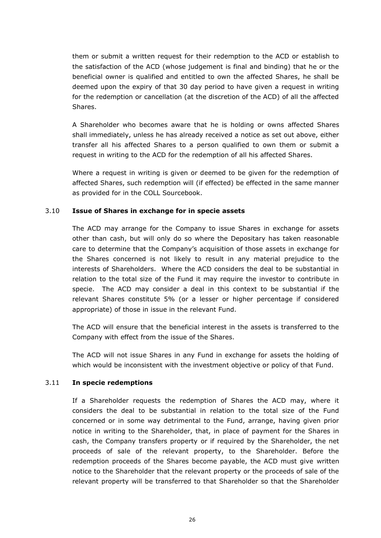them or submit a written request for their redemption to the ACD or establish to the satisfaction of the ACD (whose judgement is final and binding) that he or the beneficial owner is qualified and entitled to own the affected Shares, he shall be deemed upon the expiry of that 30 day period to have given a request in writing for the redemption or cancellation (at the discretion of the ACD) of all the affected Shares.

A Shareholder who becomes aware that he is holding or owns affected Shares shall immediately, unless he has already received a notice as set out above, either transfer all his affected Shares to a person qualified to own them or submit a request in writing to the ACD for the redemption of all his affected Shares.

Where a request in writing is given or deemed to be given for the redemption of affected Shares, such redemption will (if effected) be effected in the same manner as provided for in the COLL Sourcebook.

### 3.10 **Issue of Shares in exchange for in specie assets**

The ACD may arrange for the Company to issue Shares in exchange for assets other than cash, but will only do so where the Depositary has taken reasonable care to determine that the Company's acquisition of those assets in exchange for the Shares concerned is not likely to result in any material prejudice to the interests of Shareholders. Where the ACD considers the deal to be substantial in relation to the total size of the Fund it may require the investor to contribute in specie. The ACD may consider a deal in this context to be substantial if the relevant Shares constitute 5% (or a lesser or higher percentage if considered appropriate) of those in issue in the relevant Fund.

The ACD will ensure that the beneficial interest in the assets is transferred to the Company with effect from the issue of the Shares.

The ACD will not issue Shares in any Fund in exchange for assets the holding of which would be inconsistent with the investment objective or policy of that Fund.

#### 3.11 **In specie redemptions**

If a Shareholder requests the redemption of Shares the ACD may, where it considers the deal to be substantial in relation to the total size of the Fund concerned or in some way detrimental to the Fund, arrange, having given prior notice in writing to the Shareholder, that, in place of payment for the Shares in cash, the Company transfers property or if required by the Shareholder, the net proceeds of sale of the relevant property, to the Shareholder. Before the redemption proceeds of the Shares become payable, the ACD must give written notice to the Shareholder that the relevant property or the proceeds of sale of the relevant property will be transferred to that Shareholder so that the Shareholder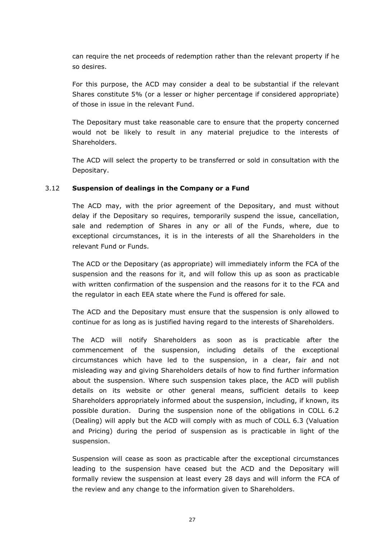can require the net proceeds of redemption rather than the relevant property if he so desires.

For this purpose, the ACD may consider a deal to be substantial if the relevant Shares constitute 5% (or a lesser or higher percentage if considered appropriate) of those in issue in the relevant Fund.

The Depositary must take reasonable care to ensure that the property concerned would not be likely to result in any material prejudice to the interests of Shareholders.

The ACD will select the property to be transferred or sold in consultation with the Depositary.

# 3.12 **Suspension of dealings in the Company or a Fund**

The ACD may, with the prior agreement of the Depositary, and must without delay if the Depositary so requires, temporarily suspend the issue, cancellation, sale and redemption of Shares in any or all of the Funds, where, due to exceptional circumstances, it is in the interests of all the Shareholders in the relevant Fund or Funds.

The ACD or the Depositary (as appropriate) will immediately inform the FCA of the suspension and the reasons for it, and will follow this up as soon as practicable with written confirmation of the suspension and the reasons for it to the FCA and the regulator in each EEA state where the Fund is offered for sale.

The ACD and the Depositary must ensure that the suspension is only allowed to continue for as long as is justified having regard to the interests of Shareholders.

The ACD will notify Shareholders as soon as is practicable after the commencement of the suspension, including details of the exceptional circumstances which have led to the suspension, in a clear, fair and not misleading way and giving Shareholders details of how to find further information about the suspension. Where such suspension takes place, the ACD will publish details on its website or other general means, sufficient details to keep Shareholders appropriately informed about the suspension, including, if known, its possible duration. During the suspension none of the obligations in COLL 6.2 (Dealing) will apply but the ACD will comply with as much of COLL 6.3 (Valuation and Pricing) during the period of suspension as is practicable in light of the suspension.

Suspension will cease as soon as practicable after the exceptional circumstances leading to the suspension have ceased but the ACD and the Depositary will formally review the suspension at least every 28 days and will inform the FCA of the review and any change to the information given to Shareholders.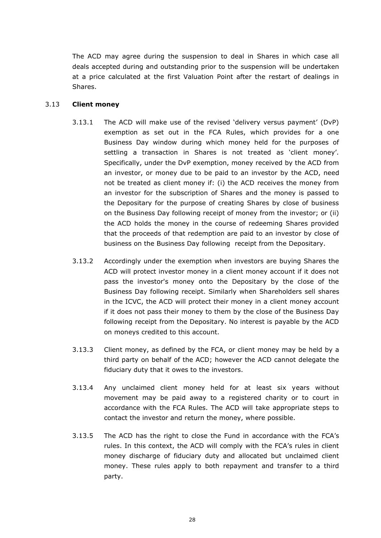The ACD may agree during the suspension to deal in Shares in which case all deals accepted during and outstanding prior to the suspension will be undertaken at a price calculated at the first Valuation Point after the restart of dealings in Shares.

# 3.13 **Client money**

- 3.13.1 The ACD will make use of the revised 'delivery versus payment' (DvP) exemption as set out in the FCA Rules, which provides for a one Business Day window during which money held for the purposes of settling a transaction in Shares is not treated as 'client money'. Specifically, under the DvP exemption, money received by the ACD from an investor, or money due to be paid to an investor by the ACD, need not be treated as client money if: (i) the ACD receives the money from an investor for the subscription of Shares and the money is passed to the Depositary for the purpose of creating Shares by close of business on the Business Day following receipt of money from the investor; or (ii) the ACD holds the money in the course of redeeming Shares provided that the proceeds of that redemption are paid to an investor by close of business on the Business Day following receipt from the Depositary.
- 3.13.2 Accordingly under the exemption when investors are buying Shares the ACD will protect investor money in a client money account if it does not pass the investor's money onto the Depositary by the close of the Business Day following receipt. Similarly when Shareholders sell shares in the ICVC, the ACD will protect their money in a client money account if it does not pass their money to them by the close of the Business Day following receipt from the Depositary. No interest is payable by the ACD on moneys credited to this account.
- 3.13.3 Client money, as defined by the FCA, or client money may be held by a third party on behalf of the ACD; however the ACD cannot delegate the fiduciary duty that it owes to the investors.
- 3.13.4 Any unclaimed client money held for at least six years without movement may be paid away to a registered charity or to court in accordance with the FCA Rules. The ACD will take appropriate steps to contact the investor and return the money, where possible.
- 3.13.5 The ACD has the right to close the Fund in accordance with the FCA's rules. In this context, the ACD will comply with the FCA's rules in client money discharge of fiduciary duty and allocated but unclaimed client money. These rules apply to both repayment and transfer to a third party.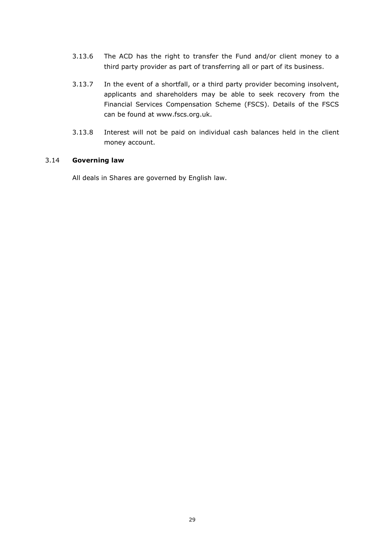- 3.13.6 The ACD has the right to transfer the Fund and/or client money to a third party provider as part of transferring all or part of its business.
- 3.13.7 In the event of a shortfall, or a third party provider becoming insolvent, applicants and shareholders may be able to seek recovery from the Financial Services Compensation Scheme (FSCS). Details of the FSCS can be found at www.fscs.org.uk.
- 3.13.8 Interest will not be paid on individual cash balances held in the client money account.

### 3.14 **Governing law**

All deals in Shares are governed by English law.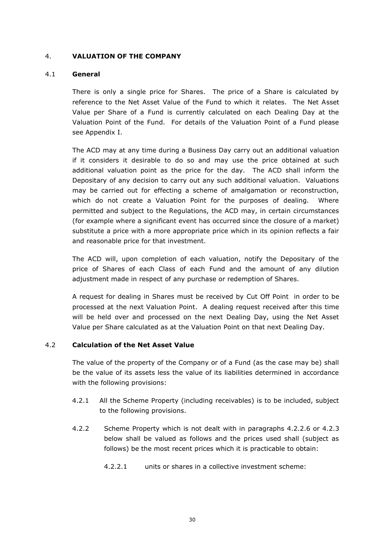## 4. **VALUATION OF THE COMPANY**

### 4.1 **General**

There is only a single price for Shares. The price of a Share is calculated by reference to the Net Asset Value of the Fund to which it relates. The Net Asset Value per Share of a Fund is currently calculated on each Dealing Day at the Valuation Point of the Fund. For details of the Valuation Point of a Fund please see Appendix I.

The ACD may at any time during a Business Day carry out an additional valuation if it considers it desirable to do so and may use the price obtained at such additional valuation point as the price for the day. The ACD shall inform the Depositary of any decision to carry out any such additional valuation. Valuations may be carried out for effecting a scheme of amalgamation or reconstruction, which do not create a Valuation Point for the purposes of dealing. Where permitted and subject to the Regulations, the ACD may, in certain circumstances (for example where a significant event has occurred since the closure of a market) substitute a price with a more appropriate price which in its opinion reflects a fair and reasonable price for that investment.

The ACD will, upon completion of each valuation, notify the Depositary of the price of Shares of each Class of each Fund and the amount of any dilution adjustment made in respect of any purchase or redemption of Shares.

A request for dealing in Shares must be received by Cut Off Point in order to be processed at the next Valuation Point. A dealing request received after this time will be held over and processed on the next Dealing Day, using the Net Asset Value per Share calculated as at the Valuation Point on that next Dealing Day.

## 4.2 **Calculation of the Net Asset Value**

The value of the property of the Company or of a Fund (as the case may be) shall be the value of its assets less the value of its liabilities determined in accordance with the following provisions:

- 4.2.1 All the Scheme Property (including receivables) is to be included, subject to the following provisions.
- 4.2.2 Scheme Property which is not dealt with in paragraphs 4.2.2.6 or 4.2.3 below shall be valued as follows and the prices used shall (subject as follows) be the most recent prices which it is practicable to obtain:
	- 4.2.2.1 units or shares in a collective investment scheme: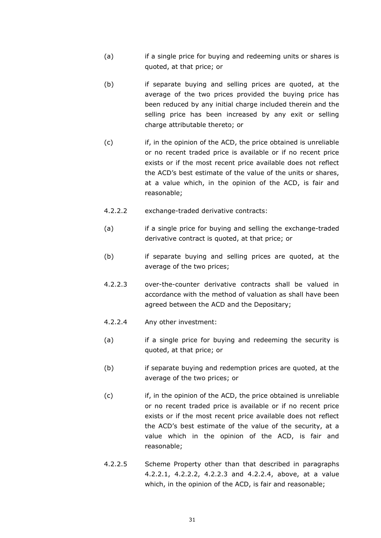- (a) if a single price for buying and redeeming units or shares is quoted, at that price; or
- (b) if separate buying and selling prices are quoted, at the average of the two prices provided the buying price has been reduced by any initial charge included therein and the selling price has been increased by any exit or selling charge attributable thereto; or
- (c) if, in the opinion of the ACD, the price obtained is unreliable or no recent traded price is available or if no recent price exists or if the most recent price available does not reflect the ACD's best estimate of the value of the units or shares, at a value which, in the opinion of the ACD, is fair and reasonable;
- 4.2.2.2 exchange-traded derivative contracts:
- (a) if a single price for buying and selling the exchange-traded derivative contract is quoted, at that price; or
- (b) if separate buying and selling prices are quoted, at the average of the two prices;
- 4.2.2.3 over-the-counter derivative contracts shall be valued in accordance with the method of valuation as shall have been agreed between the ACD and the Depositary;
- 4.2.2.4 Any other investment:
- (a) if a single price for buying and redeeming the security is quoted, at that price; or
- (b) if separate buying and redemption prices are quoted, at the average of the two prices; or
- (c) if, in the opinion of the ACD, the price obtained is unreliable or no recent traded price is available or if no recent price exists or if the most recent price available does not reflect the ACD's best estimate of the value of the security, at a value which in the opinion of the ACD, is fair and reasonable;
- 4.2.2.5 Scheme Property other than that described in paragraphs 4.2.2.1, 4.2.2.2, 4.2.2.3 and 4.2.2.4, above, at a value which, in the opinion of the ACD, is fair and reasonable;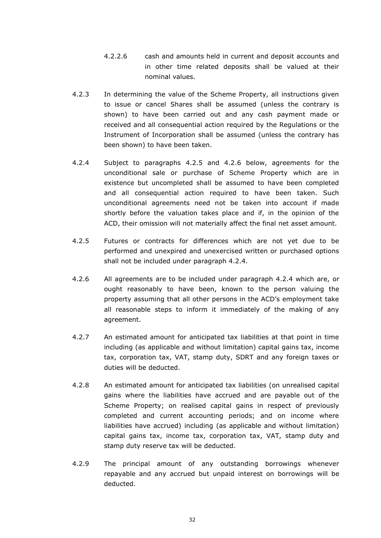- 4.2.2.6 cash and amounts held in current and deposit accounts and in other time related deposits shall be valued at their nominal values.
- 4.2.3 In determining the value of the Scheme Property, all instructions given to issue or cancel Shares shall be assumed (unless the contrary is shown) to have been carried out and any cash payment made or received and all consequential action required by the Regulations or the Instrument of Incorporation shall be assumed (unless the contrary has been shown) to have been taken.
- <span id="page-39-0"></span>4.2.4 Subject to paragraphs 4.2.5 and 4.2.6 below, agreements for the unconditional sale or purchase of Scheme Property which are in existence but uncompleted shall be assumed to have been completed and all consequential action required to have been taken. Such unconditional agreements need not be taken into account if made shortly before the valuation takes place and if, in the opinion of the ACD, their omission will not materially affect the final net asset amount.
- 4.2.5 Futures or contracts for differences which are not yet due to be performed and unexpired and unexercised written or purchased options shall not be included under paragraph 4.2.4.
- 4.2.6 All agreements are to be included under paragraph [4.2.4](#page-39-0) which are, or ought reasonably to have been, known to the person valuing the property assuming that all other persons in the ACD's employment take all reasonable steps to inform it immediately of the making of any agreement.
- 4.2.7 An estimated amount for anticipated tax liabilities at that point in time including (as applicable and without limitation) capital gains tax, income tax, corporation tax, VAT, stamp duty, SDRT and any foreign taxes or duties will be deducted.
- 4.2.8 An estimated amount for anticipated tax liabilities (on unrealised capital gains where the liabilities have accrued and are payable out of the Scheme Property; on realised capital gains in respect of previously completed and current accounting periods; and on income where liabilities have accrued) including (as applicable and without limitation) capital gains tax, income tax, corporation tax, VAT, stamp duty and stamp duty reserve tax will be deducted.
- 4.2.9 The principal amount of any outstanding borrowings whenever repayable and any accrued but unpaid interest on borrowings will be deducted.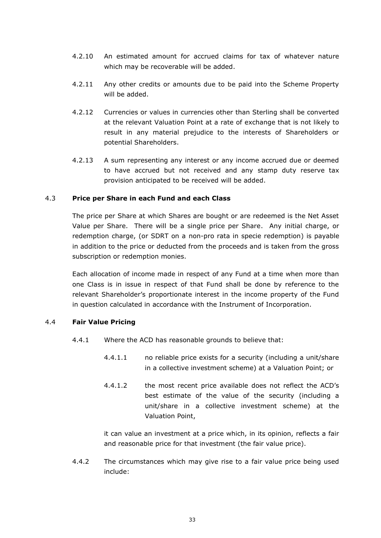- 4.2.10 An estimated amount for accrued claims for tax of whatever nature which may be recoverable will be added.
- 4.2.11 Any other credits or amounts due to be paid into the Scheme Property will be added.
- 4.2.12 Currencies or values in currencies other than Sterling shall be converted at the relevant Valuation Point at a rate of exchange that is not likely to result in any material prejudice to the interests of Shareholders or potential Shareholders.
- 4.2.13 A sum representing any interest or any income accrued due or deemed to have accrued but not received and any stamp duty reserve tax provision anticipated to be received will be added.

## 4.3 **Price per Share in each Fund and each Class**

The price per Share at which Shares are bought or are redeemed is the Net Asset Value per Share. There will be a single price per Share. Any initial charge, or redemption charge, (or SDRT on a non-pro rata in specie redemption) is payable in addition to the price or deducted from the proceeds and is taken from the gross subscription or redemption monies.

Each allocation of income made in respect of any Fund at a time when more than one Class is in issue in respect of that Fund shall be done by reference to the relevant Shareholder's proportionate interest in the income property of the Fund in question calculated in accordance with the Instrument of Incorporation.

## 4.4 **Fair Value Pricing**

- 4.4.1 Where the ACD has reasonable grounds to believe that:
	- 4.4.1.1 no reliable price exists for a security (including a unit/share in a collective investment scheme) at a Valuation Point; or
	- 4.4.1.2 the most recent price available does not reflect the ACD's best estimate of the value of the security (including a unit/share in a collective investment scheme) at the Valuation Point,

it can value an investment at a price which, in its opinion, reflects a fair and reasonable price for that investment (the fair value price).

4.4.2 The circumstances which may give rise to a fair value price being used include: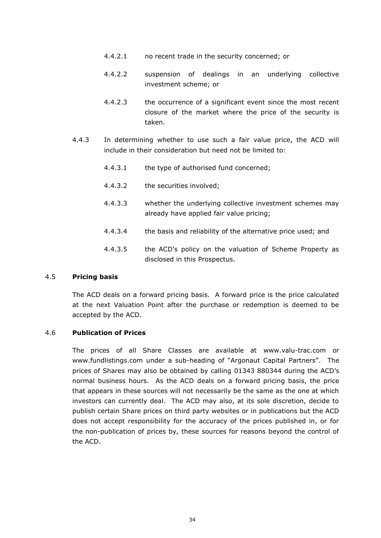- 4.4.2.1 no recent trade in the security concerned; or
- 4.4.2.2 suspension of dealings in an underlying collective investment scheme; or
- 4.4.2.3 the occurrence of a significant event since the most recent closure of the market where the price of the security is taken.
- 4.4.3 In determining whether to use such a fair value price, the ACD will include in their consideration but need not be limited to:
	- 4.4.3.1 the type of authorised fund concerned;
	- 4.4.3.2 the securities involved;
	- 4.4.3.3 whether the underlying collective investment schemes may already have applied fair value pricing;
	- 4.4.3.4 the basis and reliability of the alternative price used; and
	- 4.4.3.5 the ACD's policy on the valuation of Scheme Property as disclosed in this Prospectus.

#### 4.5 **Pricing basis**

The ACD deals on a forward pricing basis. A forward price is the price calculated at the next Valuation Point after the purchase or redemption is deemed to be accepted by the ACD.

## 4.6 **Publication of Prices**

The prices of all Share Classes are available at www.valu-trac.com or www.fundlistings.com under a sub-heading of "Argonaut Capital Partners". The prices of Shares may also be obtained by calling 01343 880344 during the ACD's normal business hours. As the ACD deals on a forward pricing basis, the price that appears in these sources will not necessarily be the same as the one at which investors can currently deal. The ACD may also, at its sole discretion, decide to publish certain Share prices on third party websites or in publications but the ACD does not accept responsibility for the accuracy of the prices published in, or for the non-publication of prices by, these sources for reasons beyond the control of the ACD.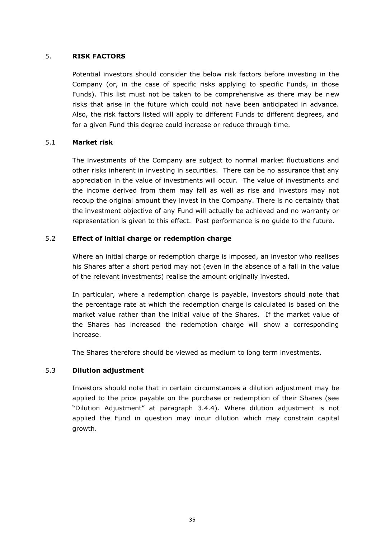## 5. **RISK FACTORS**

Potential investors should consider the below risk factors before investing in the Company (or, in the case of specific risks applying to specific Funds, in those Funds). This list must not be taken to be comprehensive as there may be new risks that arise in the future which could not have been anticipated in advance. Also, the risk factors listed will apply to different Funds to different degrees, and for a given Fund this degree could increase or reduce through time.

## 5.1 **Market risk**

The investments of the Company are subject to normal market fluctuations and other risks inherent in investing in securities. There can be no assurance that any appreciation in the value of investments will occur. The value of investments and the income derived from them may fall as well as rise and investors may not recoup the original amount they invest in the Company. There is no certainty that the investment objective of any Fund will actually be achieved and no warranty or representation is given to this effect. Past performance is no guide to the future.

## 5.2 **Effect of initial charge or redemption charge**

Where an initial charge or redemption charge is imposed, an investor who realises his Shares after a short period may not (even in the absence of a fall in the value of the relevant investments) realise the amount originally invested.

In particular, where a redemption charge is payable, investors should note that the percentage rate at which the redemption charge is calculated is based on the market value rather than the initial value of the Shares. If the market value of the Shares has increased the redemption charge will show a corresponding increase.

The Shares therefore should be viewed as medium to long term investments.

## 5.3 **Dilution adjustment**

Investors should note that in certain circumstances a dilution adjustment may be applied to the price payable on the purchase or redemption of their Shares (see "Dilution Adjustment" at paragraph 3.4.4). Where dilution adjustment is not applied the Fund in question may incur dilution which may constrain capital growth.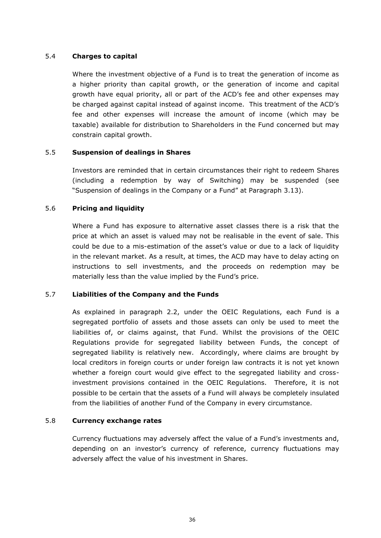## 5.4 **Charges to capital**

Where the investment objective of a Fund is to treat the generation of income as a higher priority than capital growth, or the generation of income and capital growth have equal priority, all or part of the ACD's fee and other expenses may be charged against capital instead of against income. This treatment of the ACD's fee and other expenses will increase the amount of income (which may be taxable) available for distribution to Shareholders in the Fund concerned but may constrain capital growth.

## 5.5 **Suspension of dealings in Shares**

Investors are reminded that in certain circumstances their right to redeem Shares (including a redemption by way of Switching) may be suspended (see "Suspension of dealings in the Company or a Fund" at Paragraph 3.13).

## 5.6 **Pricing and liquidity**

Where a Fund has exposure to alternative asset classes there is a risk that the price at which an asset is valued may not be realisable in the event of sale. This could be due to a mis-estimation of the asset's value or due to a lack of liquidity in the relevant market. As a result, at times, the ACD may have to delay acting on instructions to sell investments, and the proceeds on redemption may be materially less than the value implied by the Fund's price.

## 5.7 **Liabilities of the Company and the Funds**

As explained in paragraph 2.2, under the OEIC Regulations, each Fund is a segregated portfolio of assets and those assets can only be used to meet the liabilities of, or claims against, that Fund. Whilst the provisions of the OEIC Regulations provide for segregated liability between Funds, the concept of segregated liability is relatively new. Accordingly, where claims are brought by local creditors in foreign courts or under foreign law contracts it is not yet known whether a foreign court would give effect to the segregated liability and crossinvestment provisions contained in the OEIC Regulations. Therefore, it is not possible to be certain that the assets of a Fund will always be completely insulated from the liabilities of another Fund of the Company in every circumstance.

# 5.8 **Currency exchange rates**

Currency fluctuations may adversely affect the value of a Fund's investments and, depending on an investor's currency of reference, currency fluctuations may adversely affect the value of his investment in Shares.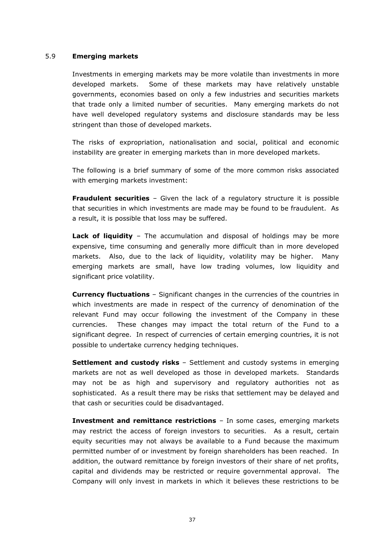### 5.9 **Emerging markets**

Investments in emerging markets may be more volatile than investments in more developed markets. Some of these markets may have relatively unstable governments, economies based on only a few industries and securities markets that trade only a limited number of securities. Many emerging markets do not have well developed regulatory systems and disclosure standards may be less stringent than those of developed markets.

The risks of expropriation, nationalisation and social, political and economic instability are greater in emerging markets than in more developed markets.

The following is a brief summary of some of the more common risks associated with emerging markets investment:

**Fraudulent securities** – Given the lack of a regulatory structure it is possible that securities in which investments are made may be found to be fraudulent. As a result, it is possible that loss may be suffered.

**Lack of liquidity** – The accumulation and disposal of holdings may be more expensive, time consuming and generally more difficult than in more developed markets. Also, due to the lack of liquidity, volatility may be higher. Many emerging markets are small, have low trading volumes, low liquidity and significant price volatility.

**Currency fluctuations** – Significant changes in the currencies of the countries in which investments are made in respect of the currency of denomination of the relevant Fund may occur following the investment of the Company in these currencies. These changes may impact the total return of the Fund to a significant degree. In respect of currencies of certain emerging countries, it is not possible to undertake currency hedging techniques.

**Settlement and custody risks** – Settlement and custody systems in emerging markets are not as well developed as those in developed markets. Standards may not be as high and supervisory and regulatory authorities not as sophisticated. As a result there may be risks that settlement may be delayed and that cash or securities could be disadvantaged.

**Investment and remittance restrictions** – In some cases, emerging markets may restrict the access of foreign investors to securities. As a result, certain equity securities may not always be available to a Fund because the maximum permitted number of or investment by foreign shareholders has been reached. In addition, the outward remittance by foreign investors of their share of net profits, capital and dividends may be restricted or require governmental approval. The Company will only invest in markets in which it believes these restrictions to be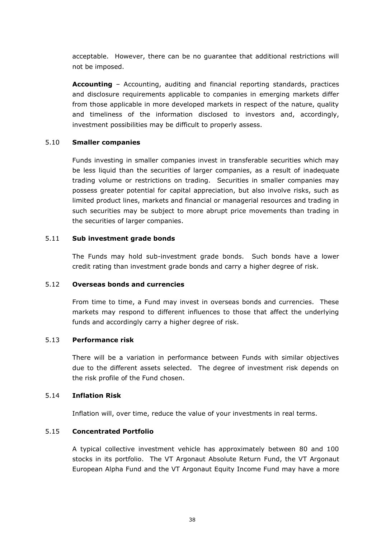acceptable. However, there can be no guarantee that additional restrictions will not be imposed.

**Accounting** – Accounting, auditing and financial reporting standards, practices and disclosure requirements applicable to companies in emerging markets differ from those applicable in more developed markets in respect of the nature, quality and timeliness of the information disclosed to investors and, accordingly, investment possibilities may be difficult to properly assess.

### 5.10 **Smaller companies**

Funds investing in smaller companies invest in transferable securities which may be less liquid than the securities of larger companies, as a result of inadequate trading volume or restrictions on trading. Securities in smaller companies may possess greater potential for capital appreciation, but also involve risks, such as limited product lines, markets and financial or managerial resources and trading in such securities may be subject to more abrupt price movements than trading in the securities of larger companies.

### 5.11 **Sub investment grade bonds**

The Funds may hold sub-investment grade bonds. Such bonds have a lower credit rating than investment grade bonds and carry a higher degree of risk.

## 5.12 **Overseas bonds and currencies**

From time to time, a Fund may invest in overseas bonds and currencies. These markets may respond to different influences to those that affect the underlying funds and accordingly carry a higher degree of risk.

## 5.13 **Performance risk**

There will be a variation in performance between Funds with similar objectives due to the different assets selected. The degree of investment risk depends on the risk profile of the Fund chosen.

#### 5.14 **Inflation Risk**

Inflation will, over time, reduce the value of your investments in real terms.

# 5.15 **Concentrated Portfolio**

A typical collective investment vehicle has approximately between 80 and 100 stocks in its portfolio. The VT Argonaut Absolute Return Fund, the VT Argonaut European Alpha Fund and the VT Argonaut Equity Income Fund may have a more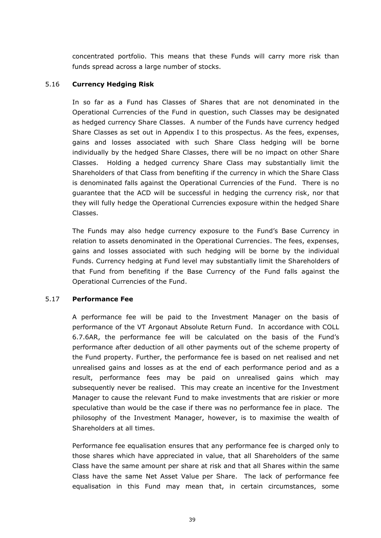concentrated portfolio. This means that these Funds will carry more risk than funds spread across a large number of stocks.

## 5.16 **Currency Hedging Risk**

In so far as a Fund has Classes of Shares that are not denominated in the Operational Currencies of the Fund in question, such Classes may be designated as hedged currency Share Classes. A number of the Funds have currency hedged Share Classes as set out in Appendix I to this prospectus. As the fees, expenses, gains and losses associated with such Share Class hedging will be borne individually by the hedged Share Classes, there will be no impact on other Share Classes. Holding a hedged currency Share Class may substantially limit the Shareholders of that Class from benefiting if the currency in which the Share Class is denominated falls against the Operational Currencies of the Fund. There is no guarantee that the ACD will be successful in hedging the currency risk, nor that they will fully hedge the Operational Currencies exposure within the hedged Share Classes.

The Funds may also hedge currency exposure to the Fund's Base Currency in relation to assets denominated in the Operational Currencies. The fees, expenses, gains and losses associated with such hedging will be borne by the individual Funds. Currency hedging at Fund level may substantially limit the Shareholders of that Fund from benefiting if the Base Currency of the Fund falls against the Operational Currencies of the Fund.

#### 5.17 **Performance Fee**

A performance fee will be paid to the Investment Manager on the basis of performance of the VT Argonaut Absolute Return Fund. In accordance with COLL 6.7.6AR, the performance fee will be calculated on the basis of the Fund's performance after deduction of all other payments out of the scheme property of the Fund property. Further, the performance fee is based on net realised and net unrealised gains and losses as at the end of each performance period and as a result, performance fees may be paid on unrealised gains which may subsequently never be realised. This may create an incentive for the Investment Manager to cause the relevant Fund to make investments that are riskier or more speculative than would be the case if there was no performance fee in place. The philosophy of the Investment Manager, however, is to maximise the wealth of Shareholders at all times.

Performance fee equalisation ensures that any performance fee is charged only to those shares which have appreciated in value, that all Shareholders of the same Class have the same amount per share at risk and that all Shares within the same Class have the same Net Asset Value per Share. The lack of performance fee equalisation in this Fund may mean that, in certain circumstances, some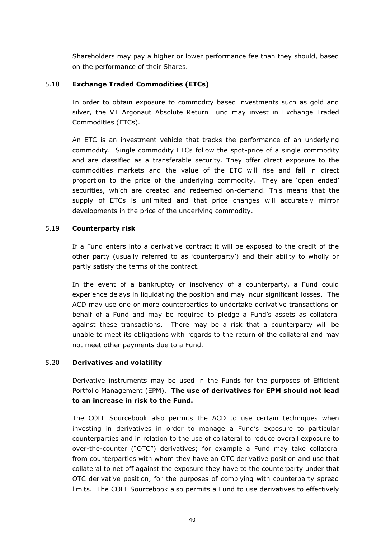Shareholders may pay a higher or lower performance fee than they should, based on the performance of their Shares.

## 5.18 **Exchange Traded Commodities (ETCs)**

In order to obtain exposure to commodity based investments such as gold and silver, the VT Argonaut Absolute Return Fund may invest in Exchange Traded Commodities (ETCs).

An ETC is an investment vehicle that tracks the performance of an underlying commodity. Single commodity ETCs follow the spot-price of a single commodity and are classified as a transferable security. They offer direct exposure to the commodities markets and the value of the ETC will rise and fall in direct proportion to the price of the underlying commodity. They are 'open ended' securities, which are created and redeemed on-demand. This means that the supply of ETCs is unlimited and that price changes will accurately mirror developments in the price of the underlying commodity.

## 5.19 **Counterparty risk**

If a Fund enters into a derivative contract it will be exposed to the credit of the other party (usually referred to as 'counterparty') and their ability to wholly or partly satisfy the terms of the contract.

In the event of a bankruptcy or insolvency of a counterparty, a Fund could experience delays in liquidating the position and may incur significant losses. The ACD may use one or more counterparties to undertake derivative transactions on behalf of a Fund and may be required to pledge a Fund's assets as collateral against these transactions. There may be a risk that a counterparty will be unable to meet its obligations with regards to the return of the collateral and may not meet other payments due to a Fund.

## 5.20 **Derivatives and volatility**

Derivative instruments may be used in the Funds for the purposes of Efficient Portfolio Management (EPM). **The use of derivatives for EPM should not lead to an increase in risk to the Fund.**

The COLL Sourcebook also permits the ACD to use certain techniques when investing in derivatives in order to manage a Fund's exposure to particular counterparties and in relation to the use of collateral to reduce overall exposure to over-the-counter ("OTC") derivatives; for example a Fund may take collateral from counterparties with whom they have an OTC derivative position and use that collateral to net off against the exposure they have to the counterparty under that OTC derivative position, for the purposes of complying with counterparty spread limits. The COLL Sourcebook also permits a Fund to use derivatives to effectively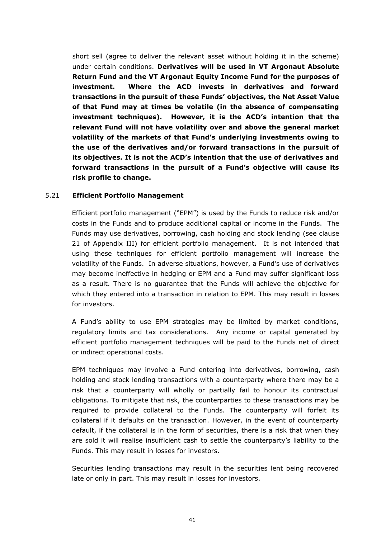short sell (agree to deliver the relevant asset without holding it in the scheme) under certain conditions. **Derivatives will be used in VT Argonaut Absolute Return Fund and the VT Argonaut Equity Income Fund for the purposes of investment. Where the ACD invests in derivatives and forward transactions in the pursuit of these Funds' objectives, the Net Asset Value of that Fund may at times be volatile (in the absence of compensating investment techniques). However, it is the ACD's intention that the relevant Fund will not have volatility over and above the general market volatility of the markets of that Fund's underlying investments owing to the use of the derivatives and/or forward transactions in the pursuit of its objectives. It is not the ACD's intention that the use of derivatives and forward transactions in the pursuit of a Fund's objective will cause its risk profile to change.**

### 5.21 **Efficient Portfolio Management**

Efficient portfolio management ("EPM") is used by the Funds to reduce risk and/or costs in the Funds and to produce additional capital or income in the Funds. The Funds may use derivatives, borrowing, cash holding and stock lending (see clause 21 of Appendix III) for efficient portfolio management. It is not intended that using these techniques for efficient portfolio management will increase the volatility of the Funds. In adverse situations, however, a Fund's use of derivatives may become ineffective in hedging or EPM and a Fund may suffer significant loss as a result. There is no guarantee that the Funds will achieve the objective for which they entered into a transaction in relation to EPM. This may result in losses for investors.

A Fund's ability to use EPM strategies may be limited by market conditions, regulatory limits and tax considerations. Any income or capital generated by efficient portfolio management techniques will be paid to the Funds net of direct or indirect operational costs.

EPM techniques may involve a Fund entering into derivatives, borrowing, cash holding and stock lending transactions with a counterparty where there may be a risk that a counterparty will wholly or partially fail to honour its contractual obligations. To mitigate that risk, the counterparties to these transactions may be required to provide collateral to the Funds. The counterparty will forfeit its collateral if it defaults on the transaction. However, in the event of counterparty default, if the collateral is in the form of securities, there is a risk that when they are sold it will realise insufficient cash to settle the counterparty's liability to the Funds. This may result in losses for investors.

Securities lending transactions may result in the securities lent being recovered late or only in part. This may result in losses for investors.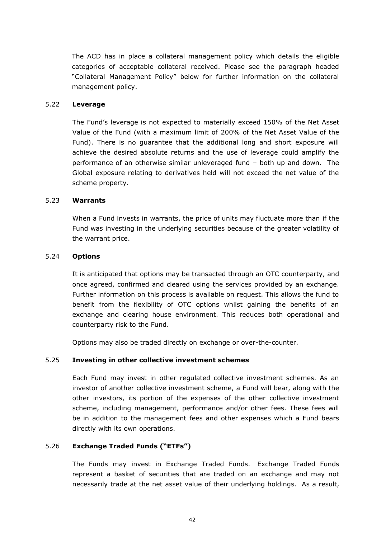The ACD has in place a collateral management policy which details the eligible categories of acceptable collateral received. Please see the paragraph headed "Collateral Management Policy" below for further information on the collateral management policy.

### 5.22 **Leverage**

The Fund's leverage is not expected to materially exceed 150% of the Net Asset Value of the Fund (with a maximum limit of 200% of the Net Asset Value of the Fund). There is no guarantee that the additional long and short exposure will achieve the desired absolute returns and the use of leverage could amplify the performance of an otherwise similar unleveraged fund – both up and down. The Global exposure relating to derivatives held will not exceed the net value of the scheme property.

### 5.23 **Warrants**

When a Fund invests in warrants, the price of units may fluctuate more than if the Fund was investing in the underlying securities because of the greater volatility of the warrant price.

### 5.24 **Options**

It is anticipated that options may be transacted through an OTC counterparty, and once agreed, confirmed and cleared using the services provided by an exchange. Further information on this process is available on request. This allows the fund to benefit from the flexibility of OTC options whilst gaining the benefits of an exchange and clearing house environment. This reduces both operational and counterparty risk to the Fund.

Options may also be traded directly on exchange or over-the-counter.

## 5.25 **Investing in other collective investment schemes**

Each Fund may invest in other regulated collective investment schemes. As an investor of another collective investment scheme, a Fund will bear, along with the other investors, its portion of the expenses of the other collective investment scheme, including management, performance and/or other fees. These fees will be in addition to the management fees and other expenses which a Fund bears directly with its own operations.

## 5.26 **Exchange Traded Funds ("ETFs")**

The Funds may invest in Exchange Traded Funds. Exchange Traded Funds represent a basket of securities that are traded on an exchange and may not necessarily trade at the net asset value of their underlying holdings. As a result,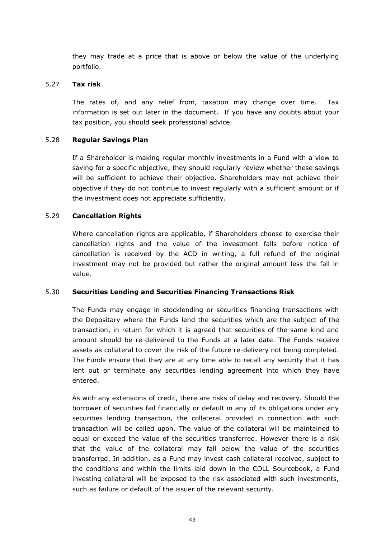they may trade at a price that is above or below the value of the underlying portfolio.

### 5.27 **Tax risk**

The rates of, and any relief from, taxation may change over time. Tax information is set out later in the document. If you have any doubts about your tax position, you should seek professional advice.

## 5.28 **Regular Savings Plan**

 If a Shareholder is making regular monthly investments in a Fund with a view to saving for a specific objective, they should regularly review whether these savings will be sufficient to achieve their objective. Shareholders may not achieve their objective if they do not continue to invest regularly with a sufficient amount or if the investment does not appreciate sufficiently.

### 5.29 **Cancellation Rights**

 Where cancellation rights are applicable, if Shareholders choose to exercise their cancellation rights and the value of the investment falls before notice of cancellation is received by the ACD in writing, a full refund of the original investment may not be provided but rather the original amount less the fall in value.

## 5.30 **Securities Lending and Securities Financing Transactions Risk**

The Funds may engage in stocklending or securities financing transactions with the Depositary where the Funds lend the securities which are the subject of the transaction, in return for which it is agreed that securities of the same kind and amount should be re-delivered to the Funds at a later date. The Funds receive assets as collateral to cover the risk of the future re-delivery not being completed. The Funds ensure that they are at any time able to recall any security that it has lent out or terminate any securities lending agreement into which they have entered.

As with any extensions of credit, there are risks of delay and recovery. Should the borrower of securities fail financially or default in any of its obligations under any securities lending transaction, the collateral provided in connection with such transaction will be called upon. The value of the collateral will be maintained to equal or exceed the value of the securities transferred. However there is a risk that the value of the collateral may fall below the value of the securities transferred. In addition, as a Fund may invest cash collateral received, subject to the conditions and within the limits laid down in the COLL Sourcebook, a Fund investing collateral will be exposed to the risk associated with such investments, such as failure or default of the issuer of the relevant security.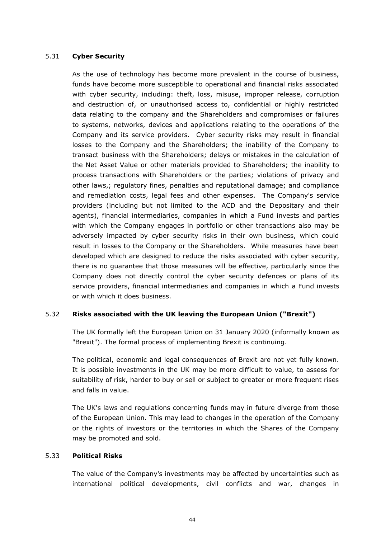## 5.31 **Cyber Security**

As the use of technology has become more prevalent in the course of business, funds have become more susceptible to operational and financial risks associated with cyber security, including: theft, loss, misuse, improper release, corruption and destruction of, or unauthorised access to, confidential or highly restricted data relating to the company and the Shareholders and compromises or failures to systems, networks, devices and applications relating to the operations of the Company and its service providers. Cyber security risks may result in financial losses to the Company and the Shareholders; the inability of the Company to transact business with the Shareholders; delays or mistakes in the calculation of the Net Asset Value or other materials provided to Shareholders; the inability to process transactions with Shareholders or the parties; violations of privacy and other laws,; regulatory fines, penalties and reputational damage; and compliance and remediation costs, legal fees and other expenses. The Company's service providers (including but not limited to the ACD and the Depositary and their agents), financial intermediaries, companies in which a Fund invests and parties with which the Company engages in portfolio or other transactions also may be adversely impacted by cyber security risks in their own business, which could result in losses to the Company or the Shareholders. While measures have been developed which are designed to reduce the risks associated with cyber security, there is no guarantee that those measures will be effective, particularly since the Company does not directly control the cyber security defences or plans of its service providers, financial intermediaries and companies in which a Fund invests or with which it does business.

## 5.32 **Risks associated with the UK leaving the European Union ("Brexit")**

The UK formally left the European Union on 31 January 2020 (informally known as "Brexit"). The formal process of implementing Brexit is continuing.

The political, economic and legal consequences of Brexit are not yet fully known. It is possible investments in the UK may be more difficult to value, to assess for suitability of risk, harder to buy or sell or subject to greater or more frequent rises and falls in value.

The UK's laws and regulations concerning funds may in future diverge from those of the European Union. This may lead to changes in the operation of the Company or the rights of investors or the territories in which the Shares of the Company may be promoted and sold.

## 5.33 **Political Risks**

The value of the Company's investments may be affected by uncertainties such as international political developments, civil conflicts and war, changes in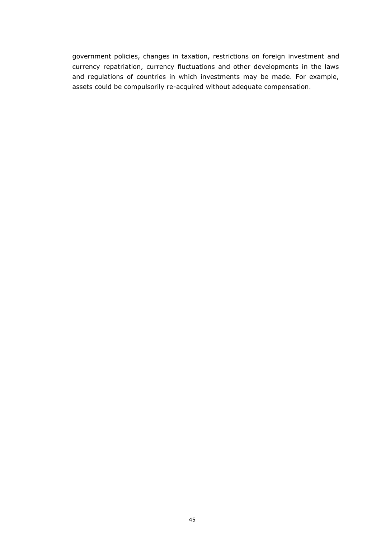government policies, changes in taxation, restrictions on foreign investment and currency repatriation, currency fluctuations and other developments in the laws and regulations of countries in which investments may be made. For example, assets could be compulsorily re-acquired without adequate compensation.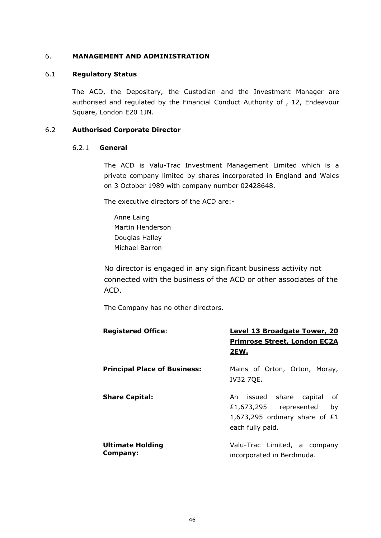### 6. **MANAGEMENT AND ADMINISTRATION**

### 6.1 **Regulatory Status**

The ACD, the Depositary, the Custodian and the Investment Manager are authorised and regulated by the Financial Conduct Authority of , 12, Endeavour Square, London E20 1JN.

### 6.2 **Authorised Corporate Director**

#### 6.2.1 **General**

The ACD is Valu-Trac Investment Management Limited which is a private company limited by shares incorporated in England and Wales on 3 October 1989 with company number 02428648.

The executive directors of the ACD are:-

Anne Laing Martin Henderson Douglas Halley Michael Barron

No director is engaged in any significant business activity not connected with the business of the ACD or other associates of the ACD.

The Company has no other directors.

| <b>Registered Office:</b>           | Level 13 Broadgate Tower, 20<br><b>Primrose Street, London EC2A</b><br>2EW.                                           |
|-------------------------------------|-----------------------------------------------------------------------------------------------------------------------|
| <b>Principal Place of Business:</b> | Mains of Orton, Orton, Moray,<br><b>IV32 7QE.</b>                                                                     |
| <b>Share Capital:</b>               | An issued share capital<br>of<br>£1,673,295 represented<br>by<br>1,673,295 ordinary share of $£1$<br>each fully paid. |
| <b>Ultimate Holding</b><br>Company: | Valu-Trac Limited, a company<br>incorporated in Berdmuda.                                                             |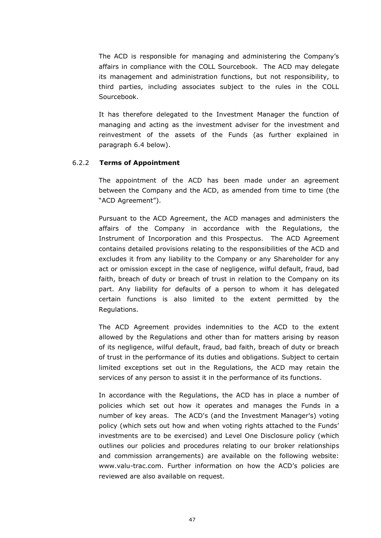The ACD is responsible for managing and administering the Company's affairs in compliance with the COLL Sourcebook. The ACD may delegate its management and administration functions, but not responsibility, to third parties, including associates subject to the rules in the COLL Sourcebook.

It has therefore delegated to the Investment Manager the function of managing and acting as the investment adviser for the investment and reinvestment of the assets of the Funds (as further explained in paragraph [6.4](#page-57-0) below).

#### 6.2.2 **Terms of Appointment**

The appointment of the ACD has been made under an agreement between the Company and the ACD, as amended from time to time (the "ACD Agreement").

Pursuant to the ACD Agreement, the ACD manages and administers the affairs of the Company in accordance with the Regulations, the Instrument of Incorporation and this Prospectus. The ACD Agreement contains detailed provisions relating to the responsibilities of the ACD and excludes it from any liability to the Company or any Shareholder for any act or omission except in the case of negligence, wilful default, fraud, bad faith, breach of duty or breach of trust in relation to the Company on its part. Any liability for defaults of a person to whom it has delegated certain functions is also limited to the extent permitted by the Regulations.

The ACD Agreement provides indemnities to the ACD to the extent allowed by the Regulations and other than for matters arising by reason of its negligence, wilful default, fraud, bad faith, breach of duty or breach of trust in the performance of its duties and obligations. Subject to certain limited exceptions set out in the Regulations, the ACD may retain the services of any person to assist it in the performance of its functions.

In accordance with the Regulations, the ACD has in place a number of policies which set out how it operates and manages the Funds in a number of key areas. The ACD's (and the Investment Manager's) voting policy (which sets out how and when voting rights attached to the Funds' investments are to be exercised) and Level One Disclosure policy (which outlines our policies and procedures relating to our broker relationships and commission arrangements) are available on the following website: www.valu-trac.com. Further information on how the ACD's policies are reviewed are also available on request.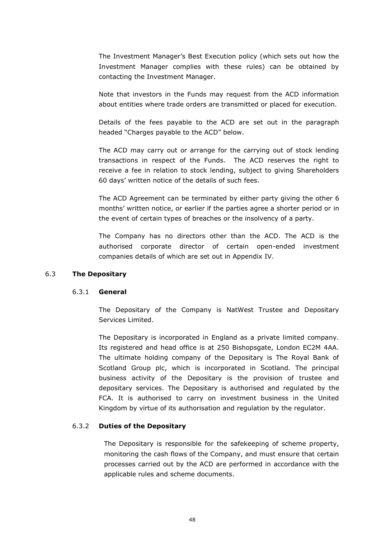The Investment Manager's Best Execution policy (which sets out how the Investment Manager complies with these rules) can be obtained by contacting the Investment Manager.

Note that investors in the Funds may request from the ACD information about entities where trade orders are transmitted or placed for execution.

Details of the fees payable to the ACD are set out in the paragraph headed "Charges payable to the ACD" below.

The ACD may carry out or arrange for the carrying out of stock lending transactions in respect of the Funds. The ACD reserves the right to receive a fee in relation to stock lending, subject to giving Shareholders 60 days' written notice of the details of such fees.

The ACD Agreement can be terminated by either party giving the other 6 months' written notice, or earlier if the parties agree a shorter period or in the event of certain types of breaches or the insolvency of a party.

The Company has no directors other than the ACD. The ACD is the authorised corporate director of certain open-ended investment companies details of which are set out in Appendix IV.

#### 6.3 **The Depositary**

#### 6.3.1 **General**

The Depositary of the Company is NatWest Trustee and Depositary Services Limited.

The Depositary is incorporated in England as a private limited company. Its registered and head office is at 250 Bishopsgate, London EC2M 4AA. The ultimate holding company of the Depositary is The Royal Bank of Scotland Group plc, which is incorporated in Scotland. The principal business activity of the Depositary is the provision of trustee and depositary services. The Depositary is authorised and regulated by the FCA. It is authorised to carry on investment business in the United Kingdom by virtue of its authorisation and regulation by the regulator.

#### 6.3.2 **Duties of the Depositary**

The Depositary is responsible for the safekeeping of scheme property, monitoring the cash flows of the Company, and must ensure that certain processes carried out by the ACD are performed in accordance with the applicable rules and scheme documents.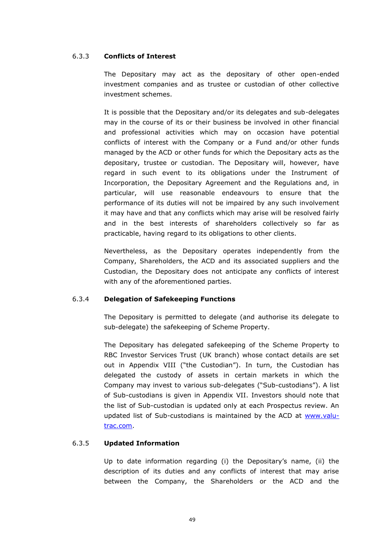### 6.3.3 **Conflicts of Interest**

The Depositary may act as the depositary of other open-ended investment companies and as trustee or custodian of other collective investment schemes.

It is possible that the Depositary and/or its delegates and sub-delegates may in the course of its or their business be involved in other financial and professional activities which may on occasion have potential conflicts of interest with the Company or a Fund and/or other funds managed by the ACD or other funds for which the Depositary acts as the depositary, trustee or custodian. The Depositary will, however, have regard in such event to its obligations under the Instrument of Incorporation, the Depositary Agreement and the Regulations and, in particular, will use reasonable endeavours to ensure that the performance of its duties will not be impaired by any such involvement it may have and that any conflicts which may arise will be resolved fairly and in the best interests of shareholders collectively so far as practicable, having regard to its obligations to other clients.

Nevertheless, as the Depositary operates independently from the Company, Shareholders, the ACD and its associated suppliers and the Custodian, the Depositary does not anticipate any conflicts of interest with any of the aforementioned parties.

## 6.3.4 **Delegation of Safekeeping Functions**

The Depositary is permitted to delegate (and authorise its delegate to sub-delegate) the safekeeping of Scheme Property.

The Depositary has delegated safekeeping of the Scheme Property to RBC Investor Services Trust (UK branch) whose contact details are set out in Appendix VIII ("the Custodian"). In turn, the Custodian has delegated the custody of assets in certain markets in which the Company may invest to various sub-delegates ("Sub-custodians"). A list of Sub-custodians is given in Appendix VII. Investors should note that the list of Sub-custodian is updated only at each Prospectus review. An updated list of Sub-custodians is maintained by the ACD at [www.valu](http://www.valu-trac.com/)[trac.com.](http://www.valu-trac.com/)

## 6.3.5 **Updated Information**

Up to date information regarding (i) the Depositary's name, (ii) the description of its duties and any conflicts of interest that may arise between the Company, the Shareholders or the ACD and the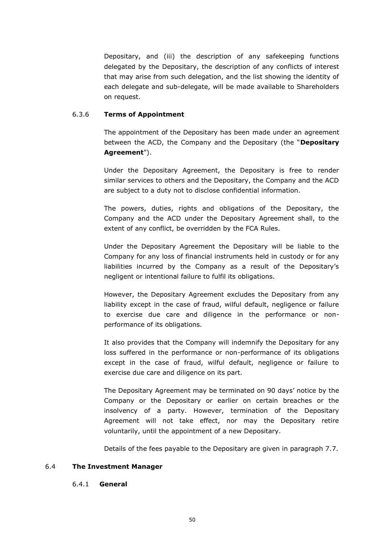Depositary, and (iii) the description of any safekeeping functions delegated by the Depositary, the description of any conflicts of interest that may arise from such delegation, and the list showing the identity of each delegate and sub-delegate, will be made available to Shareholders on request.

### 6.3.6 **Terms of Appointment**

The appointment of the Depositary has been made under an agreement between the ACD, the Company and the Depositary (the "**Depositary Agreement**").

Under the Depositary Agreement, the Depositary is free to render similar services to others and the Depositary, the Company and the ACD are subject to a duty not to disclose confidential information.

The powers, duties, rights and obligations of the Depositary, the Company and the ACD under the Depositary Agreement shall, to the extent of any conflict, be overridden by the FCA Rules.

Under the Depositary Agreement the Depositary will be liable to the Company for any loss of financial instruments held in custody or for any liabilities incurred by the Company as a result of the Depositary's negligent or intentional failure to fulfil its obligations.

However, the Depositary Agreement excludes the Depositary from any liability except in the case of fraud, wilful default, negligence or failure to exercise due care and diligence in the performance or nonperformance of its obligations.

It also provides that the Company will indemnify the Depositary for any loss suffered in the performance or non-performance of its obligations except in the case of fraud, wilful default, negligence or failure to exercise due care and diligence on its part.

The Depositary Agreement may be terminated on 90 days' notice by the Company or the Depositary or earlier on certain breaches or the insolvency of a party. However, termination of the Depositary Agreement will not take effect, nor may the Depositary retire voluntarily, until the appointment of a new Depositary.

Details of the fees payable to the Depositary are given in paragraph 7.7.

#### <span id="page-57-0"></span>6.4 **The Investment Manager**

#### 6.4.1 **General**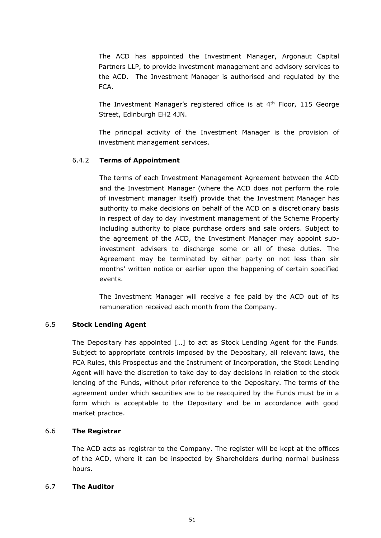The ACD has appointed the Investment Manager, Argonaut Capital Partners LLP, to provide investment management and advisory services to the ACD. The Investment Manager is authorised and regulated by the FCA.

The Investment Manager's registered office is at 4<sup>th</sup> Floor, 115 George Street, Edinburgh EH2 4JN.

The principal activity of the Investment Manager is the provision of investment management services.

# 6.4.2 **Terms of Appointment**

The terms of each Investment Management Agreement between the ACD and the Investment Manager (where the ACD does not perform the role of investment manager itself) provide that the Investment Manager has authority to make decisions on behalf of the ACD on a discretionary basis in respect of day to day investment management of the Scheme Property including authority to place purchase orders and sale orders. Subject to the agreement of the ACD, the Investment Manager may appoint subinvestment advisers to discharge some or all of these duties. The Agreement may be terminated by either party on not less than six months' written notice or earlier upon the happening of certain specified events.

The Investment Manager will receive a fee paid by the ACD out of its remuneration received each month from the Company.

## 6.5 **Stock Lending Agent**

The Depositary has appointed […] to act as Stock Lending Agent for the Funds. Subject to appropriate controls imposed by the Depositary, all relevant laws, the FCA Rules, this Prospectus and the Instrument of Incorporation, the Stock Lending Agent will have the discretion to take day to day decisions in relation to the stock lending of the Funds, without prior reference to the Depositary. The terms of the agreement under which securities are to be reacquired by the Funds must be in a form which is acceptable to the Depositary and be in accordance with good market practice.

## 6.6 **The Registrar**

The ACD acts as registrar to the Company. The register will be kept at the offices of the ACD, where it can be inspected by Shareholders during normal business hours.

## 6.7 **The Auditor**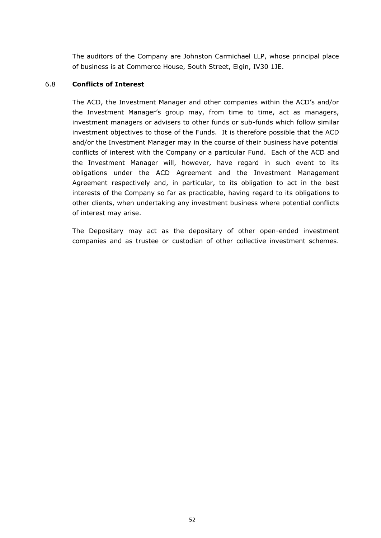The auditors of the Company are Johnston Carmichael LLP, whose principal place of business is at Commerce House, South Street, Elgin, IV30 1JE.

### 6.8 **Conflicts of Interest**

The ACD, the Investment Manager and other companies within the ACD's and/or the Investment Manager's group may, from time to time, act as managers, investment managers or advisers to other funds or sub-funds which follow similar investment objectives to those of the Funds. It is therefore possible that the ACD and/or the Investment Manager may in the course of their business have potential conflicts of interest with the Company or a particular Fund. Each of the ACD and the Investment Manager will, however, have regard in such event to its obligations under the ACD Agreement and the Investment Management Agreement respectively and, in particular, to its obligation to act in the best interests of the Company so far as practicable, having regard to its obligations to other clients, when undertaking any investment business where potential conflicts of interest may arise.

The Depositary may act as the depositary of other open-ended investment companies and as trustee or custodian of other collective investment schemes.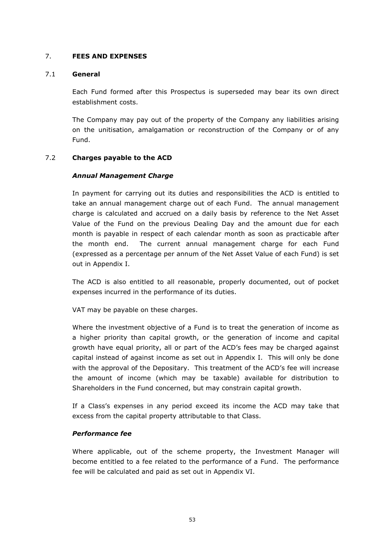## 7. **FEES AND EXPENSES**

### 7.1 **General**

Each Fund formed after this Prospectus is superseded may bear its own direct establishment costs.

The Company may pay out of the property of the Company any liabilities arising on the unitisation, amalgamation or reconstruction of the Company or of any Fund.

## 7.2 **Charges payable to the ACD**

## *Annual Management Charge*

In payment for carrying out its duties and responsibilities the ACD is entitled to take an annual management charge out of each Fund. The annual management charge is calculated and accrued on a daily basis by reference to the Net Asset Value of the Fund on the previous Dealing Day and the amount due for each month is payable in respect of each calendar month as soon as practicable after the month end. The current annual management charge for each Fund (expressed as a percentage per annum of the Net Asset Value of each Fund) is set out in Appendix I.

The ACD is also entitled to all reasonable, properly documented, out of pocket expenses incurred in the performance of its duties.

VAT may be payable on these charges.

Where the investment objective of a Fund is to treat the generation of income as a higher priority than capital growth, or the generation of income and capital growth have equal priority, all or part of the ACD's fees may be charged against capital instead of against income as set out in Appendix I. This will only be done with the approval of the Depositary. This treatment of the ACD's fee will increase the amount of income (which may be taxable) available for distribution to Shareholders in the Fund concerned, but may constrain capital growth.

If a Class's expenses in any period exceed its income the ACD may take that excess from the capital property attributable to that Class.

## *Performance fee*

Where applicable, out of the scheme property, the Investment Manager will become entitled to a fee related to the performance of a Fund. The performance fee will be calculated and paid as set out in Appendix VI.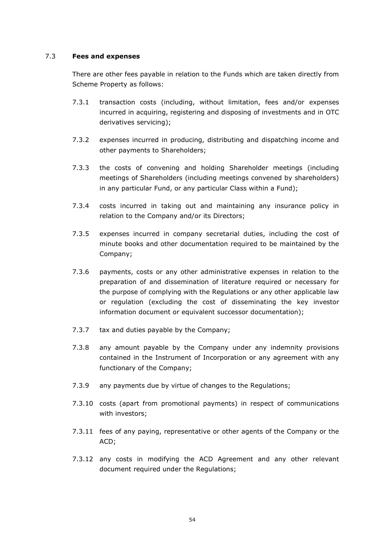### 7.3 **Fees and expenses**

There are other fees payable in relation to the Funds which are taken directly from Scheme Property as follows:

- 7.3.1 transaction costs (including, without limitation, fees and/or expenses incurred in acquiring, registering and disposing of investments and in OTC derivatives servicing);
- 7.3.2 expenses incurred in producing, distributing and dispatching income and other payments to Shareholders;
- 7.3.3 the costs of convening and holding Shareholder meetings (including meetings of Shareholders (including meetings convened by shareholders) in any particular Fund, or any particular Class within a Fund);
- 7.3.4 costs incurred in taking out and maintaining any insurance policy in relation to the Company and/or its Directors;
- 7.3.5 expenses incurred in company secretarial duties, including the cost of minute books and other documentation required to be maintained by the Company;
- 7.3.6 payments, costs or any other administrative expenses in relation to the preparation of and dissemination of literature required or necessary for the purpose of complying with the Regulations or any other applicable law or regulation (excluding the cost of disseminating the key investor information document or equivalent successor documentation);
- 7.3.7 tax and duties payable by the Company;
- 7.3.8 any amount payable by the Company under any indemnity provisions contained in the Instrument of Incorporation or any agreement with any functionary of the Company;
- 7.3.9 any payments due by virtue of changes to the Regulations;
- 7.3.10 costs (apart from promotional payments) in respect of communications with investors;
- 7.3.11 fees of any paying, representative or other agents of the Company or the ACD;
- 7.3.12 any costs in modifying the ACD Agreement and any other relevant document required under the Regulations;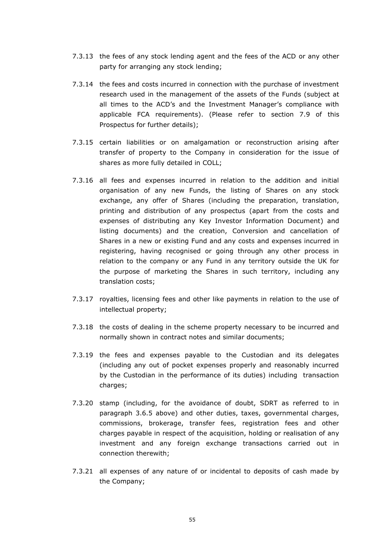- 7.3.13 the fees of any stock lending agent and the fees of the ACD or any other party for arranging any stock lending;
- 7.3.14 the fees and costs incurred in connection with the purchase of investment research used in the management of the assets of the Funds (subject at all times to the ACD's and the Investment Manager's compliance with applicable FCA requirements). (Please refer to section 7.9 of this Prospectus for further details);
- 7.3.15 certain liabilities or on amalgamation or reconstruction arising after transfer of property to the Company in consideration for the issue of shares as more fully detailed in COLL;
- 7.3.16 all fees and expenses incurred in relation to the addition and initial organisation of any new Funds, the listing of Shares on any stock exchange, any offer of Shares (including the preparation, translation, printing and distribution of any prospectus (apart from the costs and expenses of distributing any Key Investor Information Document) and listing documents) and the creation, Conversion and cancellation of Shares in a new or existing Fund and any costs and expenses incurred in registering, having recognised or going through any other process in relation to the company or any Fund in any territory outside the UK for the purpose of marketing the Shares in such territory, including any translation costs;
- 7.3.17 royalties, licensing fees and other like payments in relation to the use of intellectual property;
- 7.3.18 the costs of dealing in the scheme property necessary to be incurred and normally shown in contract notes and similar documents;
- 7.3.19 the fees and expenses payable to the Custodian and its delegates (including any out of pocket expenses properly and reasonably incurred by the Custodian in the performance of its duties) including transaction charges;
- 7.3.20 stamp (including, for the avoidance of doubt, SDRT as referred to in paragraph [3.6.5](#page-31-0) above) and other duties, taxes, governmental charges, commissions, brokerage, transfer fees, registration fees and other charges payable in respect of the acquisition, holding or realisation of any investment and any foreign exchange transactions carried out in connection therewith;
- 7.3.21 all expenses of any nature of or incidental to deposits of cash made by the Company;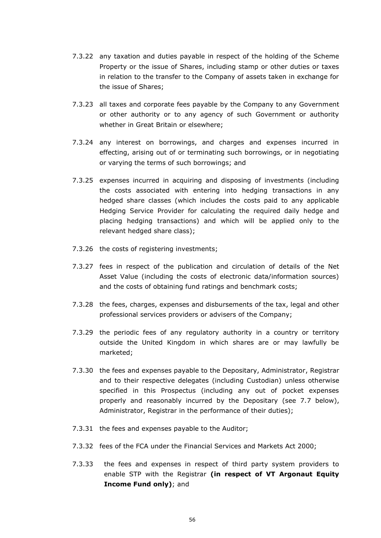- 7.3.22 any taxation and duties payable in respect of the holding of the Scheme Property or the issue of Shares, including stamp or other duties or taxes in relation to the transfer to the Company of assets taken in exchange for the issue of Shares;
- 7.3.23 all taxes and corporate fees payable by the Company to any Government or other authority or to any agency of such Government or authority whether in Great Britain or elsewhere;
- 7.3.24 any interest on borrowings, and charges and expenses incurred in effecting, arising out of or terminating such borrowings, or in negotiating or varying the terms of such borrowings; and
- 7.3.25 expenses incurred in acquiring and disposing of investments (including the costs associated with entering into hedging transactions in any hedged share classes (which includes the costs paid to any applicable Hedging Service Provider for calculating the required daily hedge and placing hedging transactions) and which will be applied only to the relevant hedged share class);
- 7.3.26 the costs of registering investments;
- 7.3.27 fees in respect of the publication and circulation of details of the Net Asset Value (including the costs of electronic data/information sources) and the costs of obtaining fund ratings and benchmark costs;
- 7.3.28 the fees, charges, expenses and disbursements of the tax, legal and other professional services providers or advisers of the Company;
- 7.3.29 the periodic fees of any regulatory authority in a country or territory outside the United Kingdom in which shares are or may lawfully be marketed;
- 7.3.30 the fees and expenses payable to the Depositary, Administrator, Registrar and to their respective delegates (including Custodian) unless otherwise specified in this Prospectus (including any out of pocket expenses properly and reasonably incurred by the Depositary (see 7.7 below), Administrator, Registrar in the performance of their duties);
- 7.3.31 the fees and expenses payable to the Auditor;
- 7.3.32 fees of the FCA under the Financial Services and Markets Act 2000;
- 7.3.33 the fees and expenses in respect of third party system providers to enable STP with the Registrar **(in respect of VT Argonaut Equity Income Fund only)**; and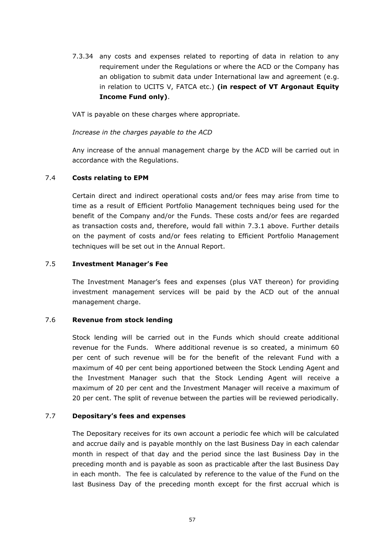7.3.34 any costs and expenses related to reporting of data in relation to any requirement under the Regulations or where the ACD or the Company has an obligation to submit data under International law and agreement (e.g. in relation to UCITS V, FATCA etc.) **(in respect of VT Argonaut Equity Income Fund only)**.

VAT is payable on these charges where appropriate.

### *Increase in the charges payable to the ACD*

Any increase of the annual management charge by the ACD will be carried out in accordance with the Regulations.

### 7.4 **Costs relating to EPM**

Certain direct and indirect operational costs and/or fees may arise from time to time as a result of Efficient Portfolio Management techniques being used for the benefit of the Company and/or the Funds. These costs and/or fees are regarded as transaction costs and, therefore, would fall within 7.3.1 above. Further details on the payment of costs and/or fees relating to Efficient Portfolio Management techniques will be set out in the Annual Report.

### 7.5 **Investment Manager's Fee**

The Investment Manager's fees and expenses (plus VAT thereon) for providing investment management services will be paid by the ACD out of the annual management charge.

## 7.6 **Revenue from stock lending**

Stock lending will be carried out in the Funds which should create additional revenue for the Funds. Where additional revenue is so created, a minimum 60 per cent of such revenue will be for the benefit of the relevant Fund with a maximum of 40 per cent being apportioned between the Stock Lending Agent and the Investment Manager such that the Stock Lending Agent will receive a maximum of 20 per cent and the Investment Manager will receive a maximum of 20 per cent. The split of revenue between the parties will be reviewed periodically.

### 7.7 **Depositary's fees and expenses**

The Depositary receives for its own account a periodic fee which will be calculated and accrue daily and is payable monthly on the last Business Day in each calendar month in respect of that day and the period since the last Business Day in the preceding month and is payable as soon as practicable after the last Business Day in each month. The fee is calculated by reference to the value of the Fund on the last Business Day of the preceding month except for the first accrual which is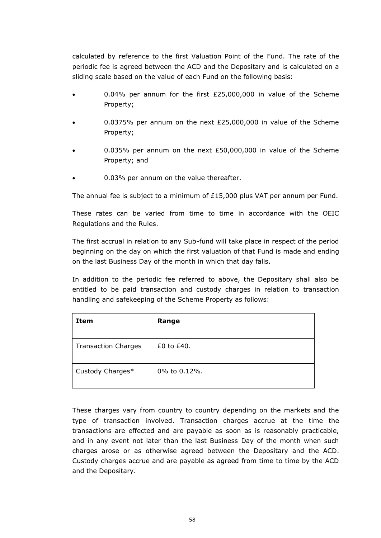calculated by reference to the first Valuation Point of the Fund. The rate of the periodic fee is agreed between the ACD and the Depositary and is calculated on a sliding scale based on the value of each Fund on the following basis:

- 0.04% per annum for the first £25,000,000 in value of the Scheme Property;
- 0.0375% per annum on the next £25,000,000 in value of the Scheme Property;
- 0.035% per annum on the next £50,000,000 in value of the Scheme Property; and
- 0.03% per annum on the value thereafter.

The annual fee is subject to a minimum of £15,000 plus VAT per annum per Fund.

These rates can be varied from time to time in accordance with the OEIC Regulations and the Rules.

The first accrual in relation to any Sub-fund will take place in respect of the period beginning on the day on which the first valuation of that Fund is made and ending on the last Business Day of the month in which that day falls.

In addition to the periodic fee referred to above, the Depositary shall also be entitled to be paid transaction and custody charges in relation to transaction handling and safekeeping of the Scheme Property as follows:

| Item                       | Range           |
|----------------------------|-----------------|
| <b>Transaction Charges</b> | $£0$ to $£40$ . |
| Custody Charges*           | 0% to 0.12%.    |

These charges vary from country to country depending on the markets and the type of transaction involved. Transaction charges accrue at the time the transactions are effected and are payable as soon as is reasonably practicable, and in any event not later than the last Business Day of the month when such charges arose or as otherwise agreed between the Depositary and the ACD. Custody charges accrue and are payable as agreed from time to time by the ACD and the Depositary.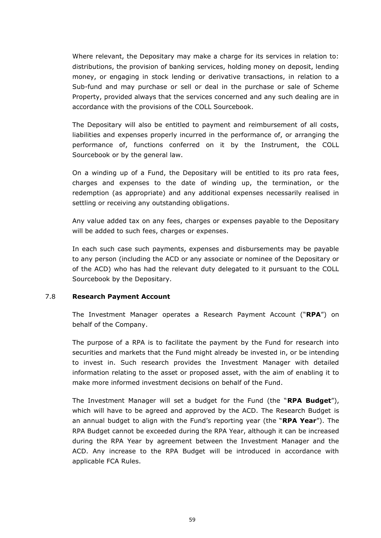Where relevant, the Depositary may make a charge for its services in relation to: distributions, the provision of banking services, holding money on deposit, lending money, or engaging in stock lending or derivative transactions, in relation to a Sub-fund and may purchase or sell or deal in the purchase or sale of Scheme Property, provided always that the services concerned and any such dealing are in accordance with the provisions of the COLL Sourcebook.

The Depositary will also be entitled to payment and reimbursement of all costs, liabilities and expenses properly incurred in the performance of, or arranging the performance of, functions conferred on it by the Instrument, the COLL Sourcebook or by the general law.

On a winding up of a Fund, the Depositary will be entitled to its pro rata fees, charges and expenses to the date of winding up, the termination, or the redemption (as appropriate) and any additional expenses necessarily realised in settling or receiving any outstanding obligations.

Any value added tax on any fees, charges or expenses payable to the Depositary will be added to such fees, charges or expenses.

In each such case such payments, expenses and disbursements may be payable to any person (including the ACD or any associate or nominee of the Depositary or of the ACD) who has had the relevant duty delegated to it pursuant to the COLL Sourcebook by the Depositary.

### 7.8 **Research Payment Account**

The Investment Manager operates a Research Payment Account ("**RPA**") on behalf of the Company.

The purpose of a RPA is to facilitate the payment by the Fund for research into securities and markets that the Fund might already be invested in, or be intending to invest in. Such research provides the Investment Manager with detailed information relating to the asset or proposed asset, with the aim of enabling it to make more informed investment decisions on behalf of the Fund.

The Investment Manager will set a budget for the Fund (the "**RPA Budget**"), which will have to be agreed and approved by the ACD. The Research Budget is an annual budget to align with the Fund's reporting year (the "**RPA Year**"). The RPA Budget cannot be exceeded during the RPA Year, although it can be increased during the RPA Year by agreement between the Investment Manager and the ACD. Any increase to the RPA Budget will be introduced in accordance with applicable FCA Rules.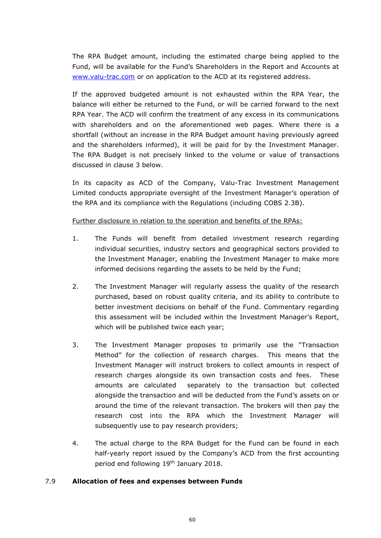The RPA Budget amount, including the estimated charge being applied to the Fund, will be available for the Fund's Shareholders in the Report and Accounts at [www.valu-trac.com](http://www.valu-trac.com/) or on application to the ACD at its registered address.

If the approved budgeted amount is not exhausted within the RPA Year, the balance will either be returned to the Fund, or will be carried forward to the next RPA Year. The ACD will confirm the treatment of any excess in its communications with shareholders and on the aforementioned web pages. Where there is a shortfall (without an increase in the RPA Budget amount having previously agreed and the shareholders informed), it will be paid for by the Investment Manager. The RPA Budget is not precisely linked to the volume or value of transactions discussed in clause 3 below.

In its capacity as ACD of the Company, Valu-Trac Investment Management Limited conducts appropriate oversight of the Investment Manager's operation of the RPA and its compliance with the Regulations (including COBS 2.3B).

Further disclosure in relation to the operation and benefits of the RPAs:

- 1. The Funds will benefit from detailed investment research regarding individual securities, industry sectors and geographical sectors provided to the Investment Manager, enabling the Investment Manager to make more informed decisions regarding the assets to be held by the Fund;
- 2. The Investment Manager will regularly assess the quality of the research purchased, based on robust quality criteria, and its ability to contribute to better investment decisions on behalf of the Fund. Commentary regarding this assessment will be included within the Investment Manager's Report, which will be published twice each year;
- 3. The Investment Manager proposes to primarily use the "Transaction Method" for the collection of research charges. This means that the Investment Manager will instruct brokers to collect amounts in respect of research charges alongside its own transaction costs and fees. These amounts are calculated separately to the transaction but collected alongside the transaction and will be deducted from the Fund's assets on or around the time of the relevant transaction. The brokers will then pay the research cost into the RPA which the Investment Manager will subsequently use to pay research providers;
- 4. The actual charge to the RPA Budget for the Fund can be found in each half-yearly report issued by the Company's ACD from the first accounting period end following 19<sup>th</sup> January 2018.

## 7.9 **Allocation of fees and expenses between Funds**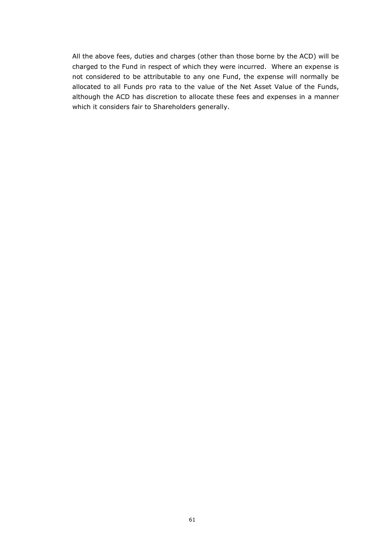All the above fees, duties and charges (other than those borne by the ACD) will be charged to the Fund in respect of which they were incurred. Where an expense is not considered to be attributable to any one Fund, the expense will normally be allocated to all Funds pro rata to the value of the Net Asset Value of the Funds, although the ACD has discretion to allocate these fees and expenses in a manner which it considers fair to Shareholders generally.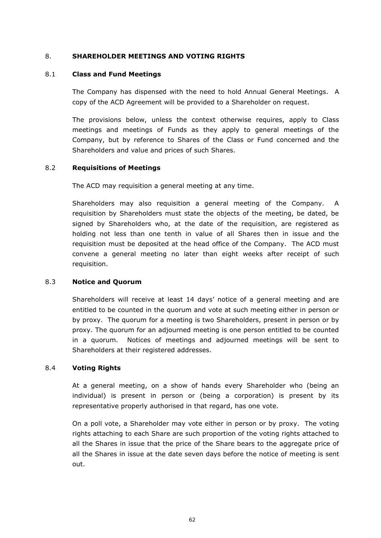### 8. **SHAREHOLDER MEETINGS AND VOTING RIGHTS**

### 8.1 **Class and Fund Meetings**

The Company has dispensed with the need to hold Annual General Meetings. A copy of the ACD Agreement will be provided to a Shareholder on request.

The provisions below, unless the context otherwise requires, apply to Class meetings and meetings of Funds as they apply to general meetings of the Company, but by reference to Shares of the Class or Fund concerned and the Shareholders and value and prices of such Shares.

### 8.2 **Requisitions of Meetings**

The ACD may requisition a general meeting at any time.

Shareholders may also requisition a general meeting of the Company. A requisition by Shareholders must state the objects of the meeting, be dated, be signed by Shareholders who, at the date of the requisition, are registered as holding not less than one tenth in value of all Shares then in issue and the requisition must be deposited at the head office of the Company. The ACD must convene a general meeting no later than eight weeks after receipt of such requisition.

## 8.3 **Notice and Quorum**

Shareholders will receive at least 14 days' notice of a general meeting and are entitled to be counted in the quorum and vote at such meeting either in person or by proxy. The quorum for a meeting is two Shareholders, present in person or by proxy. The quorum for an adjourned meeting is one person entitled to be counted in a quorum. Notices of meetings and adjourned meetings will be sent to Shareholders at their registered addresses.

#### 8.4 **Voting Rights**

At a general meeting, on a show of hands every Shareholder who (being an individual) is present in person or (being a corporation) is present by its representative properly authorised in that regard, has one vote.

On a poll vote, a Shareholder may vote either in person or by proxy. The voting rights attaching to each Share are such proportion of the voting rights attached to all the Shares in issue that the price of the Share bears to the aggregate price of all the Shares in issue at the date seven days before the notice of meeting is sent out.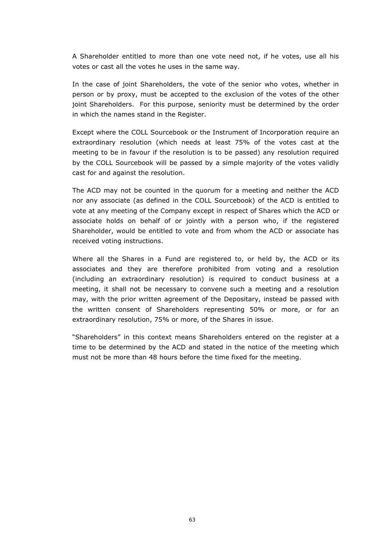A Shareholder entitled to more than one vote need not, if he votes, use all his votes or cast all the votes he uses in the same way.

In the case of joint Shareholders, the vote of the senior who votes, whether in person or by proxy, must be accepted to the exclusion of the votes of the other joint Shareholders. For this purpose, seniority must be determined by the order in which the names stand in the Register.

Except where the COLL Sourcebook or the Instrument of Incorporation require an extraordinary resolution (which needs at least 75% of the votes cast at the meeting to be in favour if the resolution is to be passed) any resolution required by the COLL Sourcebook will be passed by a simple majority of the votes validly cast for and against the resolution.

The ACD may not be counted in the quorum for a meeting and neither the ACD nor any associate (as defined in the COLL Sourcebook) of the ACD is entitled to vote at any meeting of the Company except in respect of Shares which the ACD or associate holds on behalf of or jointly with a person who, if the registered Shareholder, would be entitled to vote and from whom the ACD or associate has received voting instructions.

Where all the Shares in a Fund are registered to, or held by, the ACD or its associates and they are therefore prohibited from voting and a resolution (including an extraordinary resolution) is required to conduct business at a meeting, it shall not be necessary to convene such a meeting and a resolution may, with the prior written agreement of the Depositary, instead be passed with the written consent of Shareholders representing 50% or more, or for an extraordinary resolution, 75% or more, of the Shares in issue.

"Shareholders" in this context means Shareholders entered on the register at a time to be determined by the ACD and stated in the notice of the meeting which must not be more than 48 hours before the time fixed for the meeting.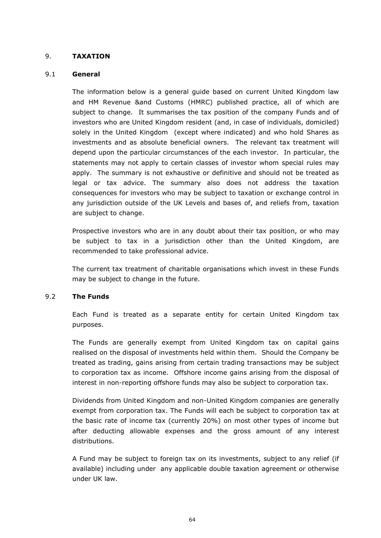## 9. **TAXATION**

### 9.1 **General**

The information below is a general guide based on current United Kingdom law and HM Revenue &and Customs (HMRC) published practice, all of which are subject to change. It summarises the tax position of the company Funds and of investors who are United Kingdom resident (and, in case of individuals, domiciled) solely in the United Kingdom (except where indicated) and who hold Shares as investments and as absolute beneficial owners. The relevant tax treatment will depend upon the particular circumstances of the each investor. In particular, the statements may not apply to certain classes of investor whom special rules may apply. The summary is not exhaustive or definitive and should not be treated as legal or tax advice. The summary also does not address the taxation consequences for investors who may be subject to taxation or exchange control in any jurisdiction outside of the UK Levels and bases of, and reliefs from, taxation are subject to change.

Prospective investors who are in any doubt about their tax position, or who may be subject to tax in a jurisdiction other than the United Kingdom, are recommended to take professional advice.

The current tax treatment of charitable organisations which invest in these Funds may be subject to change in the future.

#### 9.2 **The Funds**

Each Fund is treated as a separate entity for certain United Kingdom tax purposes.

The Funds are generally exempt from United Kingdom tax on capital gains realised on the disposal of investments held within them. Should the Company be treated as trading, gains arising from certain trading transactions may be subject to corporation tax as income. Offshore income gains arising from the disposal of interest in non-reporting offshore funds may also be subject to corporation tax.

Dividends from United Kingdom and non-United Kingdom companies are generally exempt from corporation tax. The Funds will each be subject to corporation tax at the basic rate of income tax (currently 20%) on most other types of income but after deducting allowable expenses and the gross amount of any interest distributions.

A Fund may be subject to foreign tax on its investments, subject to any relief (if available) including under any applicable double taxation agreement or otherwise under UK law.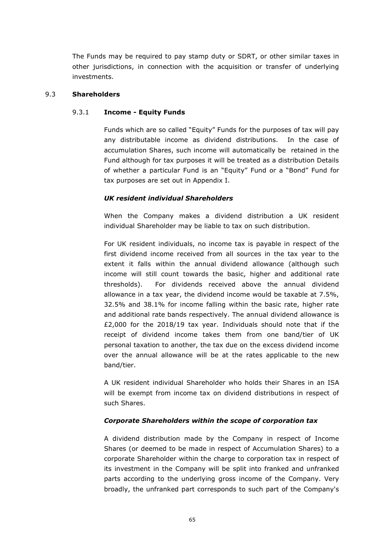The Funds may be required to pay stamp duty or SDRT, or other similar taxes in other jurisdictions, in connection with the acquisition or transfer of underlying investments.

#### 9.3 **Shareholders**

## 9.3.1 **Income - Equity Funds**

Funds which are so called "Equity" Funds for the purposes of tax will pay any distributable income as dividend distributions. In the case of accumulation Shares, such income will automatically be retained in the Fund although for tax purposes it will be treated as a distribution Details of whether a particular Fund is an "Equity" Fund or a "Bond" Fund for tax purposes are set out in Appendix I.

# *UK resident individual Shareholders*

When the Company makes a dividend distribution a UK resident individual Shareholder may be liable to tax on such distribution.

For UK resident individuals, no income tax is payable in respect of the first dividend income received from all sources in the tax year to the extent it falls within the annual dividend allowance (although such income will still count towards the basic, higher and additional rate thresholds). For dividends received above the annual dividend allowance in a tax year, the dividend income would be taxable at 7.5%, 32.5% and 38.1% for income falling within the basic rate, higher rate and additional rate bands respectively. The annual dividend allowance is £2,000 for the 2018/19 tax year. Individuals should note that if the receipt of dividend income takes them from one band/tier of UK personal taxation to another, the tax due on the excess dividend income over the annual allowance will be at the rates applicable to the new band/tier.

A UK resident individual Shareholder who holds their Shares in an ISA will be exempt from income tax on dividend distributions in respect of such Shares.

## *Corporate Shareholders within the scope of corporation tax*

A dividend distribution made by the Company in respect of Income Shares (or deemed to be made in respect of Accumulation Shares) to a corporate Shareholder within the charge to corporation tax in respect of its investment in the Company will be split into franked and unfranked parts according to the underlying gross income of the Company. Very broadly, the unfranked part corresponds to such part of the Company's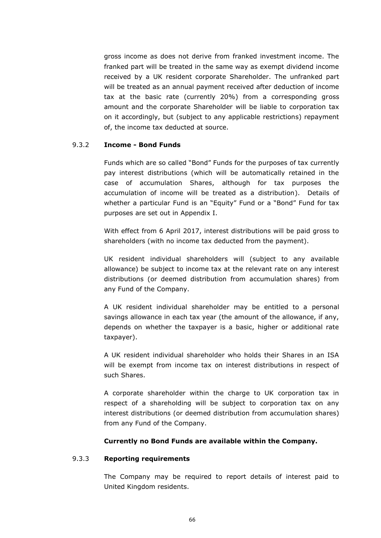gross income as does not derive from franked investment income. The franked part will be treated in the same way as exempt dividend income received by a UK resident corporate Shareholder. The unfranked part will be treated as an annual payment received after deduction of income tax at the basic rate (currently 20%) from a corresponding gross amount and the corporate Shareholder will be liable to corporation tax on it accordingly, but (subject to any applicable restrictions) repayment of, the income tax deducted at source.

## 9.3.2 **Income - Bond Funds**

Funds which are so called "Bond" Funds for the purposes of tax currently pay interest distributions (which will be automatically retained in the case of accumulation Shares, although for tax purposes the accumulation of income will be treated as a distribution). Details of whether a particular Fund is an "Equity" Fund or a "Bond" Fund for tax purposes are set out in Appendix I.

With effect from 6 April 2017, interest distributions will be paid gross to shareholders (with no income tax deducted from the payment).

UK resident individual shareholders will (subject to any available allowance) be subject to income tax at the relevant rate on any interest distributions (or deemed distribution from accumulation shares) from any Fund of the Company.

A UK resident individual shareholder may be entitled to a personal savings allowance in each tax year (the amount of the allowance, if any, depends on whether the taxpayer is a basic, higher or additional rate taxpayer).

A UK resident individual shareholder who holds their Shares in an ISA will be exempt from income tax on interest distributions in respect of such Shares.

A corporate shareholder within the charge to UK corporation tax in respect of a shareholding will be subject to corporation tax on any interest distributions (or deemed distribution from accumulation shares) from any Fund of the Company.

#### **Currently no Bond Funds are available within the Company.**

## 9.3.3 **Reporting requirements**

The Company may be required to report details of interest paid to United Kingdom residents.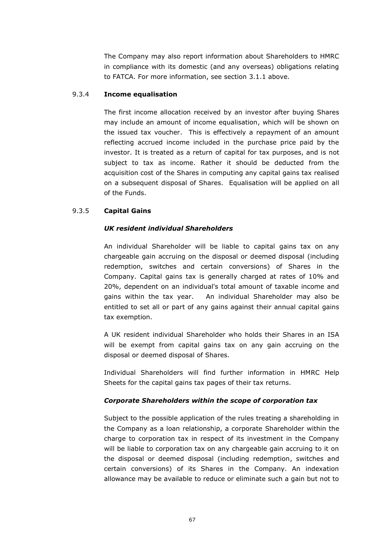The Company may also report information about Shareholders to HMRC in compliance with its domestic (and any overseas) obligations relating to FATCA. For more information, see section [3.1.1](#page-20-0) above.

#### 9.3.4 **Income equalisation**

The first income allocation received by an investor after buying Shares may include an amount of income equalisation, which will be shown on the issued tax voucher. This is effectively a repayment of an amount reflecting accrued income included in the purchase price paid by the investor. It is treated as a return of capital for tax purposes, and is not subject to tax as income. Rather it should be deducted from the acquisition cost of the Shares in computing any capital gains tax realised on a subsequent disposal of Shares. Equalisation will be applied on all of the Funds.

## 9.3.5 **Capital Gains**

## *UK resident individual Shareholders*

An individual Shareholder will be liable to capital gains tax on any chargeable gain accruing on the disposal or deemed disposal (including redemption, switches and certain conversions) of Shares in the Company. Capital gains tax is generally charged at rates of 10% and 20%, dependent on an individual's total amount of taxable income and gains within the tax year. An individual Shareholder may also be entitled to set all or part of any gains against their annual capital gains tax exemption.

A UK resident individual Shareholder who holds their Shares in an ISA will be exempt from capital gains tax on any gain accruing on the disposal or deemed disposal of Shares.

Individual Shareholders will find further information in HMRC Help Sheets for the capital gains tax pages of their tax returns.

## *Corporate Shareholders within the scope of corporation tax*

Subject to the possible application of the rules treating a shareholding in the Company as a loan relationship, a corporate Shareholder within the charge to corporation tax in respect of its investment in the Company will be liable to corporation tax on any chargeable gain accruing to it on the disposal or deemed disposal (including redemption, switches and certain conversions) of its Shares in the Company. An indexation allowance may be available to reduce or eliminate such a gain but not to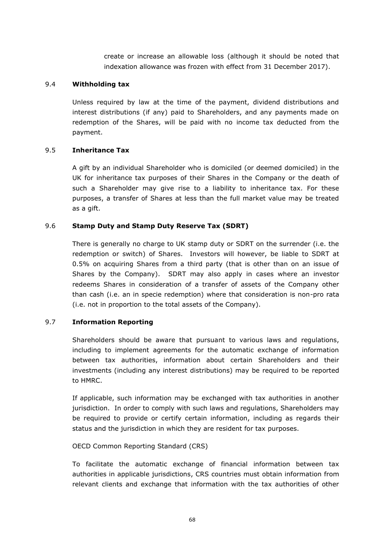create or increase an allowable loss (although it should be noted that indexation allowance was frozen with effect from 31 December 2017).

## 9.4 **Withholding tax**

Unless required by law at the time of the payment, dividend distributions and interest distributions (if any) paid to Shareholders, and any payments made on redemption of the Shares, will be paid with no income tax deducted from the payment.

## 9.5 **Inheritance Tax**

A gift by an individual Shareholder who is domiciled (or deemed domiciled) in the UK for inheritance tax purposes of their Shares in the Company or the death of such a Shareholder may give rise to a liability to inheritance tax. For these purposes, a transfer of Shares at less than the full market value may be treated as a gift.

## 9.6 **Stamp Duty and Stamp Duty Reserve Tax (SDRT)**

There is generally no charge to UK stamp duty or SDRT on the surrender (i.e. the redemption or switch) of Shares. Investors will however, be liable to SDRT at 0.5% on acquiring Shares from a third party (that is other than on an issue of Shares by the Company). SDRT may also apply in cases where an investor redeems Shares in consideration of a transfer of assets of the Company other than cash (i.e. an in specie redemption) where that consideration is non-pro rata (i.e. not in proportion to the total assets of the Company).

#### 9.7 **Information Reporting**

Shareholders should be aware that pursuant to various laws and regulations, including to implement agreements for the automatic exchange of information between tax authorities, information about certain Shareholders and their investments (including any interest distributions) may be required to be reported to HMRC.

If applicable, such information may be exchanged with tax authorities in another jurisdiction. In order to comply with such laws and regulations, Shareholders may be required to provide or certify certain information, including as regards their status and the jurisdiction in which they are resident for tax purposes.

#### OECD Common Reporting Standard (CRS)

To facilitate the automatic exchange of financial information between tax authorities in applicable jurisdictions, CRS countries must obtain information from relevant clients and exchange that information with the tax authorities of other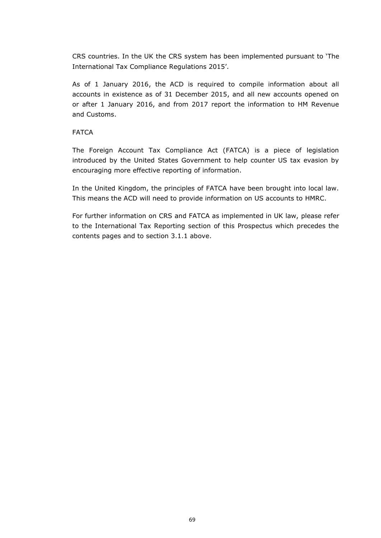CRS countries. In the UK the CRS system has been implemented pursuant to 'The International Tax Compliance Regulations 2015'.

As of 1 January 2016, the ACD is required to compile information about all accounts in existence as of 31 December 2015, and all new accounts opened on or after 1 January 2016, and from 2017 report the information to HM Revenue and Customs.

## FATCA

The Foreign Account Tax Compliance Act (FATCA) is a piece of legislation introduced by the United States Government to help counter US tax evasion by encouraging more effective reporting of information.

In the United Kingdom, the principles of FATCA have been brought into local law. This means the ACD will need to provide information on US accounts to HMRC.

For further information on CRS and FATCA as implemented in UK law, please refer to the International Tax Reporting section of this Prospectus which precedes the contents pages and to section 3.1.1 above.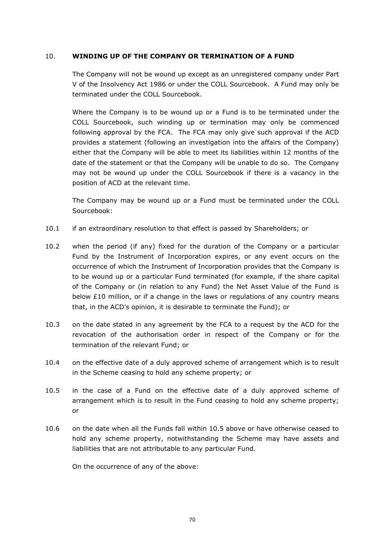## 10. **WINDING UP OF THE COMPANY OR TERMINATION OF A FUND**

The Company will not be wound up except as an unregistered company under Part V of the Insolvency Act 1986 or under the COLL Sourcebook. A Fund may only be terminated under the COLL Sourcebook.

Where the Company is to be wound up or a Fund is to be terminated under the COLL Sourcebook, such winding up or termination may only be commenced following approval by the FCA. The FCA may only give such approval if the ACD provides a statement (following an investigation into the affairs of the Company) either that the Company will be able to meet its liabilities within 12 months of the date of the statement or that the Company will be unable to do so. The Company may not be wound up under the COLL Sourcebook if there is a vacancy in the position of ACD at the relevant time.

The Company may be wound up or a Fund must be terminated under the COLL Sourcebook:

- 10.1 if an extraordinary resolution to that effect is passed by Shareholders; or
- 10.2 when the period (if any) fixed for the duration of the Company or a particular Fund by the Instrument of Incorporation expires, or any event occurs on the occurrence of which the Instrument of Incorporation provides that the Company is to be wound up or a particular Fund terminated (for example, if the share capital of the Company or (in relation to any Fund) the Net Asset Value of the Fund is below £10 million, or if a change in the laws or regulations of any country means that, in the ACD's opinion, it is desirable to terminate the Fund); or
- 10.3 on the date stated in any agreement by the FCA to a request by the ACD for the revocation of the authorisation order in respect of the Company or for the termination of the relevant Fund; or
- 10.4 on the effective date of a duly approved scheme of arrangement which is to result in the Scheme ceasing to hold any scheme property; or
- 10.5 in the case of a Fund on the effective date of a duly approved scheme of arrangement which is to result in the Fund ceasing to hold any scheme property; or
- 10.6 on the date when all the Funds fall within 10.5 above or have otherwise ceased to hold any scheme property, notwithstanding the Scheme may have assets and liabilities that are not attributable to any particular Fund.

On the occurrence of any of the above: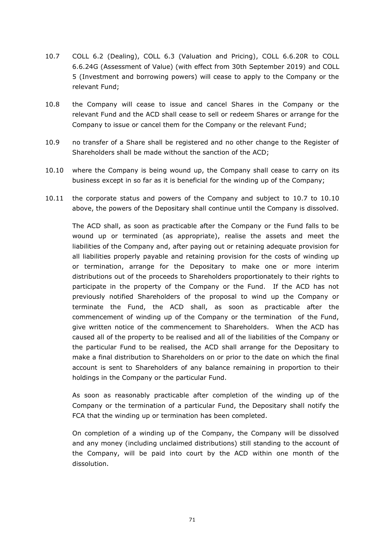- <span id="page-78-0"></span>10.7 COLL 6.2 (Dealing), COLL 6.3 (Valuation and Pricing), COLL 6.6.20R to COLL 6.6.24G (Assessment of Value) (with effect from 30th September 2019) and COLL 5 (Investment and borrowing powers) will cease to apply to the Company or the relevant Fund;
- 10.8 the Company will cease to issue and cancel Shares in the Company or the relevant Fund and the ACD shall cease to sell or redeem Shares or arrange for the Company to issue or cancel them for the Company or the relevant Fund;
- 10.9 no transfer of a Share shall be registered and no other change to the Register of Shareholders shall be made without the sanction of the ACD;
- <span id="page-78-1"></span>10.10 where the Company is being wound up, the Company shall cease to carry on its business except in so far as it is beneficial for the winding up of the Company;
- 10.11 the corporate status and powers of the Company and subject to [10.7](#page-78-0) to [10.10](#page-78-1) above, the powers of the Depositary shall continue until the Company is dissolved.

The ACD shall, as soon as practicable after the Company or the Fund falls to be wound up or terminated (as appropriate), realise the assets and meet the liabilities of the Company and, after paying out or retaining adequate provision for all liabilities properly payable and retaining provision for the costs of winding up or termination, arrange for the Depositary to make one or more interim distributions out of the proceeds to Shareholders proportionately to their rights to participate in the property of the Company or the Fund. If the ACD has not previously notified Shareholders of the proposal to wind up the Company or terminate the Fund, the ACD shall, as soon as practicable after the commencement of winding up of the Company or the termination of the Fund, give written notice of the commencement to Shareholders. When the ACD has caused all of the property to be realised and all of the liabilities of the Company or the particular Fund to be realised, the ACD shall arrange for the Depositary to make a final distribution to Shareholders on or prior to the date on which the final account is sent to Shareholders of any balance remaining in proportion to their holdings in the Company or the particular Fund.

As soon as reasonably practicable after completion of the winding up of the Company or the termination of a particular Fund, the Depositary shall notify the FCA that the winding up or termination has been completed.

On completion of a winding up of the Company, the Company will be dissolved and any money (including unclaimed distributions) still standing to the account of the Company, will be paid into court by the ACD within one month of the dissolution.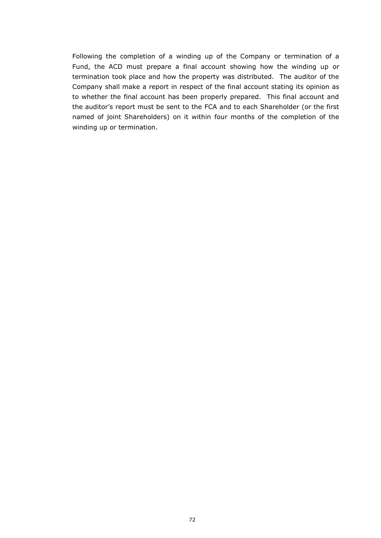Following the completion of a winding up of the Company or termination of a Fund, the ACD must prepare a final account showing how the winding up or termination took place and how the property was distributed. The auditor of the Company shall make a report in respect of the final account stating its opinion as to whether the final account has been properly prepared. This final account and the auditor's report must be sent to the FCA and to each Shareholder (or the first named of joint Shareholders) on it within four months of the completion of the winding up or termination.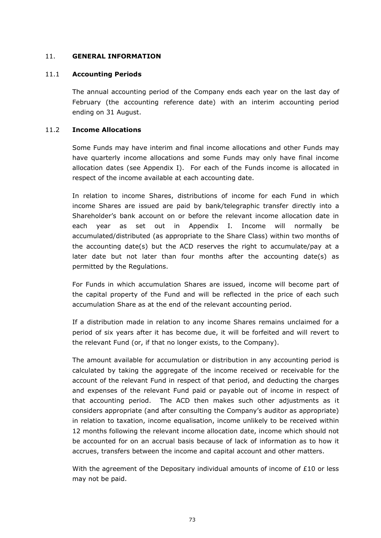## 11. **GENERAL INFORMATION**

## 11.1 **Accounting Periods**

The annual accounting period of the Company ends each year on the last day of February (the accounting reference date) with an interim accounting period ending on 31 August.

## 11.2 **Income Allocations**

Some Funds may have interim and final income allocations and other Funds may have quarterly income allocations and some Funds may only have final income allocation dates (see Appendix I). For each of the Funds income is allocated in respect of the income available at each accounting date.

In relation to income Shares, distributions of income for each Fund in which income Shares are issued are paid by bank/telegraphic transfer directly into a Shareholder's bank account on or before the relevant income allocation date in each year as set out in Appendix I. Income will normally be accumulated/distributed (as appropriate to the Share Class) within two months of the accounting date(s) but the ACD reserves the right to accumulate/pay at a later date but not later than four months after the accounting date(s) as permitted by the Regulations.

For Funds in which accumulation Shares are issued, income will become part of the capital property of the Fund and will be reflected in the price of each such accumulation Share as at the end of the relevant accounting period.

If a distribution made in relation to any income Shares remains unclaimed for a period of six years after it has become due, it will be forfeited and will revert to the relevant Fund (or, if that no longer exists, to the Company).

The amount available for accumulation or distribution in any accounting period is calculated by taking the aggregate of the income received or receivable for the account of the relevant Fund in respect of that period, and deducting the charges and expenses of the relevant Fund paid or payable out of income in respect of that accounting period. The ACD then makes such other adjustments as it considers appropriate (and after consulting the Company's auditor as appropriate) in relation to taxation, income equalisation, income unlikely to be received within 12 months following the relevant income allocation date, income which should not be accounted for on an accrual basis because of lack of information as to how it accrues, transfers between the income and capital account and other matters.

With the agreement of the Depositary individual amounts of income of  $E10$  or less may not be paid.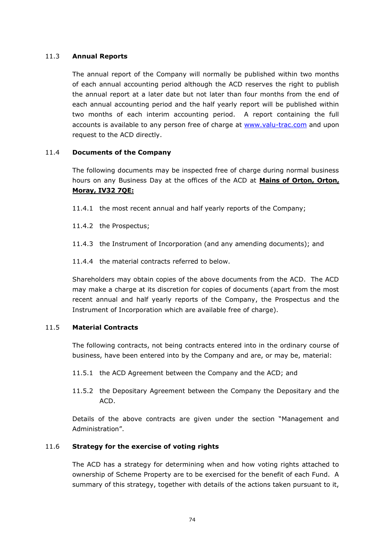## 11.3 **Annual Reports**

The annual report of the Company will normally be published within two months of each annual accounting period although the ACD reserves the right to publish the annual report at a later date but not later than four months from the end of each annual accounting period and the half yearly report will be published within two months of each interim accounting period. A report containing the full accounts is available to any person free of charge at [www.valu-trac.com](http://www.valu-trac.com/) and upon request to the ACD directly.

## 11.4 **Documents of the Company**

The following documents may be inspected free of charge during normal business hours on any Business Day at the offices of the ACD at **Mains of Orton, Orton, Moray, IV32 7QE:**

- 11.4.1 the most recent annual and half yearly reports of the Company;
- 11.4.2 the Prospectus;
- 11.4.3 the Instrument of Incorporation (and any amending documents); and
- 11.4.4 the material contracts referred to below.

Shareholders may obtain copies of the above documents from the ACD. The ACD may make a charge at its discretion for copies of documents (apart from the most recent annual and half yearly reports of the Company, the Prospectus and the Instrument of Incorporation which are available free of charge).

## 11.5 **Material Contracts**

The following contracts, not being contracts entered into in the ordinary course of business, have been entered into by the Company and are, or may be, material:

- 11.5.1 the ACD Agreement between the Company and the ACD; and
- 11.5.2 the Depositary Agreement between the Company the Depositary and the ACD.

Details of the above contracts are given under the section "Management and Administration".

# 11.6 **Strategy for the exercise of voting rights**

The ACD has a strategy for determining when and how voting rights attached to ownership of Scheme Property are to be exercised for the benefit of each Fund. A summary of this strategy, together with details of the actions taken pursuant to it,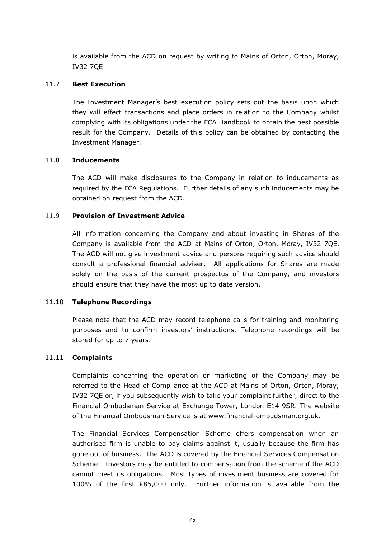is available from the ACD on request by writing to Mains of Orton, Orton, Moray, IV32 7QE.

## 11.7 **Best Execution**

The Investment Manager's best execution policy sets out the basis upon which they will effect transactions and place orders in relation to the Company whilst complying with its obligations under the FCA Handbook to obtain the best possible result for the Company. Details of this policy can be obtained by contacting the Investment Manager.

## 11.8 **Inducements**

The ACD will make disclosures to the Company in relation to inducements as required by the FCA Regulations. Further details of any such inducements may be obtained on request from the ACD.

## 11.9 **Provision of Investment Advice**

All information concerning the Company and about investing in Shares of the Company is available from the ACD at Mains of Orton, Orton, Moray, IV32 7QE. The ACD will not give investment advice and persons requiring such advice should consult a professional financial adviser. All applications for Shares are made solely on the basis of the current prospectus of the Company, and investors should ensure that they have the most up to date version.

#### 11.10 **Telephone Recordings**

Please note that the ACD may record telephone calls for training and monitoring purposes and to confirm investors' instructions. Telephone recordings will be stored for up to 7 years.

#### 11.11 **Complaints**

Complaints concerning the operation or marketing of the Company may be referred to the Head of Compliance at the ACD at Mains of Orton, Orton, Moray, IV32 7QE or, if you subsequently wish to take your complaint further, direct to the Financial Ombudsman Service at Exchange Tower, London E14 9SR. The website of the Financial Ombudsman Service is at www.financial-ombudsman.org.uk.

The Financial Services Compensation Scheme offers compensation when an authorised firm is unable to pay claims against it, usually because the firm has gone out of business. The ACD is covered by the Financial Services Compensation Scheme. Investors may be entitled to compensation from the scheme if the ACD cannot meet its obligations. Most types of investment business are covered for 100% of the first £85,000 only. Further information is available from the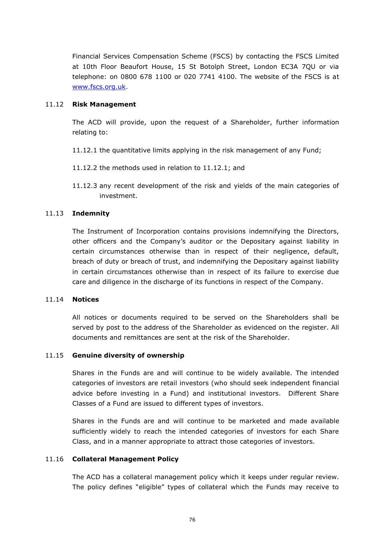Financial Services Compensation Scheme (FSCS) by contacting the FSCS Limited at 10th Floor Beaufort House, 15 St Botolph Street, London EC3A 7QU or via telephone: on 0800 678 1100 or 020 7741 4100. The website of the FSCS is at [www.fscs.org.uk.](http://www.fscs.org.uk/)

## 11.12 **Risk Management**

The ACD will provide, upon the request of a Shareholder, further information relating to:

- <span id="page-83-0"></span>11.12.1 the quantitative limits applying in the risk management of any Fund;
- 11.12.2 the methods used in relation to [11.12.1;](#page-83-0) and
- 11.12.3 any recent development of the risk and yields of the main categories of investment.

## 11.13 **Indemnity**

The Instrument of Incorporation contains provisions indemnifying the Directors, other officers and the Company's auditor or the Depositary against liability in certain circumstances otherwise than in respect of their negligence, default, breach of duty or breach of trust, and indemnifying the Depositary against liability in certain circumstances otherwise than in respect of its failure to exercise due care and diligence in the discharge of its functions in respect of the Company.

#### 11.14 **Notices**

All notices or documents required to be served on the Shareholders shall be served by post to the address of the Shareholder as evidenced on the register. All documents and remittances are sent at the risk of the Shareholder.

#### 11.15 **Genuine diversity of ownership**

Shares in the Funds are and will continue to be widely available. The intended categories of investors are retail investors (who should seek independent financial advice before investing in a Fund) and institutional investors. Different Share Classes of a Fund are issued to different types of investors.

Shares in the Funds are and will continue to be marketed and made available sufficiently widely to reach the intended categories of investors for each Share Class, and in a manner appropriate to attract those categories of investors.

#### <span id="page-83-1"></span>11.16 **Collateral Management Policy**

The ACD has a collateral management policy which it keeps under regular review. The policy defines "eligible" types of collateral which the Funds may receive to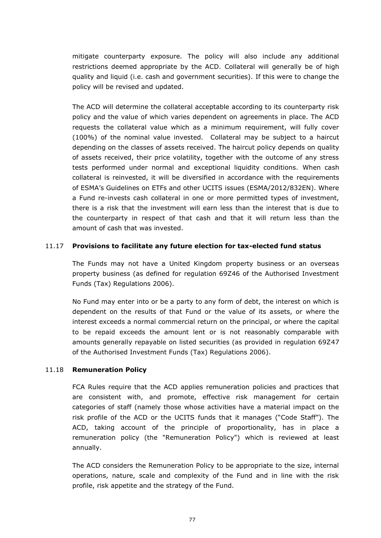mitigate counterparty exposure. The policy will also include any additional restrictions deemed appropriate by the ACD. Collateral will generally be of high quality and liquid (i.e. cash and government securities). If this were to change the policy will be revised and updated.

The ACD will determine the collateral acceptable according to its counterparty risk policy and the value of which varies dependent on agreements in place. The ACD requests the collateral value which as a minimum requirement, will fully cover (100%) of the nominal value invested. Collateral may be subject to a haircut depending on the classes of assets received. The haircut policy depends on quality of assets received, their price volatility, together with the outcome of any stress tests performed under normal and exceptional liquidity conditions. When cash collateral is reinvested, it will be diversified in accordance with the requirements of ESMA's Guidelines on ETFs and other UCITS issues (ESMA/2012/832EN). Where a Fund re-invests cash collateral in one or more permitted types of investment, there is a risk that the investment will earn less than the interest that is due to the counterparty in respect of that cash and that it will return less than the amount of cash that was invested.

## 11.17 **Provisions to facilitate any future election for tax-elected fund status**

The Funds may not have a United Kingdom property business or an overseas property business (as defined for regulation 69Z46 of the Authorised Investment Funds (Tax) Regulations 2006).

No Fund may enter into or be a party to any form of debt, the interest on which is dependent on the results of that Fund or the value of its assets, or where the interest exceeds a normal commercial return on the principal, or where the capital to be repaid exceeds the amount lent or is not reasonably comparable with amounts generally repayable on listed securities (as provided in regulation 69Z47 of the Authorised Investment Funds (Tax) Regulations 2006).

## 11.18 **Remuneration Policy**

FCA Rules require that the ACD applies remuneration policies and practices that are consistent with, and promote, effective risk management for certain categories of staff (namely those whose activities have a material impact on the risk profile of the ACD or the UCITS funds that it manages ("Code Staff"). The ACD, taking account of the principle of proportionality, has in place a remuneration policy (the "Remuneration Policy") which is reviewed at least annually.

The ACD considers the Remuneration Policy to be appropriate to the size, internal operations, nature, scale and complexity of the Fund and in line with the risk profile, risk appetite and the strategy of the Fund.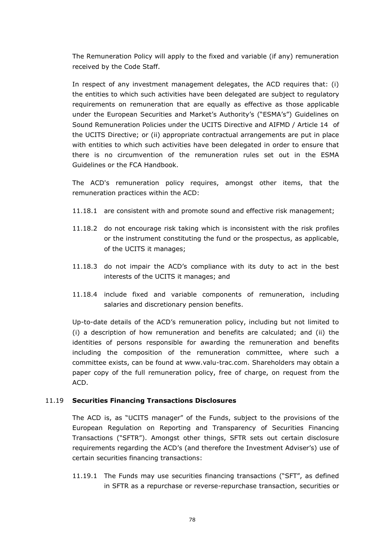The Remuneration Policy will apply to the fixed and variable (if any) remuneration received by the Code Staff.

In respect of any investment management delegates, the ACD requires that: (i) the entities to which such activities have been delegated are subject to regulatory requirements on remuneration that are equally as effective as those applicable under the European Securities and Market's Authority's ("ESMA's") Guidelines on Sound Remuneration Policies under the UCITS Directive and AIFMD / Article 14 of the UCITS Directive; or (ii) appropriate contractual arrangements are put in place with entities to which such activities have been delegated in order to ensure that there is no circumvention of the remuneration rules set out in the ESMA Guidelines or the FCA Handbook.

The ACD's remuneration policy requires, amongst other items, that the remuneration practices within the ACD:

- 11.18.1 are consistent with and promote sound and effective risk management;
- 11.18.2 do not encourage risk taking which is inconsistent with the risk profiles or the instrument constituting the fund or the prospectus, as applicable, of the UCITS it manages;
- 11.18.3 do not impair the ACD's compliance with its duty to act in the best interests of the UCITS it manages; and
- 11.18.4 include fixed and variable components of remuneration, including salaries and discretionary pension benefits.

Up-to-date details of the ACD's remuneration policy, including but not limited to (i) a description of how remuneration and benefits are calculated; and (ii) the identities of persons responsible for awarding the remuneration and benefits including the composition of the remuneration committee, where such a committee exists, can be found at www.valu-trac.com. Shareholders may obtain a paper copy of the full remuneration policy, free of charge, on request from the ACD.

## 11.19 **Securities Financing Transactions Disclosures**

The ACD is, as "UCITS manager" of the Funds, subject to the provisions of the European Regulation on Reporting and Transparency of Securities Financing Transactions ("SFTR"). Amongst other things, SFTR sets out certain disclosure requirements regarding the ACD's (and therefore the Investment Adviser's) use of certain securities financing transactions:

<span id="page-85-0"></span>11.19.1 The Funds may use securities financing transactions ("SFT", as defined in SFTR as a repurchase or reverse-repurchase transaction, securities or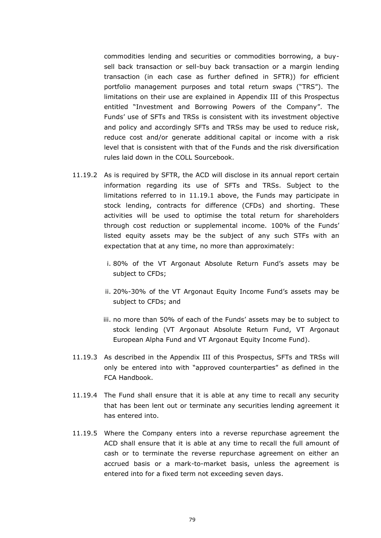commodities lending and securities or commodities borrowing, a buysell back transaction or sell-buy back transaction or a margin lending transaction (in each case as further defined in SFTR)) for efficient portfolio management purposes and total return swaps ("TRS"). The limitations on their use are explained in Appendix III of this Prospectus entitled "Investment and Borrowing Powers of the Company". The Funds' use of SFTs and TRSs is consistent with its investment objective and policy and accordingly SFTs and TRSs may be used to reduce risk, reduce cost and/or generate additional capital or income with a risk level that is consistent with that of the Funds and the risk diversification rules laid down in the COLL Sourcebook.

- 11.19.2 As is required by SFTR, the ACD will disclose in its annual report certain information regarding its use of SFTs and TRSs. Subject to the limitations referred to in [11.19.1](#page-85-0) above, the Funds may participate in stock lending, contracts for difference (CFDs) and shorting. These activities will be used to optimise the total return for shareholders through cost reduction or supplemental income. 100% of the Funds' listed equity assets may be the subject of any such STFs with an expectation that at any time, no more than approximately:
	- i. 80% of the VT Argonaut Absolute Return Fund's assets may be subject to CFDs;
	- ii. 20%-30% of the VT Argonaut Equity Income Fund's assets may be subject to CFDs; and
	- iii. no more than 50% of each of the Funds' assets may be to subject to stock lending (VT Argonaut Absolute Return Fund, VT Argonaut European Alpha Fund and VT Argonaut Equity Income Fund).
- 11.19.3 As described in the Appendix III of this Prospectus, SFTs and TRSs will only be entered into with "approved counterparties" as defined in the FCA Handbook.
- <span id="page-86-0"></span>11.19.4 The Fund shall ensure that it is able at any time to recall any security that has been lent out or terminate any securities lending agreement it has entered into.
- 11.19.5 Where the Company enters into a reverse repurchase agreement the ACD shall ensure that it is able at any time to recall the full amount of cash or to terminate the reverse repurchase agreement on either an accrued basis or a mark-to-market basis, unless the agreement is entered into for a fixed term not exceeding seven days.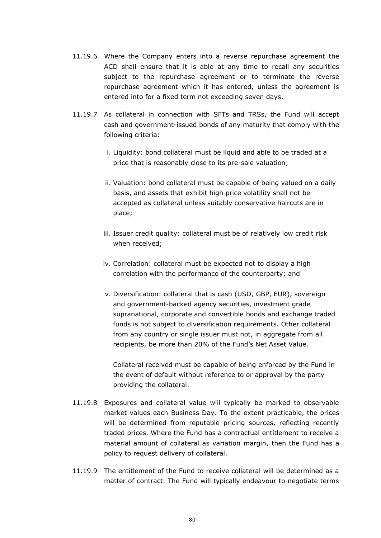- 11.19.6 Where the Company enters into a reverse repurchase agreement the ACD shall ensure that it is able at any time to recall any securities subject to the repurchase agreement or to terminate the reverse repurchase agreement which it has entered, unless the agreement is entered into for a fixed term not exceeding seven days.
- 11.19.7 As collateral in connection with SFTs and TRSs, the Fund will accept cash and government-issued bonds of any maturity that comply with the following criteria:
	- i. Liquidity: bond collateral must be liquid and able to be traded at a price that is reasonably close to its pre-sale valuation;
	- ii. Valuation: bond collateral must be capable of being valued on a daily basis, and assets that exhibit high price volatility shall not be accepted as collateral unless suitably conservative haircuts are in place;
	- iii. Issuer credit quality: collateral must be of relatively low credit risk when received;
	- iv. Correlation: collateral must be expected not to display a high correlation with the performance of the counterparty; and
	- v. Diversification: collateral that is cash (USD, GBP, EUR), sovereign and government-backed agency securities, investment grade supranational, corporate and convertible bonds and exchange traded funds is not subject to diversification requirements. Other collateral from any country or single issuer must not, in aggregate from all recipients, be more than 20% of the Fund's Net Asset Value.

Collateral received must be capable of being enforced by the Fund in the event of default without reference to or approval by the party providing the collateral.

- 11.19.8 Exposures and collateral value will typically be marked to observable market values each Business Day. To the extent practicable, the prices will be determined from reputable pricing sources, reflecting recently traded prices. Where the Fund has a contractual entitlement to receive a material amount of collateral as variation margin, then the Fund has a policy to request delivery of collateral.
- 11.19.9 The entitlement of the Fund to receive collateral will be determined as a matter of contract. The Fund will typically endeavour to negotiate terms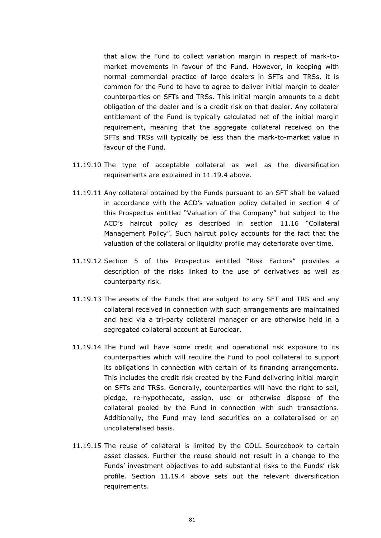that allow the Fund to collect variation margin in respect of mark-tomarket movements in favour of the Fund. However, in keeping with normal commercial practice of large dealers in SFTs and TRSs, it is common for the Fund to have to agree to deliver initial margin to dealer counterparties on SFTs and TRSs. This initial margin amounts to a debt obligation of the dealer and is a credit risk on that dealer. Any collateral entitlement of the Fund is typically calculated net of the initial margin requirement, meaning that the aggregate collateral received on the SFTs and TRSs will typically be less than the mark-to-market value in favour of the Fund.

- 11.19.10 The type of acceptable collateral as well as the diversification requirements are explained in [11.19.4](#page-86-0) above.
- 11.19.11 Any collateral obtained by the Funds pursuant to an SFT shall be valued in accordance with the ACD's valuation policy detailed in section [4](#page-37-0) of this Prospectus entitled "Valuation of the Company" but subject to the ACD's haircut policy as described in section [11.16](#page-83-1) "Collateral Management Policy". Such haircut policy accounts for the fact that the valuation of the collateral or liquidity profile may deteriorate over time.
- 11.19.12 Section [5](#page-42-0) of this Prospectus entitled "Risk Factors" provides a description of the risks linked to the use of derivatives as well as counterparty risk.
- 11.19.13 The assets of the Funds that are subject to any SFT and TRS and any collateral received in connection with such arrangements are maintained and held via a tri-party collateral manager or are otherwise held in a segregated collateral account at Euroclear.
- 11.19.14 The Fund will have some credit and operational risk exposure to its counterparties which will require the Fund to pool collateral to support its obligations in connection with certain of its financing arrangements. This includes the credit risk created by the Fund delivering initial margin on SFTs and TRSs. Generally, counterparties will have the right to sell, pledge, re-hypothecate, assign, use or otherwise dispose of the collateral pooled by the Fund in connection with such transactions. Additionally, the Fund may lend securities on a collateralised or an uncollateralised basis.
- 11.19.15 The reuse of collateral is limited by the COLL Sourcebook to certain asset classes. Further the reuse should not result in a change to the Funds' investment objectives to add substantial risks to the Funds' risk profile. Section [11.19.4](#page-86-0) above sets out the relevant diversification requirements.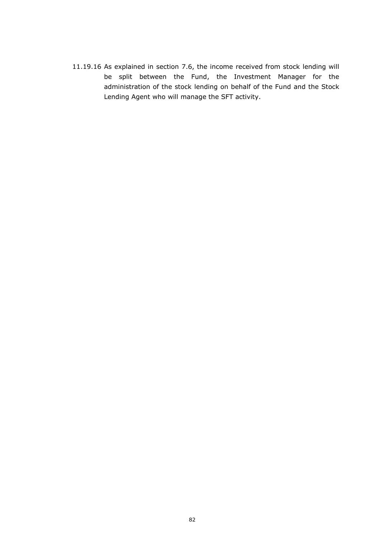11.19.16 As explained in section [7.6,](#page-64-0) the income received from stock lending will be split between the Fund, the Investment Manager for the administration of the stock lending on behalf of the Fund and the Stock Lending Agent who will manage the SFT activity.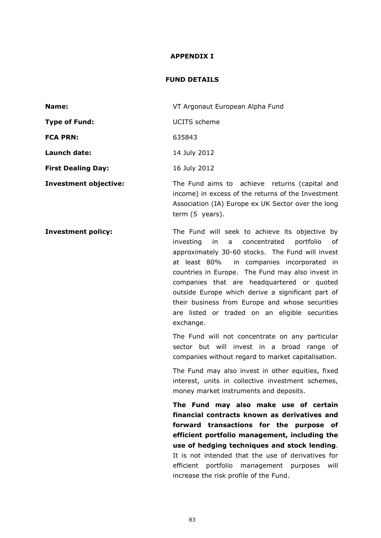#### **APPENDIX I**

#### **FUND DETAILS**

| Name:                     | VT Argonaut European Alpha Fund                                                                     |
|---------------------------|-----------------------------------------------------------------------------------------------------|
| Type of Fund:             | UCITS scheme                                                                                        |
| <b>FCA PRN:</b>           | 635843                                                                                              |
| Launch date:              | 14 July 2012                                                                                        |
| <b>First Dealing Day:</b> | 16 July 2012                                                                                        |
| Investment objective:     | The Fund aims to achieve returns (capital and<br>income) in excess of the returns of the Investment |

term (5 years). **Investment policy:** The Fund will seek to achieve its objective by investing in a concentrated portfolio of approximately 30-60 stocks. The Fund will invest at least 80% in companies incorporated in countries in Europe. The Fund may also invest in companies that are headquartered or quoted outside Europe which derive a significant part of their business from Europe and whose securities are listed or traded on an eligible securities

exchange.

The Fund will not concentrate on any particular sector but will invest in a broad range of companies without regard to market capitalisation.

Association (IA) Europe ex UK Sector over the long

The Fund may also invest in other equities, fixed interest, units in collective investment schemes, money market instruments and deposits.

**The Fund may also make use of certain financial contracts known as derivatives and forward transactions for the purpose of efficient portfolio management, including the use of hedging techniques and stock lending**. It is not intended that the use of derivatives for efficient portfolio management purposes will increase the risk profile of the Fund.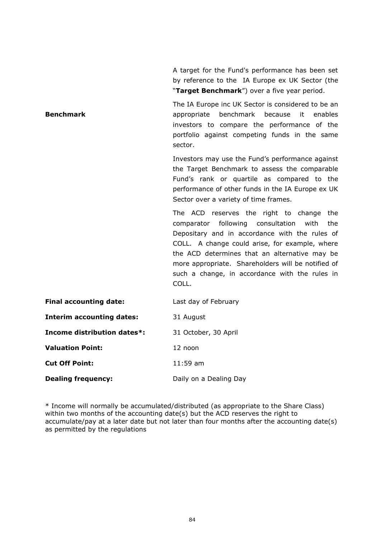A target for the Fund's performance has been set by reference to the IA Europe ex UK Sector (the "**Target Benchmark**") over a five year period.

**Benchmark** The IA Europe inc UK Sector is considered to be an appropriate benchmark because it enables investors to compare the performance of the portfolio against competing funds in the same sector.

> Investors may use the Fund's performance against the Target Benchmark to assess the comparable Fund's rank or quartile as compared to the performance of other funds in the IA Europe ex UK Sector over a variety of time frames.

> The ACD reserves the right to change the comparator following consultation with the Depositary and in accordance with the rules of COLL. A change could arise, for example, where the ACD determines that an alternative may be more appropriate. Shareholders will be notified of such a change, in accordance with the rules in COLL.

| <b>Final accounting date:</b>      | Last day of February   |
|------------------------------------|------------------------|
| <b>Interim accounting dates:</b>   | 31 August              |
| <b>Income distribution dates*:</b> | 31 October, 30 April   |
| <b>Valuation Point:</b>            | 12 noon                |
| <b>Cut Off Point:</b>              | $11:59$ am             |
| <b>Dealing frequency:</b>          | Daily on a Dealing Day |

\* Income will normally be accumulated/distributed (as appropriate to the Share Class) within two months of the accounting date(s) but the ACD reserves the right to accumulate/pay at a later date but not later than four months after the accounting date(s) as permitted by the regulations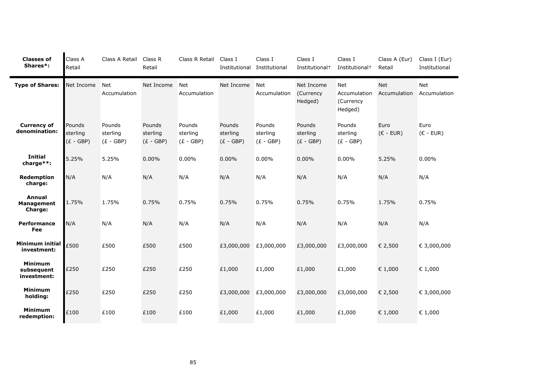| <b>Classes of</b><br>Shares*:                 | Class A<br>Retail                 | Class A Retail                    | Class R<br>Retail                 | Class R Retail                    | Class I<br>Institutional          | Class I<br>Institutional          | Class I<br>Institutional <sup>+</sup> | Class I<br>Institutional <sup>+</sup>              | Class A (Eur)<br>Retail    | Class I (Eur)<br>Institutional |
|-----------------------------------------------|-----------------------------------|-----------------------------------|-----------------------------------|-----------------------------------|-----------------------------------|-----------------------------------|---------------------------------------|----------------------------------------------------|----------------------------|--------------------------------|
| <b>Type of Shares:</b>                        | Net Income                        | <b>Net</b><br>Accumulation        | Net Income                        | <b>Net</b><br>Accumulation        | Net Income                        | <b>Net</b><br>Accumulation        | Net Income<br>(Currency<br>Hedged)    | <b>Net</b><br>Accumulation<br>(Currency<br>Hedged) | <b>Net</b><br>Accumulation | Net<br>Accumulation            |
| <b>Currency of</b><br>denomination:           | Pounds<br>sterling<br>$(E - GBP)$ | Pounds<br>sterling<br>$(E - GBP)$ | Pounds<br>sterling<br>$(E - GBP)$ | Pounds<br>sterling<br>$(E - GBP)$ | Pounds<br>sterling<br>$(E - GBP)$ | Pounds<br>sterling<br>$(E - GBP)$ | Pounds<br>sterling<br>$(E - GBP)$     | Pounds<br>sterling<br>$(E - GBP)$                  | Euro<br>$(E - EUR)$        | Euro<br>$(E - EUR)$            |
| <b>Initial</b><br>charge**:                   | 5.25%                             | 5.25%                             | $0.00\%$                          | 0.00%                             | 0.00%                             | 0.00%                             | 0.00%                                 | 0.00%                                              | 5.25%                      | 0.00%                          |
| Redemption<br>charge:                         | N/A                               | N/A                               | N/A                               | N/A                               | N/A                               | N/A                               | N/A                                   | N/A                                                | N/A                        | N/A                            |
| <b>Annual</b><br>Management<br><b>Charge:</b> | 1.75%                             | 1.75%                             | 0.75%                             | 0.75%                             | 0.75%                             | 0.75%                             | 0.75%                                 | 0.75%                                              | 1.75%                      | 0.75%                          |
| Performance<br>Fee                            | N/A                               | N/A                               | N/A                               | N/A                               | N/A                               | N/A                               | N/A                                   | N/A                                                | N/A                        | N/A                            |
| <b>Minimum initial</b><br>investment:         | £500                              | £500                              | £500                              | £500                              | £3,000,000                        | £3,000,000                        | £3,000,000                            | £3,000,000                                         | € 2,500                    | € 3,000,000                    |
| <b>Minimum</b><br>subsequent<br>investment:   | £250                              | £250                              | £250                              | £250                              | £1,000                            | £1,000                            | £1,000                                | £1,000                                             | € 1,000                    | € 1,000                        |
| <b>Minimum</b><br>holding:                    | £250                              | £250                              | £250                              | £250                              | £3,000,000                        | £3,000,000                        | £3,000,000                            | £3,000,000                                         | € 2,500                    | € 3,000,000                    |
| <b>Minimum</b><br>redemption:                 | £100                              | £100                              | £100                              | £100                              | £1,000                            | £1,000                            | £1,000                                | £1,000                                             | € 1,000                    | € 1,000                        |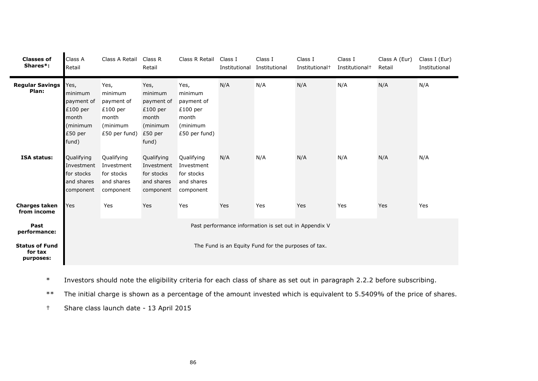| <b>Classes of</b><br>Shares*:                         | Class A<br>Retail                                                                                                                                         | Class A Retail                                                                                                                                         | Class R<br>Retail                                                                                                                                         | Class R Retail                                                                                                                                         | Class I<br>Institutional | Class I<br>Institutional                            | Class I<br>Institutional <sup>+</sup> | Class I<br>Institutional <sup>+</sup> | Class A (Eur)<br>Retail | Class I (Eur)<br>Institutional |
|-------------------------------------------------------|-----------------------------------------------------------------------------------------------------------------------------------------------------------|--------------------------------------------------------------------------------------------------------------------------------------------------------|-----------------------------------------------------------------------------------------------------------------------------------------------------------|--------------------------------------------------------------------------------------------------------------------------------------------------------|--------------------------|-----------------------------------------------------|---------------------------------------|---------------------------------------|-------------------------|--------------------------------|
| <b>Regular Savings</b><br>Plan:<br><b>ISA status:</b> | Yes,<br>minimum<br>payment of<br>$£100$ per<br>month<br>minimum)<br>£50 per<br>fund)<br>Qualifying<br>Investment<br>for stocks<br>and shares<br>component | Yes,<br>minimum<br>payment of<br>$£100$ per<br>month<br>(minimum<br>£50 per fund)<br>Qualifying<br>Investment<br>for stocks<br>and shares<br>component | Yes,<br>minimum<br>payment of<br>$£100$ per<br>month<br>(minimum<br>£50 per<br>fund)<br>Qualifying<br>Investment<br>for stocks<br>and shares<br>component | Yes,<br>minimum<br>payment of<br>$£100$ per<br>month<br>(minimum<br>£50 per fund)<br>Qualifying<br>Investment<br>for stocks<br>and shares<br>component | N/A<br>N/A               | N/A<br>N/A                                          | N/A<br>N/A                            | N/A<br>N/A                            | N/A<br>N/A              | N/A<br>N/A                     |
| <b>Charges taken</b><br>from income                   | Yes                                                                                                                                                       | Yes                                                                                                                                                    | Yes                                                                                                                                                       | Yes                                                                                                                                                    | Yes                      | Yes                                                 | Yes                                   | Yes                                   | Yes                     | Yes                            |
| Past<br>performance:                                  | Past performance information is set out in Appendix V                                                                                                     |                                                                                                                                                        |                                                                                                                                                           |                                                                                                                                                        |                          |                                                     |                                       |                                       |                         |                                |
| <b>Status of Fund</b><br>for tax<br>purposes:         |                                                                                                                                                           |                                                                                                                                                        |                                                                                                                                                           |                                                                                                                                                        |                          | The Fund is an Equity Fund for the purposes of tax. |                                       |                                       |                         |                                |

\* Investors should note the eligibility criteria for each class of share as set out in paragraph [2.2.2](#page-16-0) before subscribing.

\*\* The initial charge is shown as a percentage of the amount invested which is equivalent to 5.5409% of the price of shares.

† Share class launch date - 13 April 2015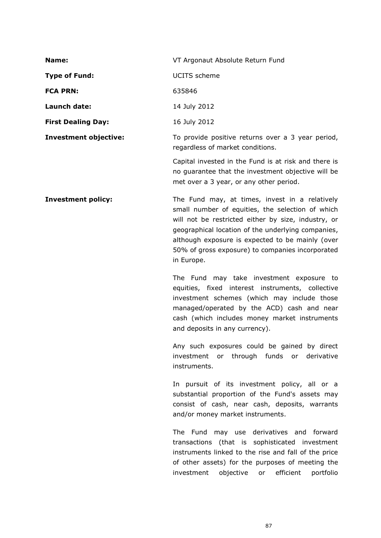| Name:                        | VT Argonaut Absolute Return Fund                                                                                                                      |
|------------------------------|-------------------------------------------------------------------------------------------------------------------------------------------------------|
| <b>Type of Fund:</b>         | UCITS scheme                                                                                                                                          |
| <b>FCA PRN:</b>              | 635846                                                                                                                                                |
| Launch date:                 | 14 July 2012                                                                                                                                          |
| <b>First Dealing Day:</b>    | 16 July 2012                                                                                                                                          |
| <b>Investment objective:</b> | To provide positive returns over a 3 year period,<br>regardless of market conditions.                                                                 |
|                              | Capital invested in the Fund is at risk and there is<br>no quarantee that the investment objective will be<br>met over a 3 year, or any other period. |

**Investment policy:** The Fund may, at times, invest in a relatively small number of equities, the selection of which will not be restricted either by size, industry, or geographical location of the underlying companies, although exposure is expected to be mainly (over 50% of gross exposure) to companies incorporated in Europe.

> The Fund may take investment exposure to equities, fixed interest instruments, collective investment schemes (which may include those managed/operated by the ACD) cash and near cash (which includes money market instruments and deposits in any currency).

> Any such exposures could be gained by direct investment or through funds or derivative instruments.

> In pursuit of its investment policy, all or a substantial proportion of the Fund's assets may consist of cash, near cash, deposits, warrants and/or money market instruments.

> The Fund may use derivatives and forward transactions (that is sophisticated investment instruments linked to the rise and fall of the price of other assets) for the purposes of meeting the investment objective or efficient portfolio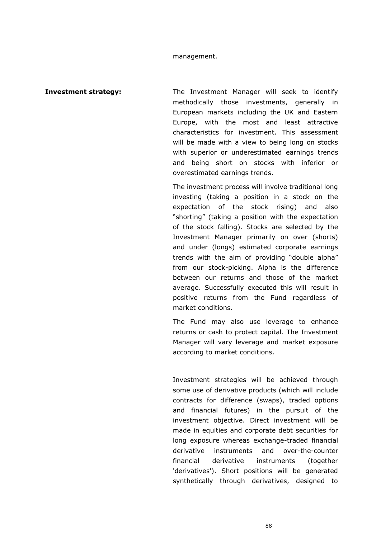#### management.

**Investment strategy:** The Investment Manager will seek to identify methodically those investments, generally in European markets including the UK and Eastern Europe, with the most and least attractive characteristics for investment. This assessment will be made with a view to being long on stocks with superior or underestimated earnings trends and being short on stocks with inferior or overestimated earnings trends.

> The investment process will involve traditional long investing (taking a position in a stock on the expectation of the stock rising) and also "shorting" (taking a position with the expectation of the stock falling). Stocks are selected by the Investment Manager primarily on over (shorts) and under (longs) estimated corporate earnings trends with the aim of providing "double alpha" from our stock-picking. Alpha is the difference between our returns and those of the market average. Successfully executed this will result in positive returns from the Fund regardless of market conditions.

> The Fund may also use leverage to enhance returns or cash to protect capital. The Investment Manager will vary leverage and market exposure according to market conditions.

> Investment strategies will be achieved through some use of derivative products (which will include contracts for difference (swaps), traded options and financial futures) in the pursuit of the investment objective. Direct investment will be made in equities and corporate debt securities for long exposure whereas exchange-traded financial derivative instruments and over-the-counter financial derivative instruments (together 'derivatives'). Short positions will be generated synthetically through derivatives, designed to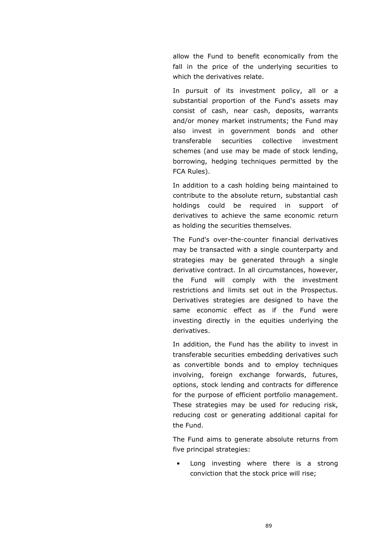allow the Fund to benefit economically from the fall in the price of the underlying securities to which the derivatives relate.

In pursuit of its investment policy, all or a substantial proportion of the Fund's assets may consist of cash, near cash, deposits, warrants and/or money market instruments; the Fund may also invest in government bonds and other transferable securities collective investment schemes (and use may be made of stock lending, borrowing, hedging techniques permitted by the FCA Rules).

In addition to a cash holding being maintained to contribute to the absolute return, substantial cash holdings could be required in support of derivatives to achieve the same economic return as holding the securities themselves.

The Fund's over-the-counter financial derivatives may be transacted with a single counterparty and strategies may be generated through a single derivative contract. In all circumstances, however, the Fund will comply with the investment restrictions and limits set out in the Prospectus. Derivatives strategies are designed to have the same economic effect as if the Fund were investing directly in the equities underlying the derivatives.

In addition, the Fund has the ability to invest in transferable securities embedding derivatives such as convertible bonds and to employ techniques involving, foreign exchange forwards, futures, options, stock lending and contracts for difference for the purpose of efficient portfolio management. These strategies may be used for reducing risk, reducing cost or generating additional capital for the Fund.

The Fund aims to generate absolute returns from five principal strategies:

Long investing where there is a strong conviction that the stock price will rise;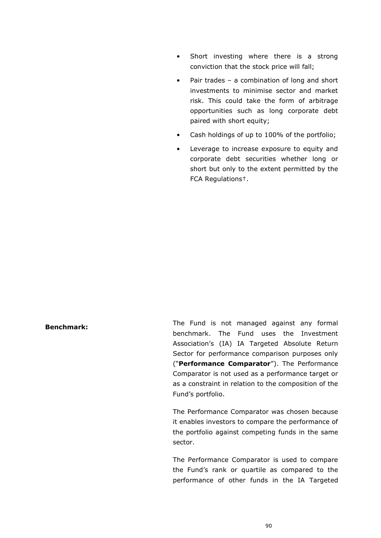- Short investing where there is a strong conviction that the stock price will fall;
- Pair trades a combination of long and short investments to minimise sector and market risk. This could take the form of arbitrage opportunities such as long corporate debt paired with short equity;
- Cash holdings of up to 100% of the portfolio;
- Leverage to increase exposure to equity and corporate debt securities whether long or short but only to the extent permitted by the FCA Regulations†.

**Benchmark:** The Fund is not managed against any formal benchmark. The Fund uses the Investment Association's (IA) IA Targeted Absolute Return Sector for performance comparison purposes only ("**Performance Comparator**"). The Performance Comparator is not used as a performance target or as a constraint in relation to the composition of the Fund's portfolio.

> The Performance Comparator was chosen because it enables investors to compare the performance of the portfolio against competing funds in the same sector.

> The Performance Comparator is used to compare the Fund's rank or quartile as compared to the performance of other funds in the IA Targeted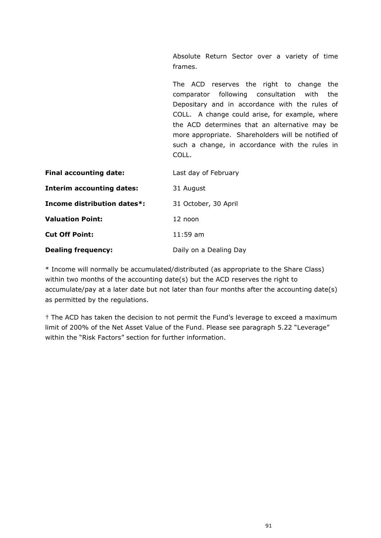Absolute Return Sector over a variety of time frames.

The ACD reserves the right to change the comparator following consultation with the Depositary and in accordance with the rules of COLL. A change could arise, for example, where the ACD determines that an alternative may be more appropriate. Shareholders will be notified of such a change, in accordance with the rules in COLL. **Final accounting date:** Last day of February

| <b>Interim accounting dates:</b> | 31 August              |
|----------------------------------|------------------------|
| Income distribution dates*:      | 31 October, 30 April   |
| <b>Valuation Point:</b>          | 12 noon                |
| <b>Cut Off Point:</b>            | $11:59$ am             |
| <b>Dealing frequency:</b>        | Daily on a Dealing Day |

\* Income will normally be accumulated/distributed (as appropriate to the Share Class) within two months of the accounting date(s) but the ACD reserves the right to accumulate/pay at a later date but not later than four months after the accounting date(s) as permitted by the regulations.

† The ACD has taken the decision to not permit the Fund's leverage to exceed a maximum limit of 200% of the Net Asset Value of the Fund. Please see paragraph 5.22 "Leverage" within the "Risk Factors" section for further information.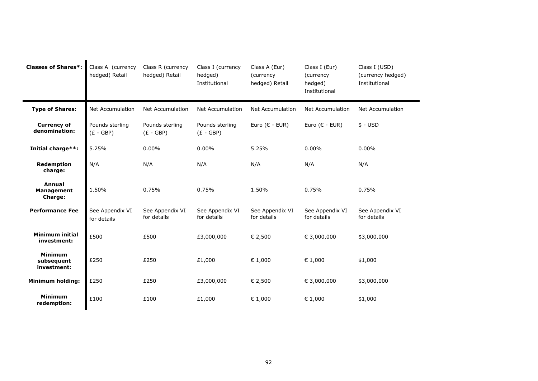| <b>Classes of Shares*:</b>                    | Class A (currency<br>hedged) Retail | Class R (currency<br>hedged) Retail | Class I (currency<br>hedged)<br>Institutional | Class A (Eur)<br>(currency<br>hedged) Retail | Class I (Eur)<br>(currency<br>hedged)<br>Institutional | Class I (USD)<br>(currency hedged)<br>Institutional |
|-----------------------------------------------|-------------------------------------|-------------------------------------|-----------------------------------------------|----------------------------------------------|--------------------------------------------------------|-----------------------------------------------------|
| <b>Type of Shares:</b>                        | <b>Net Accumulation</b>             | <b>Net Accumulation</b>             | <b>Net Accumulation</b>                       | <b>Net Accumulation</b>                      | <b>Net Accumulation</b>                                | <b>Net Accumulation</b>                             |
| <b>Currency of</b><br>denomination:           | Pounds sterling<br>$(E - GBP)$      | Pounds sterling<br>$(E - GBP)$      | Pounds sterling<br>$(E - GBP)$                | Euro ( $\epsilon$ - EUR)                     | Euro ( $\epsilon$ - EUR)                               | $$ - USD$                                           |
| Initial charge**:                             | 5.25%                               | 0.00%                               | $0.00\%$                                      | 5.25%                                        | $0.00\%$                                               | $0.00\%$                                            |
| <b>Redemption</b><br>charge:                  | N/A                                 | N/A                                 | N/A                                           | N/A                                          | N/A                                                    | N/A                                                 |
| Annual<br><b>Management</b><br><b>Charge:</b> | 1.50%                               | 0.75%                               | 0.75%                                         | 1.50%                                        | 0.75%                                                  | 0.75%                                               |
| <b>Performance Fee</b>                        | See Appendix VI<br>for details      | See Appendix VI<br>for details      | See Appendix VI<br>for details                | See Appendix VI<br>for details               | See Appendix VI<br>for details                         | See Appendix VI<br>for details                      |
| <b>Minimum initial</b><br>investment:         | £500                                | £500                                | £3,000,000                                    | € 2,500                                      | € 3,000,000                                            | \$3,000,000                                         |
| <b>Minimum</b><br>subsequent<br>investment:   | £250                                | £250                                | £1,000                                        | € 1,000                                      | € 1,000                                                | \$1,000                                             |
| <b>Minimum holding:</b>                       | £250                                | £250                                | £3,000,000                                    | € 2,500                                      | € 3,000,000                                            | \$3,000,000                                         |
| <b>Minimum</b><br>redemption:                 | £100                                | £100                                | £1,000                                        | € 1,000                                      | € 1,000                                                | \$1,000                                             |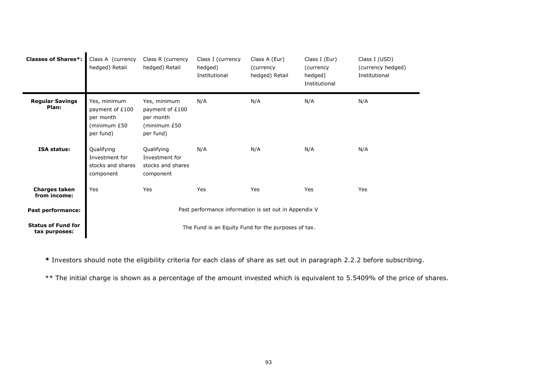| <b>Classes of Shares*:</b>                 | Class A (currency<br>hedged) Retail                                       | Class R (currency<br>hedged) Retail                                       | Class I (currency<br>hedged)<br>Institutional | Class A (Eur)<br>(currency<br>hedged) Retail | Class I (Eur)<br>(currency<br>hedged)<br>Institutional | Class I (USD)<br>(currency hedged)<br>Institutional |
|--------------------------------------------|---------------------------------------------------------------------------|---------------------------------------------------------------------------|-----------------------------------------------|----------------------------------------------|--------------------------------------------------------|-----------------------------------------------------|
| <b>Regular Savings</b><br>Plan:            | Yes, minimum<br>payment of £100<br>per month<br>(minimum £50<br>per fund) | Yes, minimum<br>payment of £100<br>per month<br>(minimum £50<br>per fund) | N/A                                           | N/A                                          | N/A                                                    | N/A                                                 |
| <b>ISA status:</b>                         | Qualifying<br>Investment for<br>stocks and shares<br>component            | Qualifying<br>Investment for<br>stocks and shares<br>component            | N/A                                           | N/A                                          | N/A                                                    | N/A                                                 |
| Charges taken<br>from income:              | Yes                                                                       | Yes                                                                       | Yes                                           | Yes                                          | Yes                                                    | Yes                                                 |
| Past performance:                          | Past performance information is set out in Appendix V                     |                                                                           |                                               |                                              |                                                        |                                                     |
| <b>Status of Fund for</b><br>tax purposes: | The Fund is an Equity Fund for the purposes of tax.                       |                                                                           |                                               |                                              |                                                        |                                                     |

**\*** Investors should note the eligibility criteria for each class of share as set out in paragraph [2.2.2](#page-16-0) before subscribing.

\*\* The initial charge is shown as a percentage of the amount invested which is equivalent to 5.5409% of the price of shares.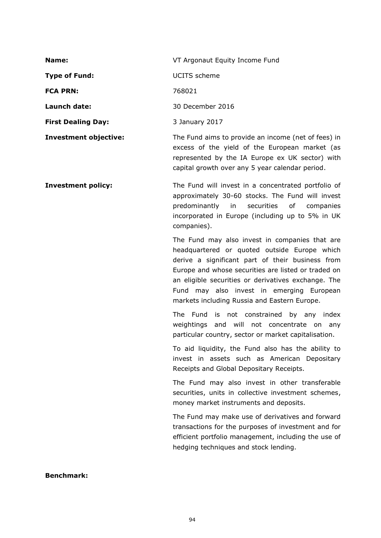| Name:                        | VT Argonaut Equity Income Fund                                                                                                                           |
|------------------------------|----------------------------------------------------------------------------------------------------------------------------------------------------------|
| <b>Type of Fund:</b>         | UCITS scheme                                                                                                                                             |
| <b>FCA PRN:</b>              | 768021                                                                                                                                                   |
| Launch date:                 | 30 December 2016                                                                                                                                         |
| <b>First Dealing Day:</b>    | 3 January 2017                                                                                                                                           |
| <b>Investment objective:</b> | The Fund aims to provide an income (net of fees) in<br>excess of the yield of the European market (as<br>represented by the IA Europe ex UK sector) with |

**Investment policy:** The Fund will invest in a concentrated portfolio of approximately 30-60 stocks. The Fund will invest predominantly in securities of companies incorporated in Europe (including up to 5% in UK companies).

> The Fund may also invest in companies that are headquartered or quoted outside Europe which derive a significant part of their business from Europe and whose securities are listed or traded on an eligible securities or derivatives exchange. The Fund may also invest in emerging European markets including Russia and Eastern Europe.

capital growth over any 5 year calendar period.

The Fund is not constrained by any index weightings and will not concentrate on any particular country, sector or market capitalisation.

To aid liquidity, the Fund also has the ability to invest in assets such as American Depositary Receipts and Global Depositary Receipts.

The Fund may also invest in other transferable securities, units in collective investment schemes, money market instruments and deposits.

The Fund may make use of derivatives and forward transactions for the purposes of investment and for efficient portfolio management, including the use of hedging techniques and stock lending.

#### **Benchmark:**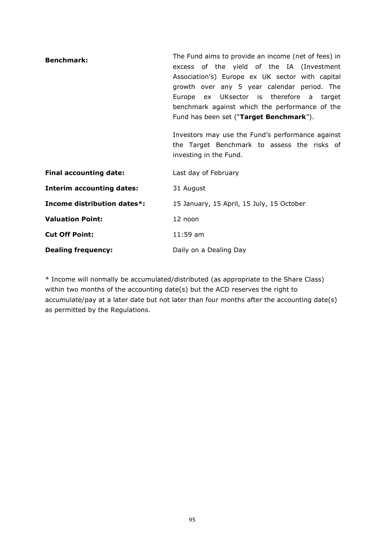| <b>Benchmark:</b>                | The Fund aims to provide an income (net of fees) in<br>excess of the yield of the IA (Investment<br>Association's) Europe ex UK sector with capital<br>growth over any 5 year calendar period. The<br>Europe ex UKsector is therefore a target<br>benchmark against which the performance of the<br>Fund has been set ("Target Benchmark"). |
|----------------------------------|---------------------------------------------------------------------------------------------------------------------------------------------------------------------------------------------------------------------------------------------------------------------------------------------------------------------------------------------|
|                                  | Investors may use the Fund's performance against<br>the Target Benchmark to assess the risks of<br>investing in the Fund.                                                                                                                                                                                                                   |
| <b>Final accounting date:</b>    | Last day of February                                                                                                                                                                                                                                                                                                                        |
| <b>Interim accounting dates:</b> | 31 August                                                                                                                                                                                                                                                                                                                                   |
| Income distribution dates*:      | 15 January, 15 April, 15 July, 15 October                                                                                                                                                                                                                                                                                                   |
| <b>Valuation Point:</b>          | 12 noon                                                                                                                                                                                                                                                                                                                                     |
| <b>Cut Off Point:</b>            | $11:59$ am                                                                                                                                                                                                                                                                                                                                  |
| <b>Dealing frequency:</b>        | Daily on a Dealing Day                                                                                                                                                                                                                                                                                                                      |

\* Income will normally be accumulated/distributed (as appropriate to the Share Class) within two months of the accounting date(s) but the ACD reserves the right to accumulate/pay at a later date but not later than four months after the accounting date(s) as permitted by the Regulations.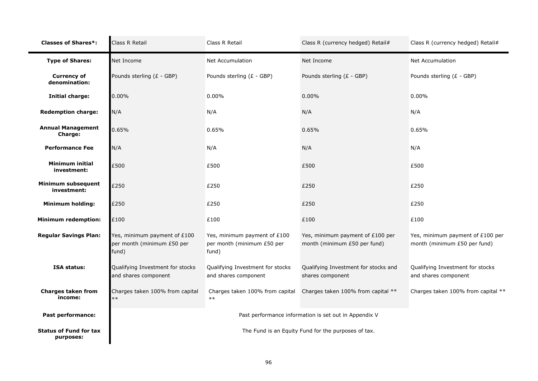| <b>Classes of Shares*:</b>                 | Class R Retail                                                      | Class R Retail                                                      | Class R (currency hedged) Retail#                                | Class R (currency hedged) Retail#                                |  |  |
|--------------------------------------------|---------------------------------------------------------------------|---------------------------------------------------------------------|------------------------------------------------------------------|------------------------------------------------------------------|--|--|
| <b>Type of Shares:</b>                     | Net Income                                                          | Net Accumulation                                                    | Net Income                                                       | Net Accumulation                                                 |  |  |
| <b>Currency of</b><br>denomination:        | Pounds sterling (£ - GBP)                                           | Pounds sterling (£ - GBP)                                           | Pounds sterling (£ - GBP)                                        | Pounds sterling (£ - GBP)                                        |  |  |
| <b>Initial charge:</b>                     | $0.00\%$                                                            | 0.00%                                                               | 0.00%                                                            | 0.00%                                                            |  |  |
| <b>Redemption charge:</b>                  | N/A                                                                 | N/A                                                                 | N/A                                                              | N/A                                                              |  |  |
| <b>Annual Management</b><br><b>Charge:</b> | 0.65%                                                               | 0.65%                                                               | 0.65%                                                            | 0.65%                                                            |  |  |
| <b>Performance Fee</b>                     | N/A                                                                 | N/A                                                                 | N/A                                                              | N/A                                                              |  |  |
| Minimum initial<br>investment:             | £500                                                                | £500                                                                | £500                                                             | £500                                                             |  |  |
| Minimum subsequent<br>investment:          | £250                                                                | £250                                                                | £250                                                             | £250                                                             |  |  |
| <b>Minimum holding:</b>                    | £250                                                                | £250                                                                | £250                                                             | £250                                                             |  |  |
| <b>Minimum redemption:</b>                 | £100                                                                | £100                                                                | £100                                                             | £100                                                             |  |  |
| <b>Regular Savings Plan:</b>               | Yes, minimum payment of £100<br>per month (minimum £50 per<br>fund) | Yes, minimum payment of £100<br>per month (minimum £50 per<br>fund) | Yes, minimum payment of £100 per<br>month (minimum £50 per fund) | Yes, minimum payment of £100 per<br>month (minimum £50 per fund) |  |  |
| <b>ISA status:</b>                         | Qualifying Investment for stocks<br>and shares component            | Qualifying Investment for stocks<br>and shares component            | Qualifying Investment for stocks and<br>shares component         | Qualifying Investment for stocks<br>and shares component         |  |  |
| <b>Charges taken from</b><br>income:       | Charges taken 100% from capital<br>$**$                             | Charges taken 100% from capital<br>$***$                            | Charges taken 100% from capital **                               | Charges taken 100% from capital **                               |  |  |
| <b>Past performance:</b>                   |                                                                     |                                                                     | Past performance information is set out in Appendix V            |                                                                  |  |  |
| <b>Status of Fund for tax</b><br>purposes: | The Fund is an Equity Fund for the purposes of tax.                 |                                                                     |                                                                  |                                                                  |  |  |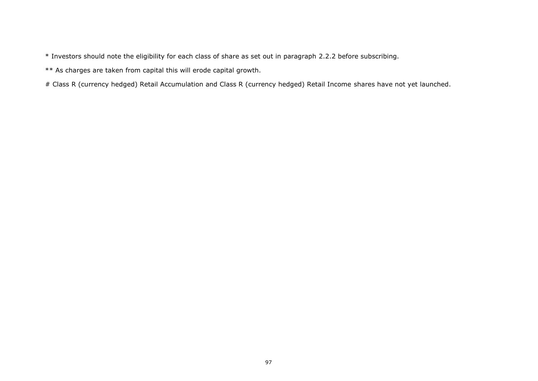\* Investors should note the eligibility for each class of share as set out in paragraph [2.2.2](#page-16-0) before subscribing.

\*\* As charges are taken from capital this will erode capital growth.

# Class R (currency hedged) Retail Accumulation and Class R (currency hedged) Retail Income shares have not yet launched.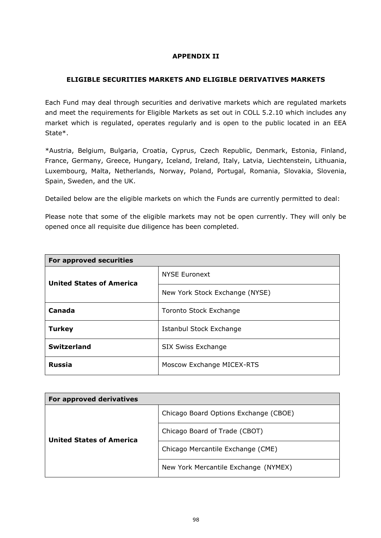# **APPENDIX II**

## **ELIGIBLE SECURITIES MARKETS AND ELIGIBLE DERIVATIVES MARKETS**

Each Fund may deal through securities and derivative markets which are regulated markets and meet the requirements for Eligible Markets as set out in COLL 5.2.10 which includes any market which is regulated, operates regularly and is open to the public located in an EEA State\*.

\*Austria, Belgium, Bulgaria, Croatia, Cyprus, Czech Republic, Denmark, Estonia, Finland, France, Germany, Greece, Hungary, Iceland, Ireland, Italy, Latvia, Liechtenstein, Lithuania, Luxembourg, Malta, Netherlands, Norway, Poland, Portugal, Romania, Slovakia, Slovenia, Spain, Sweden, and the UK.

Detailed below are the eligible markets on which the Funds are currently permitted to deal:

Please note that some of the eligible markets may not be open currently. They will only be opened once all requisite due diligence has been completed.

| For approved securities         |                                |  |  |  |
|---------------------------------|--------------------------------|--|--|--|
| <b>United States of America</b> | <b>NYSE Euronext</b>           |  |  |  |
|                                 | New York Stock Exchange (NYSE) |  |  |  |
| Canada                          | Toronto Stock Exchange         |  |  |  |
| <b>Turkey</b>                   | Istanbul Stock Exchange        |  |  |  |
| <b>Switzerland</b>              | SIX Swiss Exchange             |  |  |  |
| <b>Russia</b>                   | Moscow Exchange MICEX-RTS      |  |  |  |

| For approved derivatives        |                                       |
|---------------------------------|---------------------------------------|
| <b>United States of America</b> | Chicago Board Options Exchange (CBOE) |
|                                 | Chicago Board of Trade (CBOT)         |
|                                 | Chicago Mercantile Exchange (CME)     |
|                                 | New York Mercantile Exchange (NYMEX)  |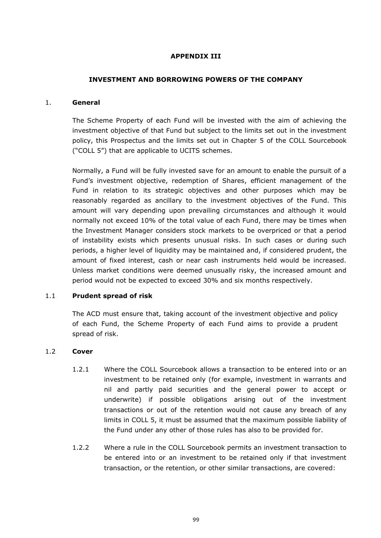## **APPENDIX III**

## **INVESTMENT AND BORROWING POWERS OF THE COMPANY**

#### 1. **General**

The Scheme Property of each Fund will be invested with the aim of achieving the investment objective of that Fund but subject to the limits set out in the investment policy, this Prospectus and the limits set out in Chapter 5 of the COLL Sourcebook ("COLL 5") that are applicable to UCITS schemes.

Normally, a Fund will be fully invested save for an amount to enable the pursuit of a Fund's investment objective, redemption of Shares, efficient management of the Fund in relation to its strategic objectives and other purposes which may be reasonably regarded as ancillary to the investment objectives of the Fund. This amount will vary depending upon prevailing circumstances and although it would normally not exceed 10% of the total value of each Fund, there may be times when the Investment Manager considers stock markets to be overpriced or that a period of instability exists which presents unusual risks. In such cases or during such periods, a higher level of liquidity may be maintained and, if considered prudent, the amount of fixed interest, cash or near cash instruments held would be increased. Unless market conditions were deemed unusually risky, the increased amount and period would not be expected to exceed 30% and six months respectively.

## 1.1 **Prudent spread of risk**

The ACD must ensure that, taking account of the investment objective and policy of each Fund, the Scheme Property of each Fund aims to provide a prudent spread of risk.

## 1.2 **Cover**

- 1.2.1 Where the COLL Sourcebook allows a transaction to be entered into or an investment to be retained only (for example, investment in warrants and nil and partly paid securities and the general power to accept or underwrite) if possible obligations arising out of the investment transactions or out of the retention would not cause any breach of any limits in COLL 5, it must be assumed that the maximum possible liability of the Fund under any other of those rules has also to be provided for.
- 1.2.2 Where a rule in the COLL Sourcebook permits an investment transaction to be entered into or an investment to be retained only if that investment transaction, or the retention, or other similar transactions, are covered: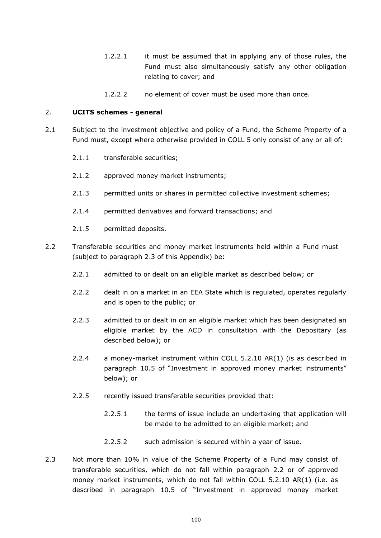- 1.2.2.1 it must be assumed that in applying any of those rules, the Fund must also simultaneously satisfy any other obligation relating to cover; and
- 1.2.2.2 no element of cover must be used more than once.

#### 2. **UCITS schemes - general**

- 2.1 Subject to the investment objective and policy of a Fund, the Scheme Property of a Fund must, except where otherwise provided in COLL 5 only consist of any or all of:
	- 2.1.1 transferable securities;
	- 2.1.2 approved money market instruments;
	- 2.1.3 permitted units or shares in permitted collective investment schemes;
	- 2.1.4 permitted derivatives and forward transactions; and
	- 2.1.5 permitted deposits.
- 2.2 Transferable securities and money market instruments held within a Fund must (subject to paragraph 2.3 of this Appendix) be:
	- 2.2.1 admitted to or dealt on an eligible market as described below; or
	- 2.2.2 dealt in on a market in an EEA State which is regulated, operates regularly and is open to the public; or
	- 2.2.3 admitted to or dealt in on an eligible market which has been designated an eligible market by the ACD in consultation with the Depositary (as described below); or
	- 2.2.4 a money-market instrument within COLL 5.2.10 AR(1) (is as described in paragraph [10.5](#page-117-0) of "Investment in approved money market instruments" below); or
	- 2.2.5 recently issued transferable securities provided that:
		- 2.2.5.1 the terms of issue include an undertaking that application will be made to be admitted to an eligible market; and
		- 2.2.5.2 such admission is secured within a year of issue.
- 2.3 Not more than 10% in value of the Scheme Property of a Fund may consist of transferable securities, which do not fall within paragraph 2.2 or of approved money market instruments, which do not fall within COLL 5.2.10 AR(1) (i.e. as described in paragraph [10.5](#page-117-0) of "Investment in approved money market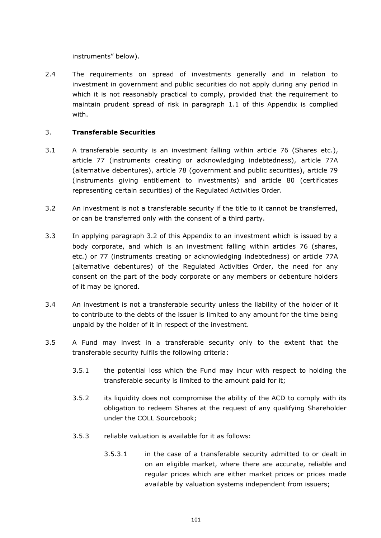instruments" below).

2.4 The requirements on spread of investments generally and in relation to investment in government and public securities do not apply during any period in which it is not reasonably practical to comply, provided that the requirement to maintain prudent spread of risk in paragraph [1.1](#page-106-0) of this Appendix is complied with.

# 3. **Transferable Securities**

- 3.1 A transferable security is an investment falling within article 76 (Shares etc.), article 77 (instruments creating or acknowledging indebtedness), article 77A (alternative debentures), article 78 (government and public securities), article 79 (instruments giving entitlement to investments) and article 80 (certificates representing certain securities) of the Regulated Activities Order.
- 3.2 An investment is not a transferable security if the title to it cannot be transferred, or can be transferred only with the consent of a third party.
- 3.3 In applying paragraph 3.2 of this Appendix to an investment which is issued by a body corporate, and which is an investment falling within articles 76 (shares, etc.) or 77 (instruments creating or acknowledging indebtedness) or article 77A (alternative debentures) of the Regulated Activities Order, the need for any consent on the part of the body corporate or any members or debenture holders of it may be ignored.
- 3.4 An investment is not a transferable security unless the liability of the holder of it to contribute to the debts of the issuer is limited to any amount for the time being unpaid by the holder of it in respect of the investment.
- 3.5 A Fund may invest in a transferable security only to the extent that the transferable security fulfils the following criteria:
	- 3.5.1 the potential loss which the Fund may incur with respect to holding the transferable security is limited to the amount paid for it;
	- 3.5.2 its liquidity does not compromise the ability of the ACD to comply with its obligation to redeem Shares at the request of any qualifying Shareholder under the COLL Sourcebook;
	- 3.5.3 reliable valuation is available for it as follows:
		- 3.5.3.1 in the case of a transferable security admitted to or dealt in on an eligible market, where there are accurate, reliable and regular prices which are either market prices or prices made available by valuation systems independent from issuers;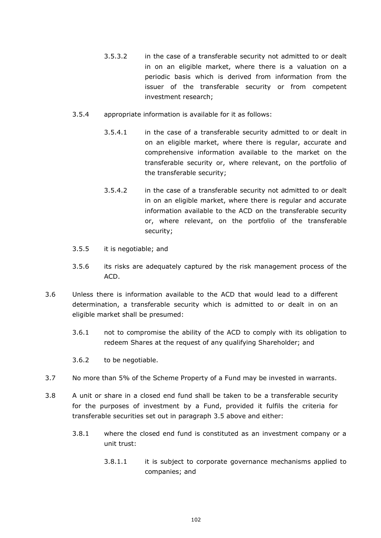- 3.5.3.2 in the case of a transferable security not admitted to or dealt in on an eligible market, where there is a valuation on a periodic basis which is derived from information from the issuer of the transferable security or from competent investment research;
- 3.5.4 appropriate information is available for it as follows:
	- 3.5.4.1 in the case of a transferable security admitted to or dealt in on an eligible market, where there is regular, accurate and comprehensive information available to the market on the transferable security or, where relevant, on the portfolio of the transferable security;
	- 3.5.4.2 in the case of a transferable security not admitted to or dealt in on an eligible market, where there is regular and accurate information available to the ACD on the transferable security or, where relevant, on the portfolio of the transferable security;
- 3.5.5 it is negotiable; and
- 3.5.6 its risks are adequately captured by the risk management process of the ACD.
- 3.6 Unless there is information available to the ACD that would lead to a different determination, a transferable security which is admitted to or dealt in on an eligible market shall be presumed:
	- 3.6.1 not to compromise the ability of the ACD to comply with its obligation to redeem Shares at the request of any qualifying Shareholder; and
	- 3.6.2 to be negotiable.
- 3.7 No more than 5% of the Scheme Property of a Fund may be invested in warrants.
- 3.8 A unit or share in a closed end fund shall be taken to be a transferable security for the purposes of investment by a Fund, provided it fulfils the criteria for transferable securities set out in paragraph 3.5 above and either:
	- 3.8.1 where the closed end fund is constituted as an investment company or a unit trust:
		- 3.8.1.1 it is subject to corporate governance mechanisms applied to companies; and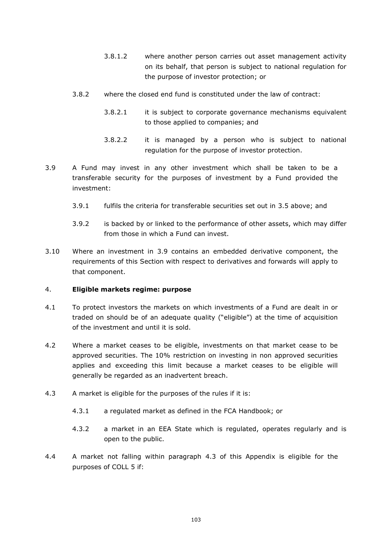- 3.8.1.2 where another person carries out asset management activity on its behalf, that person is subject to national regulation for the purpose of investor protection; or
- 3.8.2 where the closed end fund is constituted under the law of contract:
	- 3.8.2.1 it is subject to corporate governance mechanisms equivalent to those applied to companies; and
	- 3.8.2.2 it is managed by a person who is subject to national regulation for the purpose of investor protection.
- 3.9 A Fund may invest in any other investment which shall be taken to be a transferable security for the purposes of investment by a Fund provided the investment:
	- 3.9.1 fulfils the criteria for transferable securities set out in 3.5 above; and
	- 3.9.2 is backed by or linked to the performance of other assets, which may differ from those in which a Fund can invest.
- 3.10 Where an investment in 3.9 contains an embedded derivative component, the requirements of this Section with respect to derivatives and forwards will apply to that component.

#### 4. **Eligible markets regime: purpose**

- 4.1 To protect investors the markets on which investments of a Fund are dealt in or traded on should be of an adequate quality ("eligible") at the time of acquisition of the investment and until it is sold.
- 4.2 Where a market ceases to be eligible, investments on that market cease to be approved securities. The 10% restriction on investing in non approved securities applies and exceeding this limit because a market ceases to be eligible will generally be regarded as an inadvertent breach.
- 4.3 A market is eligible for the purposes of the rules if it is:
	- 4.3.1 a regulated market as defined in the FCA Handbook; or
	- 4.3.2 a market in an EEA State which is regulated, operates regularly and is open to the public.
- 4.4 A market not falling within paragraph 4.3 of this Appendix is eligible for the purposes of COLL 5 if: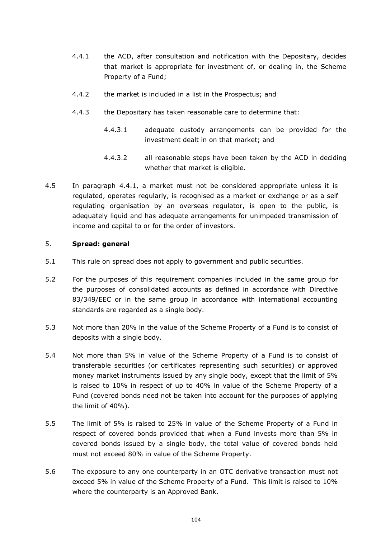- 4.4.1 the ACD, after consultation and notification with the Depositary, decides that market is appropriate for investment of, or dealing in, the Scheme Property of a Fund;
- 4.4.2 the market is included in a list in the Prospectus; and
- 4.4.3 the Depositary has taken reasonable care to determine that:
	- 4.4.3.1 adequate custody arrangements can be provided for the investment dealt in on that market; and
	- 4.4.3.2 all reasonable steps have been taken by the ACD in deciding whether that market is eligible.
- 4.5 In paragraph 4.4.1, a market must not be considered appropriate unless it is regulated, operates regularly, is recognised as a market or exchange or as a self regulating organisation by an overseas regulator, is open to the public, is adequately liquid and has adequate arrangements for unimpeded transmission of income and capital to or for the order of investors.

# <span id="page-111-3"></span>5. **Spread: general**

- 5.1 This rule on spread does not apply to government and public securities.
- 5.2 For the purposes of this requirement companies included in the same group for the purposes of consolidated accounts as defined in accordance with Directive 83/349/EEC or in the same group in accordance with international accounting standards are regarded as a single body.
- <span id="page-111-0"></span>5.3 Not more than 20% in the value of the Scheme Property of a Fund is to consist of deposits with a single body.
- <span id="page-111-1"></span>5.4 Not more than 5% in value of the Scheme Property of a Fund is to consist of transferable securities (or certificates representing such securities) or approved money market instruments issued by any single body, except that the limit of 5% is raised to 10% in respect of up to 40% in value of the Scheme Property of a Fund (covered bonds need not be taken into account for the purposes of applying the limit of 40%).
- 5.5 The limit of 5% is raised to 25% in value of the Scheme Property of a Fund in respect of covered bonds provided that when a Fund invests more than 5% in covered bonds issued by a single body, the total value of covered bonds held must not exceed 80% in value of the Scheme Property.
- <span id="page-111-2"></span>5.6 The exposure to any one counterparty in an OTC derivative transaction must not exceed 5% in value of the Scheme Property of a Fund. This limit is raised to 10% where the counterparty is an Approved Bank.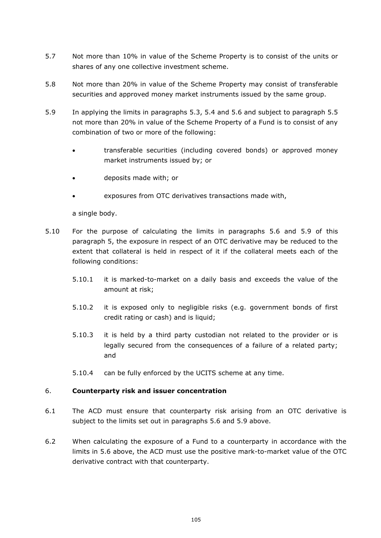- 5.7 Not more than 10% in value of the Scheme Property is to consist of the units or shares of any one collective investment scheme.
- 5.8 Not more than 20% in value of the Scheme Property may consist of transferable securities and approved money market instruments issued by the same group.
- <span id="page-112-0"></span>5.9 In applying the limits in paragraphs [5.3,](#page-111-0) [5.4](#page-111-1) and [5.6](#page-111-2) and subject to paragraph 5.5 not more than 20% in value of the Scheme Property of a Fund is to consist of any combination of two or more of the following:
	- transferable securities (including covered bonds) or approved money market instruments issued by; or
	- deposits made with; or
	- exposures from OTC derivatives transactions made with,

a single body.

- 5.10 For the purpose of calculating the limits in paragraphs [5.6](#page-111-2) and [5.9](#page-112-0) of this paragraph [5,](#page-111-3) the exposure in respect of an OTC derivative may be reduced to the extent that collateral is held in respect of it if the collateral meets each of the following conditions:
	- 5.10.1 it is marked-to-market on a daily basis and exceeds the value of the amount at risk;
	- 5.10.2 it is exposed only to negligible risks (e.g. government bonds of first credit rating or cash) and is liquid;
	- 5.10.3 it is held by a third party custodian not related to the provider or is legally secured from the consequences of a failure of a related party; and
	- 5.10.4 can be fully enforced by the UCITS scheme at any time.

# 6. **Counterparty risk and issuer concentration**

- 6.1 The ACD must ensure that counterparty risk arising from an OTC derivative is subject to the limits set out in paragraphs 5.6 and 5.9 above.
- 6.2 When calculating the exposure of a Fund to a counterparty in accordance with the limits in 5.6 above, the ACD must use the positive mark-to-market value of the OTC derivative contract with that counterparty.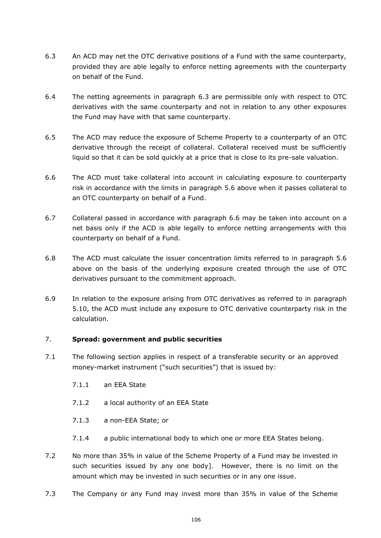- 6.3 An ACD may net the OTC derivative positions of a Fund with the same counterparty, provided they are able legally to enforce netting agreements with the counterparty on behalf of the Fund.
- 6.4 The netting agreements in paragraph 6.3 are permissible only with respect to OTC derivatives with the same counterparty and not in relation to any other exposures the Fund may have with that same counterparty.
- 6.5 The ACD may reduce the exposure of Scheme Property to a counterparty of an OTC derivative through the receipt of collateral. Collateral received must be sufficiently liquid so that it can be sold quickly at a price that is close to its pre-sale valuation.
- 6.6 The ACD must take collateral into account in calculating exposure to counterparty risk in accordance with the limits in paragraph 5.6 above when it passes collateral to an OTC counterparty on behalf of a Fund.
- 6.7 Collateral passed in accordance with paragraph 6.6 may be taken into account on a net basis only if the ACD is able legally to enforce netting arrangements with this counterparty on behalf of a Fund.
- 6.8 The ACD must calculate the issuer concentration limits referred to in paragraph 5.6 above on the basis of the underlying exposure created through the use of OTC derivatives pursuant to the commitment approach.
- 6.9 In relation to the exposure arising from OTC derivatives as referred to in paragraph 5.10, the ACD must include any exposure to OTC derivative counterparty risk in the calculation.

# 7. **Spread: government and public securities**

- 7.1 The following section applies in respect of a transferable security or an approved money-market instrument ("such securities") that is issued by:
	- 7.1.1 an EEA State
	- 7.1.2 a local authority of an EEA State
	- 7.1.3 a non-EEA State; or
	- 7.1.4 a public international body to which one or more EEA States belong.
- 7.2 No more than 35% in value of the Scheme Property of a Fund may be invested in such securities issued by any one body]. However, there is no limit on the amount which may be invested in such securities or in any one issue.
- 7.3 The Company or any Fund may invest more than 35% in value of the Scheme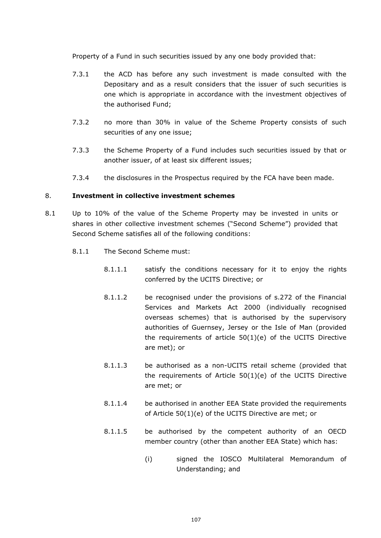Property of a Fund in such securities issued by any one body provided that:

- 7.3.1 the ACD has before any such investment is made consulted with the Depositary and as a result considers that the issuer of such securities is one which is appropriate in accordance with the investment objectives of the authorised Fund;
- 7.3.2 no more than 30% in value of the Scheme Property consists of such securities of any one issue;
- 7.3.3 the Scheme Property of a Fund includes such securities issued by that or another issuer, of at least six different issues;
- 7.3.4 the disclosures in the Prospectus required by the FCA have been made.

## <span id="page-114-1"></span>8. **Investment in collective investment schemes**

- <span id="page-114-0"></span>8.1 Up to 10% of the value of the Scheme Property may be invested in units or shares in other collective investment schemes ("Second Scheme") provided that Second Scheme satisfies all of the following conditions:
	- 8.1.1 The Second Scheme must:
		- 8.1.1.1 satisfy the conditions necessary for it to enjoy the rights conferred by the UCITS Directive; or
		- 8.1.1.2 be recognised under the provisions of s.272 of the Financial Services and Markets Act 2000 (individually recognised overseas schemes) that is authorised by the supervisory authorities of Guernsey, Jersey or the Isle of Man (provided the requirements of article 50(1)(e) of the UCITS Directive are met); or
		- 8.1.1.3 be authorised as a non-UCITS retail scheme (provided that the requirements of Article 50(1)(e) of the UCITS Directive are met; or
		- 8.1.1.4 be authorised in another EEA State provided the requirements of Article 50(1)(e) of the UCITS Directive are met; or
		- 8.1.1.5 be authorised by the competent authority of an OECD member country (other than another EEA State) which has:
			- (i) signed the IOSCO Multilateral Memorandum of Understanding; and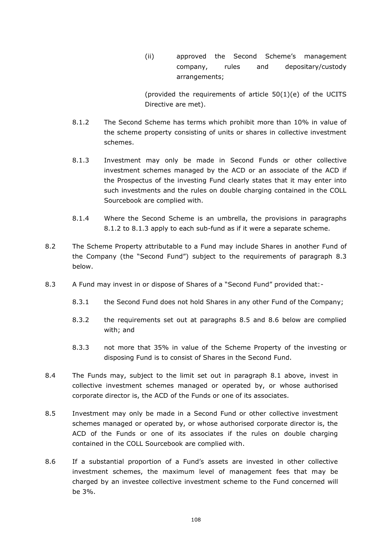(ii) approved the Second Scheme's management company, rules and depositary/custody arrangements;

(provided the requirements of article 50(1)(e) of the UCITS Directive are met).

- <span id="page-115-0"></span>8.1.2 The Second Scheme has terms which prohibit more than 10% in value of the scheme property consisting of units or shares in collective investment schemes.
- <span id="page-115-1"></span>8.1.3 Investment may only be made in Second Funds or other collective investment schemes managed by the ACD or an associate of the ACD if the Prospectus of the investing Fund clearly states that it may enter into such investments and the rules on double charging contained in the COLL Sourcebook are complied with.
- 8.1.4 Where the Second Scheme is an umbrella, the provisions in paragraphs [8.1.2](#page-115-0) to [8.1.3](#page-115-1) apply to each sub-fund as if it were a separate scheme.
- 8.2 The Scheme Property attributable to a Fund may include Shares in another Fund of the Company (the "Second Fund") subject to the requirements of paragraph 8.3 below.
- 8.3 A Fund may invest in or dispose of Shares of a "Second Fund" provided that:-
	- 8.3.1 the Second Fund does not hold Shares in any other Fund of the Company;
	- 8.3.2 the requirements set out at paragraphs 8.5 and 8.6 below are complied with; and
	- 8.3.3 not more that 35% in value of the Scheme Property of the investing or disposing Fund is to consist of Shares in the Second Fund.
- 8.4 The Funds may, subject to the limit set out in paragraph [8.1](#page-114-0) above, invest in collective investment schemes managed or operated by, or whose authorised corporate director is, the ACD of the Funds or one of its associates.
- 8.5 Investment may only be made in a Second Fund or other collective investment schemes managed or operated by, or whose authorised corporate director is, the ACD of the Funds or one of its associates if the rules on double charging contained in the COLL Sourcebook are complied with.
- 8.6 If a substantial proportion of a Fund's assets are invested in other collective investment schemes, the maximum level of management fees that may be charged by an investee collective investment scheme to the Fund concerned will be 3%.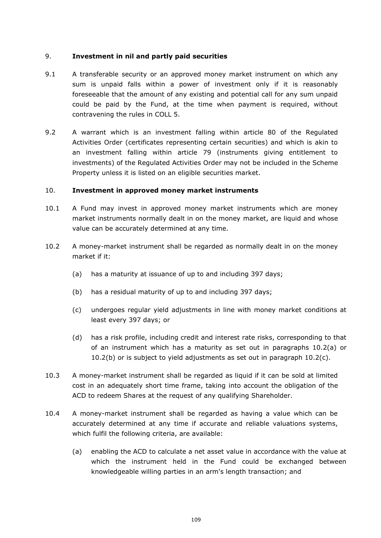## 9. **Investment in nil and partly paid securities**

- 9.1 A transferable security or an approved money market instrument on which any sum is unpaid falls within a power of investment only if it is reasonably foreseeable that the amount of any existing and potential call for any sum unpaid could be paid by the Fund, at the time when payment is required, without contravening the rules in COLL 5.
- 9.2 A warrant which is an investment falling within article 80 of the Regulated Activities Order (certificates representing certain securities) and which is akin to an investment falling within article 79 (instruments giving entitlement to investments) of the Regulated Activities Order may not be included in the Scheme Property unless it is listed on an eligible securities market.

# <span id="page-116-0"></span>10. **Investment in approved money market instruments**

- 10.1 A Fund may invest in approved money market instruments which are money market instruments normally dealt in on the money market, are liquid and whose value can be accurately determined at any time.
- 10.2 A money-market instrument shall be regarded as normally dealt in on the money market if it:
	- (a) has a maturity at issuance of up to and including 397 days;
	- (b) has a residual maturity of up to and including 397 days;
	- (c) undergoes regular yield adjustments in line with money market conditions at least every 397 days; or
	- (d) has a risk profile, including credit and interest rate risks, corresponding to that of an instrument which has a maturity as set out in paragraphs 10.2(a) or 10.2(b) or is subject to yield adjustments as set out in paragraph 10.2(c).
- 10.3 A money-market instrument shall be regarded as liquid if it can be sold at limited cost in an adequately short time frame, taking into account the obligation of the ACD to redeem Shares at the request of any qualifying Shareholder.
- 10.4 A money-market instrument shall be regarded as having a value which can be accurately determined at any time if accurate and reliable valuations systems, which fulfil the following criteria, are available:
	- (a) enabling the ACD to calculate a net asset value in accordance with the value at which the instrument held in the Fund could be exchanged between knowledgeable willing parties in an arm's length transaction; and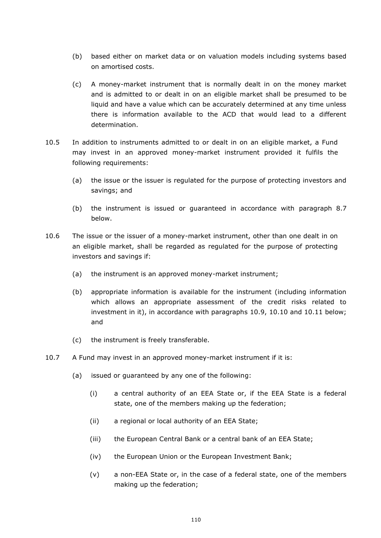- (b) based either on market data or on valuation models including systems based on amortised costs.
- (c) A money-market instrument that is normally dealt in on the money market and is admitted to or dealt in on an eligible market shall be presumed to be liquid and have a value which can be accurately determined at any time unless there is information available to the ACD that would lead to a different determination.
- 10.5 In addition to instruments admitted to or dealt in on an eligible market, a Fund may invest in an approved money-market instrument provided it fulfils the following requirements:
	- (a) the issue or the issuer is regulated for the purpose of protecting investors and savings; and
	- (b) the instrument is issued or guaranteed in accordance with paragraph 8.7 below.
- 10.6 The issue or the issuer of a money-market instrument, other than one dealt in on an eligible market, shall be regarded as regulated for the purpose of protecting investors and savings if:
	- (a) the instrument is an approved money-market instrument;
	- (b) appropriate information is available for the instrument (including information which allows an appropriate assessment of the credit risks related to investment in it), in accordance with paragraphs 10.9, 10.10 and 10.11 below; and
	- (c) the instrument is freely transferable.
- 10.7 A Fund may invest in an approved money-market instrument if it is:
	- (a) issued or guaranteed by any one of the following:
		- (i) a central authority of an EEA State or, if the EEA State is a federal state, one of the members making up the federation;
		- (ii) a regional or local authority of an EEA State;
		- (iii) the European Central Bank or a central bank of an EEA State;
		- (iv) the European Union or the European Investment Bank;
		- (v) a non-EEA State or, in the case of a federal state, one of the members making up the federation;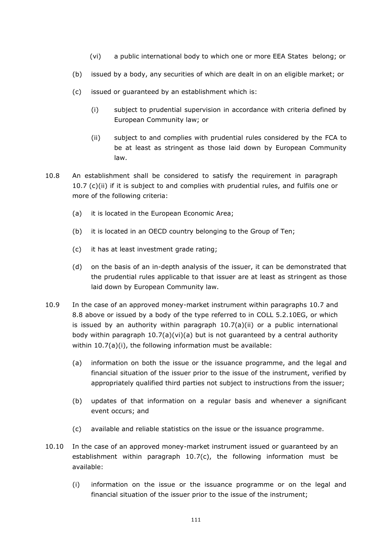- (vi) a public international body to which one or more EEA States belong; or
- (b) issued by a body, any securities of which are dealt in on an eligible market; or
- (c) issued or guaranteed by an establishment which is:
	- (i) subject to prudential supervision in accordance with criteria defined by European Community law; or
	- (ii) subject to and complies with prudential rules considered by the FCA to be at least as stringent as those laid down by European Community law.
- 10.8 An establishment shall be considered to satisfy the requirement in paragraph 10.7 (c)(ii) if it is subject to and complies with prudential rules, and fulfils one or more of the following criteria:
	- (a) it is located in the European Economic Area;
	- (b) it is located in an OECD country belonging to the Group of Ten;
	- (c) it has at least investment grade rating;
	- (d) on the basis of an in-depth analysis of the issuer, it can be demonstrated that the prudential rules applicable to that issuer are at least as stringent as those laid down by European Community law.
- 10.9 In the case of an approved money-market instrument within paragraphs 10.7 and 8.8 above or issued by a body of the type referred to in COLL 5.2.10EG, or which is issued by an authority within paragraph 10.7(a)(ii) or a public international body within paragraph  $10.7(a)(vi)(a)$  but is not guaranteed by a central authority within 10.7(a)(i), the following information must be available:
	- (a) information on both the issue or the issuance programme, and the legal and financial situation of the issuer prior to the issue of the instrument, verified by appropriately qualified third parties not subject to instructions from the issuer;
	- (b) updates of that information on a regular basis and whenever a significant event occurs; and
	- (c) available and reliable statistics on the issue or the issuance programme.
- 10.10 In the case of an approved money-market instrument issued or guaranteed by an establishment within paragraph  $10.7(c)$ , the following information must be available:
	- (i) information on the issue or the issuance programme or on the legal and financial situation of the issuer prior to the issue of the instrument;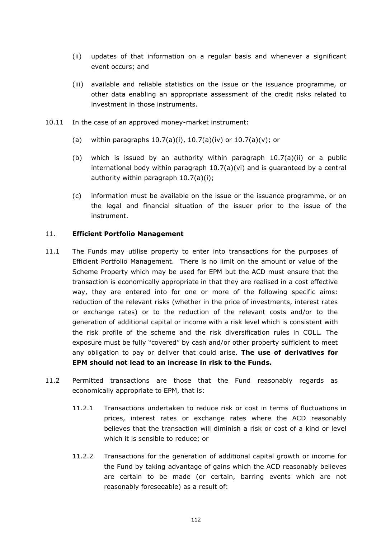- (ii) updates of that information on a regular basis and whenever a significant event occurs; and
- (iii) available and reliable statistics on the issue or the issuance programme, or other data enabling an appropriate assessment of the credit risks related to investment in those instruments.
- 10.11 In the case of an approved money-market instrument:
	- (a) within paragraphs  $10.7(a)(i)$ ,  $10.7(a)(iv)$  or  $10.7(a)(v)$ ; or
	- (b) which is issued by an authority within paragraph  $10.7(a)(ii)$  or a public international body within paragraph  $10.7(a)(vi)$  and is guaranteed by a central authority within paragraph 10.7(a)(i);
	- (c) information must be available on the issue or the issuance programme, or on the legal and financial situation of the issuer prior to the issue of the instrument.

## 11. **Efficient Portfolio Management**

- 11.1 The Funds may utilise property to enter into transactions for the purposes of Efficient Portfolio Management. There is no limit on the amount or value of the Scheme Property which may be used for EPM but the ACD must ensure that the transaction is economically appropriate in that they are realised in a cost effective way, they are entered into for one or more of the following specific aims: reduction of the relevant risks (whether in the price of investments, interest rates or exchange rates) or to the reduction of the relevant costs and/or to the generation of additional capital or income with a risk level which is consistent with the risk profile of the scheme and the risk diversification rules in COLL. The exposure must be fully "covered" by cash and/or other property sufficient to meet any obligation to pay or deliver that could arise. **The use of derivatives for EPM should not lead to an increase in risk to the Funds.**
- 11.2 Permitted transactions are those that the Fund reasonably regards as economically appropriate to EPM, that is:
	- 11.2.1 Transactions undertaken to reduce risk or cost in terms of fluctuations in prices, interest rates or exchange rates where the ACD reasonably believes that the transaction will diminish a risk or cost of a kind or level which it is sensible to reduce; or
	- 11.2.2 Transactions for the generation of additional capital growth or income for the Fund by taking advantage of gains which the ACD reasonably believes are certain to be made (or certain, barring events which are not reasonably foreseeable) as a result of: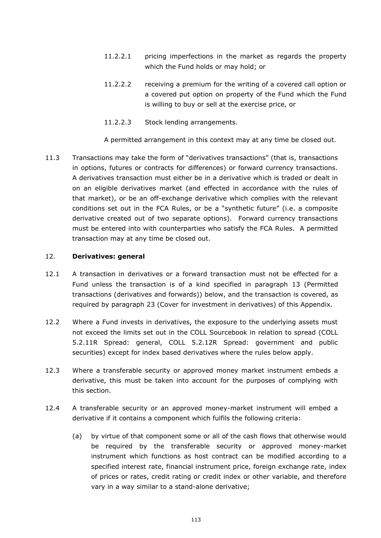- 11.2.2.1 pricing imperfections in the market as regards the property which the Fund holds or may hold; or
- 11.2.2.2 receiving a premium for the writing of a covered call option or a covered put option on property of the Fund which the Fund is willing to buy or sell at the exercise price, or
- 11.2.2.3 Stock lending arrangements.

A permitted arrangement in this context may at any time be closed out.

11.3 Transactions may take the form of "derivatives transactions" (that is, transactions in options, futures or contracts for differences) or forward currency transactions. A derivatives transaction must either be in a derivative which is traded or dealt in on an eligible derivatives market (and effected in accordance with the rules of that market), or be an off-exchange derivative which complies with the relevant conditions set out in the FCA Rules, or be a "synthetic future" (i.e. a composite derivative created out of two separate options). Forward currency transactions must be entered into with counterparties who satisfy the FCA Rules. A permitted transaction may at any time be closed out.

## <span id="page-120-0"></span>12. **Derivatives: general**

- 12.1 A transaction in derivatives or a forward transaction must not be effected for a Fund unless the transaction is of a kind specified in paragraph [13](#page-121-0) (Permitted transactions (derivatives and forwards)) below, and the transaction is covered, as required by paragraph [23](#page-128-0) (Cover for investment in derivatives) of this Appendix.
- 12.2 Where a Fund invests in derivatives, the exposure to the underlying assets must not exceed the limits set out in the COLL Sourcebook in relation to spread (COLL 5.2.11R Spread: general, COLL 5.2.12R Spread: government and public securities) except for index based derivatives where the rules below apply.
- 12.3 Where a transferable security or approved money market instrument embeds a derivative, this must be taken into account for the purposes of complying with this section.
- 12.4 A transferable security or an approved money-market instrument will embed a derivative if it contains a component which fulfils the following criteria:
	- (a) by virtue of that component some or all of the cash flows that otherwise would be required by the transferable security or approved money-market instrument which functions as host contract can be modified according to a specified interest rate, financial instrument price, foreign exchange rate, index of prices or rates, credit rating or credit index or other variable, and therefore vary in a way similar to a stand-alone derivative;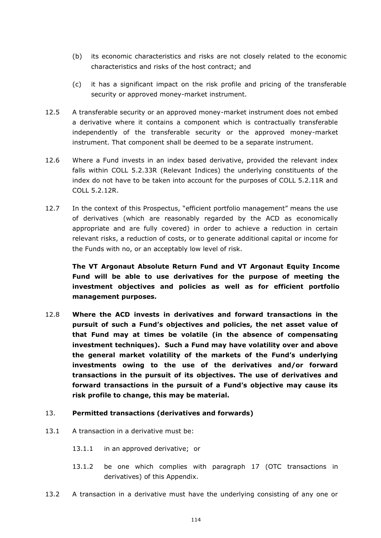- (b) its economic characteristics and risks are not closely related to the economic characteristics and risks of the host contract; and
- (c) it has a significant impact on the risk profile and pricing of the transferable security or approved money-market instrument.
- 12.5 A transferable security or an approved money-market instrument does not embed a derivative where it contains a component which is contractually transferable independently of the transferable security or the approved money-market instrument. That component shall be deemed to be a separate instrument.
- 12.6 Where a Fund invests in an index based derivative, provided the relevant index falls within COLL 5.2.33R (Relevant Indices) the underlying constituents of the index do not have to be taken into account for the purposes of COLL 5.2.11R and COLL 5.2.12R.
- 12.7 In the context of this Prospectus, "efficient portfolio management" means the use of derivatives (which are reasonably regarded by the ACD as economically appropriate and are fully covered) in order to achieve a reduction in certain relevant risks, a reduction of costs, or to generate additional capital or income for the Funds with no, or an acceptably low level of risk.

**The VT Argonaut Absolute Return Fund and VT Argonaut Equity Income Fund will be able to use derivatives for the purpose of meeting the investment objectives and policies as well as for efficient portfolio management purposes.**

12.8 **Where the ACD invests in derivatives and forward transactions in the pursuit of such a Fund's objectives and policies, the net asset value of that Fund may at times be volatile (in the absence of compensating investment techniques). Such a Fund may have volatility over and above the general market volatility of the markets of the Fund's underlying investments owing to the use of the derivatives and/or forward transactions in the pursuit of its objectives. The use of derivatives and forward transactions in the pursuit of a Fund's objective may cause its risk profile to change, this may be material.**

# <span id="page-121-0"></span>13. **Permitted transactions (derivatives and forwards)**

- 13.1 A transaction in a derivative must be:
	- 13.1.1 in an approved derivative; or
	- 13.1.2 be one which complies with paragraph [17](#page-123-0) (OTC transactions in derivatives) of this Appendix.
- <span id="page-121-2"></span><span id="page-121-1"></span>13.2 A transaction in a derivative must have the underlying consisting of any one or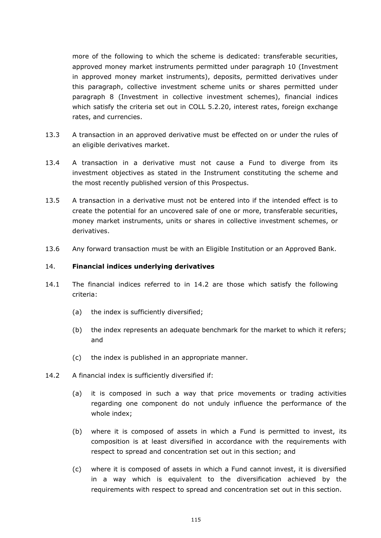more of the following to which the scheme is dedicated: transferable securities, approved money market instruments permitted under paragraph [10](#page-116-0) (Investment in approved money market instruments), deposits, permitted derivatives under this paragraph, collective investment scheme units or shares permitted under paragraph [8](#page-114-1) (Investment in collective investment schemes), financial indices which satisfy the criteria set out in COLL 5.2.20, interest rates, foreign exchange rates, and currencies.

- 13.3 A transaction in an approved derivative must be effected on or under the rules of an eligible derivatives market.
- 13.4 A transaction in a derivative must not cause a Fund to diverge from its investment objectives as stated in the Instrument constituting the scheme and the most recently published version of this Prospectus.
- 13.5 A transaction in a derivative must not be entered into if the intended effect is to create the potential for an uncovered sale of one or more, transferable securities, money market instruments, units or shares in collective investment schemes, or derivatives.
- 13.6 Any forward transaction must be with an Eligible Institution or an Approved Bank.

### 14. **Financial indices underlying derivatives**

- 14.1 The financial indices referred to in 14.2 are those which satisfy the following criteria:
	- (a) the index is sufficiently diversified;
	- (b) the index represents an adequate benchmark for the market to which it refers; and
	- (c) the index is published in an appropriate manner.
- 14.2 A financial index is sufficiently diversified if:
	- (a) it is composed in such a way that price movements or trading activities regarding one component do not unduly influence the performance of the whole index;
	- (b) where it is composed of assets in which a Fund is permitted to invest, its composition is at least diversified in accordance with the requirements with respect to spread and concentration set out in this section; and
	- (c) where it is composed of assets in which a Fund cannot invest, it is diversified in a way which is equivalent to the diversification achieved by the requirements with respect to spread and concentration set out in this section.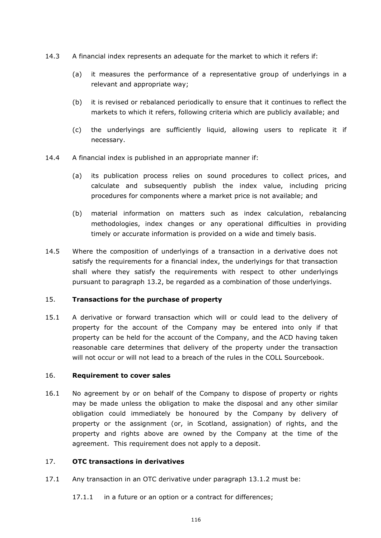- 14.3 A financial index represents an adequate for the market to which it refers if:
	- (a) it measures the performance of a representative group of underlyings in a relevant and appropriate way;
	- (b) it is revised or rebalanced periodically to ensure that it continues to reflect the markets to which it refers, following criteria which are publicly available; and
	- (c) the underlyings are sufficiently liquid, allowing users to replicate it if necessary.
- 14.4 A financial index is published in an appropriate manner if:
	- (a) its publication process relies on sound procedures to collect prices, and calculate and subsequently publish the index value, including pricing procedures for components where a market price is not available; and
	- (b) material information on matters such as index calculation, rebalancing methodologies, index changes or any operational difficulties in providing timely or accurate information is provided on a wide and timely basis.
- 14.5 Where the composition of underlyings of a transaction in a derivative does not satisfy the requirements for a financial index, the underlyings for that transaction shall where they satisfy the requirements with respect to other underlyings pursuant to paragraph [13.2,](#page-121-1) be regarded as a combination of those underlyings.

# 15. **Transactions for the purchase of property**

15.1 A derivative or forward transaction which will or could lead to the delivery of property for the account of the Company may be entered into only if that property can be held for the account of the Company, and the ACD having taken reasonable care determines that delivery of the property under the transaction will not occur or will not lead to a breach of the rules in the COLL Sourcebook.

# 16. **Requirement to cover sales**

16.1 No agreement by or on behalf of the Company to dispose of property or rights may be made unless the obligation to make the disposal and any other similar obligation could immediately be honoured by the Company by delivery of property or the assignment (or, in Scotland, assignation) of rights, and the property and rights above are owned by the Company at the time of the agreement. This requirement does not apply to a deposit.

# <span id="page-123-0"></span>17. **OTC transactions in derivatives**

- 17.1 Any transaction in an OTC derivative under paragraph [13.1.2](#page-121-2) must be:
	- 17.1.1 in a future or an option or a contract for differences;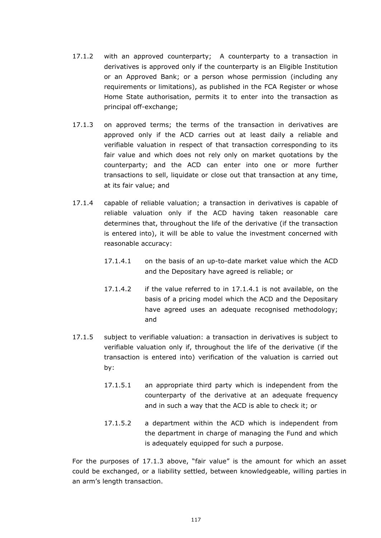- 17.1.2 with an approved counterparty; A counterparty to a transaction in derivatives is approved only if the counterparty is an Eligible Institution or an Approved Bank; or a person whose permission (including any requirements or limitations), as published in the FCA Register or whose Home State authorisation, permits it to enter into the transaction as principal off-exchange;
- <span id="page-124-0"></span>17.1.3 on approved terms; the terms of the transaction in derivatives are approved only if the ACD carries out at least daily a reliable and verifiable valuation in respect of that transaction corresponding to its fair value and which does not rely only on market quotations by the counterparty; and the ACD can enter into one or more further transactions to sell, liquidate or close out that transaction at any time, at its fair value; and
- 17.1.4 capable of reliable valuation; a transaction in derivatives is capable of reliable valuation only if the ACD having taken reasonable care determines that, throughout the life of the derivative (if the transaction is entered into), it will be able to value the investment concerned with reasonable accuracy:
	- 17.1.4.1 on the basis of an up-to-date market value which the ACD and the Depositary have agreed is reliable; or
	- 17.1.4.2 if the value referred to in 17.1.4.1 is not available, on the basis of a pricing model which the ACD and the Depositary have agreed uses an adequate recognised methodology; and
- 17.1.5 subject to verifiable valuation: a transaction in derivatives is subject to verifiable valuation only if, throughout the life of the derivative (if the transaction is entered into) verification of the valuation is carried out by:
	- 17.1.5.1 an appropriate third party which is independent from the counterparty of the derivative at an adequate frequency and in such a way that the ACD is able to check it; or
	- 17.1.5.2 a department within the ACD which is independent from the department in charge of managing the Fund and which is adequately equipped for such a purpose.

For the purposes of [17.1.3](#page-124-0) above, "fair value" is the amount for which an asset could be exchanged, or a liability settled, between knowledgeable, willing parties in an arm's length transaction.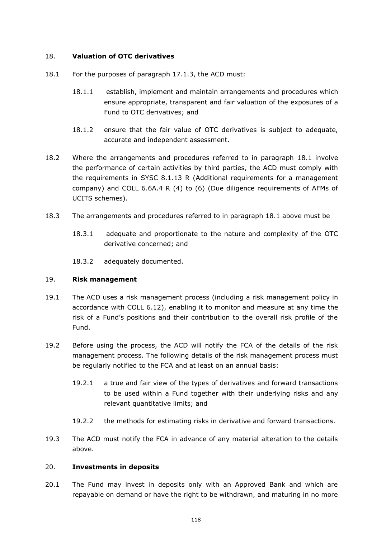# 18. **Valuation of OTC derivatives**

- 18.1 For the purposes of paragraph 17.1.3, the ACD must:
	- 18.1.1 establish, implement and maintain arrangements and procedures which ensure appropriate, transparent and fair valuation of the exposures of a Fund to OTC derivatives; and
	- 18.1.2 ensure that the fair value of OTC derivatives is subject to adequate, accurate and independent assessment.
- 18.2 Where the arrangements and procedures referred to in paragraph 18.1 involve the performance of certain activities by third parties, the ACD must comply with the requirements in SYSC 8.1.13 R (Additional requirements for a management company) and COLL 6.6A.4 R (4) to (6) (Due diligence requirements of AFMs of UCITS schemes).
- 18.3 The arrangements and procedures referred to in paragraph 18.1 above must be
	- 18.3.1 adequate and proportionate to the nature and complexity of the OTC derivative concerned; and
	- 18.3.2 adequately documented.

# 19. **Risk management**

- 19.1 The ACD uses a risk management process (including a risk management policy in accordance with COLL 6.12), enabling it to monitor and measure at any time the risk of a Fund's positions and their contribution to the overall risk profile of the Fund.
- 19.2 Before using the process, the ACD will notify the FCA of the details of the risk management process. The following details of the risk management process must be regularly notified to the FCA and at least on an annual basis:
	- 19.2.1 a true and fair view of the types of derivatives and forward transactions to be used within a Fund together with their underlying risks and any relevant quantitative limits; and
	- 19.2.2 the methods for estimating risks in derivative and forward transactions.
- 19.3 The ACD must notify the FCA in advance of any material alteration to the details above.

# 20. **Investments in deposits**

20.1 The Fund may invest in deposits only with an Approved Bank and which are repayable on demand or have the right to be withdrawn, and maturing in no more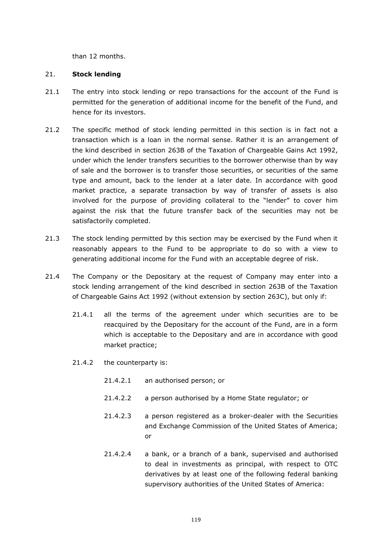than 12 months.

## <span id="page-126-2"></span>21. **Stock lending**

- 21.1 The entry into stock lending or repo transactions for the account of the Fund is permitted for the generation of additional income for the benefit of the Fund, and hence for its investors.
- 21.2 The specific method of stock lending permitted in this section is in fact not a transaction which is a loan in the normal sense. Rather it is an arrangement of the kind described in section 263B of the Taxation of Chargeable Gains Act 1992, under which the lender transfers securities to the borrower otherwise than by way of sale and the borrower is to transfer those securities, or securities of the same type and amount, back to the lender at a later date. In accordance with good market practice, a separate transaction by way of transfer of assets is also involved for the purpose of providing collateral to the "lender" to cover him against the risk that the future transfer back of the securities may not be satisfactorily completed.
- 21.3 The stock lending permitted by this section may be exercised by the Fund when it reasonably appears to the Fund to be appropriate to do so with a view to generating additional income for the Fund with an acceptable degree of risk.
- <span id="page-126-1"></span><span id="page-126-0"></span>21.4 The Company or the Depositary at the request of Company may enter into a stock lending arrangement of the kind described in section 263B of the Taxation of Chargeable Gains Act 1992 (without extension by section 263C), but only if:
	- 21.4.1 all the terms of the agreement under which securities are to be reacquired by the Depositary for the account of the Fund, are in a form which is acceptable to the Depositary and are in accordance with good market practice;
	- 21.4.2 the counterparty is:
		- 21.4.2.1 an authorised person; or
		- 21.4.2.2 a person authorised by a Home State regulator; or
		- 21.4.2.3 a person registered as a broker-dealer with the Securities and Exchange Commission of the United States of America; or
		- 21.4.2.4 a bank, or a branch of a bank, supervised and authorised to deal in investments as principal, with respect to OTC derivatives by at least one of the following federal banking supervisory authorities of the United States of America: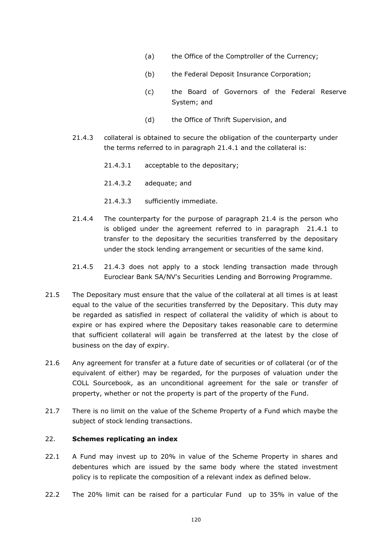- (a) the Office of the Comptroller of the Currency;
- (b) the Federal Deposit Insurance Corporation;
- (c) the Board of Governors of the Federal Reserve System; and
- (d) the Office of Thrift Supervision, and
- <span id="page-127-0"></span>21.4.3 collateral is obtained to secure the obligation of the counterparty under the terms referred to in paragraph [21.4.1](#page-126-0) and the collateral is:
	- 21.4.3.1 acceptable to the depositary;
	- 21.4.3.2 adequate; and
	- 21.4.3.3 sufficiently immediate.
- 21.4.4 The counterparty for the purpose of paragraph [21.4](#page-126-1) is the person who is obliged under the agreement referred to in paragraph [21.4.1](#page-126-0) to transfer to the depositary the securities transferred by the depositary under the stock lending arrangement or securities of the same kind.
- 21.4.5 [21.4.3](#page-127-0) does not apply to a stock lending transaction made through Euroclear Bank SA/NV's Securities Lending and Borrowing Programme.
- 21.5 The Depositary must ensure that the value of the collateral at all times is at least equal to the value of the securities transferred by the Depositary. This duty may be regarded as satisfied in respect of collateral the validity of which is about to expire or has expired where the Depositary takes reasonable care to determine that sufficient collateral will again be transferred at the latest by the close of business on the day of expiry.
- 21.6 Any agreement for transfer at a future date of securities or of collateral (or of the equivalent of either) may be regarded, for the purposes of valuation under the COLL Sourcebook, as an unconditional agreement for the sale or transfer of property, whether or not the property is part of the property of the Fund.
- 21.7 There is no limit on the value of the Scheme Property of a Fund which maybe the subject of stock lending transactions.

## 22. **Schemes replicating an index**

- 22.1 A Fund may invest up to 20% in value of the Scheme Property in shares and debentures which are issued by the same body where the stated investment policy is to replicate the composition of a relevant index as defined below.
- 22.2 The 20% limit can be raised for a particular Fund up to 35% in value of the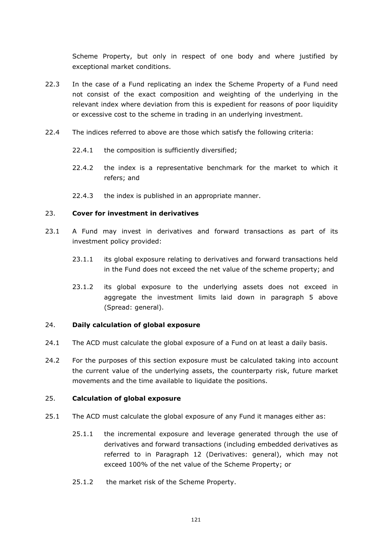Scheme Property, but only in respect of one body and where justified by exceptional market conditions.

- 22.3 In the case of a Fund replicating an index the Scheme Property of a Fund need not consist of the exact composition and weighting of the underlying in the relevant index where deviation from this is expedient for reasons of poor liquidity or excessive cost to the scheme in trading in an underlying investment.
- 22.4 The indices referred to above are those which satisfy the following criteria:
	- 22.4.1 the composition is sufficiently diversified;
	- 22.4.2 the index is a representative benchmark for the market to which it refers; and
	- 22.4.3 the index is published in an appropriate manner.

## <span id="page-128-0"></span>23. **Cover for investment in derivatives**

- 23.1 A Fund may invest in derivatives and forward transactions as part of its investment policy provided:
	- 23.1.1 its global exposure relating to derivatives and forward transactions held in the Fund does not exceed the net value of the scheme property; and
	- 23.1.2 its global exposure to the underlying assets does not exceed in aggregate the investment limits laid down in paragraph 5 above (Spread: general).

#### 24. **Daily calculation of global exposure**

- 24.1 The ACD must calculate the global exposure of a Fund on at least a daily basis.
- 24.2 For the purposes of this section exposure must be calculated taking into account the current value of the underlying assets, the counterparty risk, future market movements and the time available to liquidate the positions.

# 25. **Calculation of global exposure**

- 25.1 The ACD must calculate the global exposure of any Fund it manages either as:
	- 25.1.1 the incremental exposure and leverage generated through the use of derivatives and forward transactions (including embedded derivatives as referred to in Paragraph [12](#page-120-0) (Derivatives: general), which may not exceed 100% of the net value of the Scheme Property; or
	- 25.1.2 the market risk of the Scheme Property.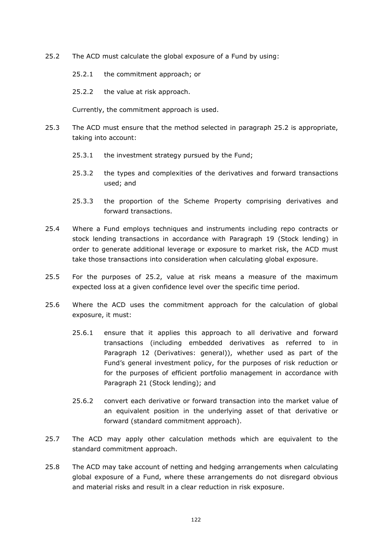- <span id="page-129-0"></span>25.2 The ACD must calculate the global exposure of a Fund by using:
	- 25.2.1 the commitment approach; or
	- 25.2.2 the value at risk approach.

Currently, the commitment approach is used.

- 25.3 The ACD must ensure that the method selected in paragraph 25.2 is appropriate, taking into account:
	- 25.3.1 the investment strategy pursued by the Fund;
	- 25.3.2 the types and complexities of the derivatives and forward transactions used; and
	- 25.3.3 the proportion of the Scheme Property comprising derivatives and forward transactions.
- 25.4 Where a Fund employs techniques and instruments including repo contracts or stock lending transactions in accordance with Paragraph 19 (Stock lending) in order to generate additional leverage or exposure to market risk, the ACD must take those transactions into consideration when calculating global exposure.
- 25.5 For the purposes of [25.2,](#page-129-0) value at risk means a measure of the maximum expected loss at a given confidence level over the specific time period.
- 25.6 Where the ACD uses the commitment approach for the calculation of global exposure, it must:
	- 25.6.1 ensure that it applies this approach to all derivative and forward transactions (including embedded derivatives as referred to in Paragraph [12](#page-120-0) (Derivatives: general)), whether used as part of the Fund's general investment policy, for the purposes of risk reduction or for the purposes of efficient portfolio management in accordance with Paragraph [21](#page-126-2) (Stock lending); and
	- 25.6.2 convert each derivative or forward transaction into the market value of an equivalent position in the underlying asset of that derivative or forward (standard commitment approach).
- 25.7 The ACD may apply other calculation methods which are equivalent to the standard commitment approach.
- 25.8 The ACD may take account of netting and hedging arrangements when calculating global exposure of a Fund, where these arrangements do not disregard obvious and material risks and result in a clear reduction in risk exposure.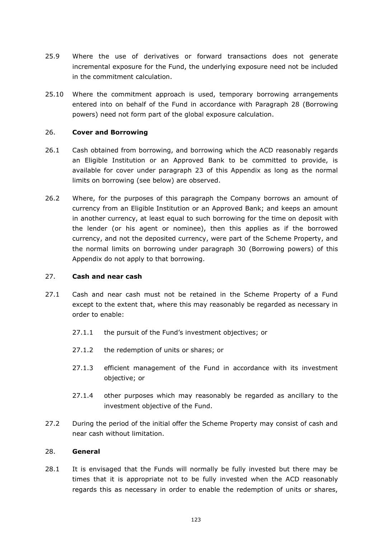- 25.9 Where the use of derivatives or forward transactions does not generate incremental exposure for the Fund, the underlying exposure need not be included in the commitment calculation.
- 25.10 Where the commitment approach is used, temporary borrowing arrangements entered into on behalf of the Fund in accordance with Paragraph 28 (Borrowing powers) need not form part of the global exposure calculation.

## 26. **Cover and Borrowing**

- 26.1 Cash obtained from borrowing, and borrowing which the ACD reasonably regards an Eligible Institution or an Approved Bank to be committed to provide, is available for cover under paragraph [23](#page-128-0) of this Appendix as long as the normal limits on borrowing (see below) are observed.
- 26.2 Where, for the purposes of this paragraph the Company borrows an amount of currency from an Eligible Institution or an Approved Bank; and keeps an amount in another currency, at least equal to such borrowing for the time on deposit with the lender (or his agent or nominee), then this applies as if the borrowed currency, and not the deposited currency, were part of the Scheme Property, and the normal limits on borrowing under paragraph [30](#page-131-0) (Borrowing powers) of this Appendix do not apply to that borrowing.

#### 27. **Cash and near cash**

- 27.1 Cash and near cash must not be retained in the Scheme Property of a Fund except to the extent that, where this may reasonably be regarded as necessary in order to enable:
	- 27.1.1 the pursuit of the Fund's investment objectives; or
	- 27.1.2 the redemption of units or shares; or
	- 27.1.3 efficient management of the Fund in accordance with its investment objective; or
	- 27.1.4 other purposes which may reasonably be regarded as ancillary to the investment objective of the Fund.
- 27.2 During the period of the initial offer the Scheme Property may consist of cash and near cash without limitation.

#### 28. **General**

28.1 It is envisaged that the Funds will normally be fully invested but there may be times that it is appropriate not to be fully invested when the ACD reasonably regards this as necessary in order to enable the redemption of units or shares,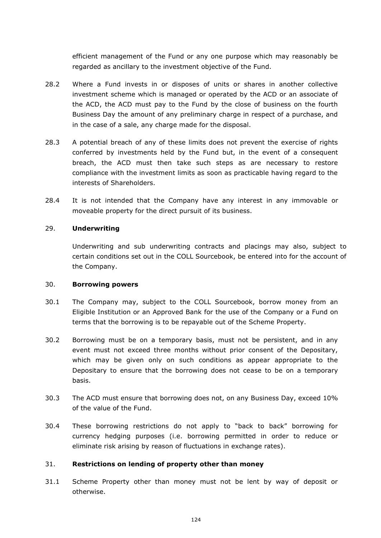efficient management of the Fund or any one purpose which may reasonably be regarded as ancillary to the investment objective of the Fund.

- 28.2 Where a Fund invests in or disposes of units or shares in another collective investment scheme which is managed or operated by the ACD or an associate of the ACD, the ACD must pay to the Fund by the close of business on the fourth Business Day the amount of any preliminary charge in respect of a purchase, and in the case of a sale, any charge made for the disposal.
- 28.3 A potential breach of any of these limits does not prevent the exercise of rights conferred by investments held by the Fund but, in the event of a consequent breach, the ACD must then take such steps as are necessary to restore compliance with the investment limits as soon as practicable having regard to the interests of Shareholders.
- 28.4 It is not intended that the Company have any interest in any immovable or moveable property for the direct pursuit of its business.

# 29. **Underwriting**

Underwriting and sub underwriting contracts and placings may also, subject to certain conditions set out in the COLL Sourcebook, be entered into for the account of the Company.

#### <span id="page-131-0"></span>30. **Borrowing powers**

- 30.1 The Company may, subject to the COLL Sourcebook, borrow money from an Eligible Institution or an Approved Bank for the use of the Company or a Fund on terms that the borrowing is to be repayable out of the Scheme Property.
- 30.2 Borrowing must be on a temporary basis, must not be persistent, and in any event must not exceed three months without prior consent of the Depositary, which may be given only on such conditions as appear appropriate to the Depositary to ensure that the borrowing does not cease to be on a temporary basis.
- 30.3 The ACD must ensure that borrowing does not, on any Business Day, exceed 10% of the value of the Fund.
- 30.4 These borrowing restrictions do not apply to "back to back" borrowing for currency hedging purposes (i.e. borrowing permitted in order to reduce or eliminate risk arising by reason of fluctuations in exchange rates).

#### 31. **Restrictions on lending of property other than money**

<span id="page-131-1"></span>31.1 Scheme Property other than money must not be lent by way of deposit or otherwise.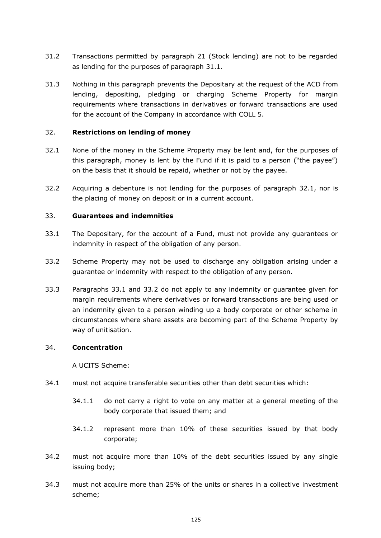- 31.2 Transactions permitted by paragraph [21](#page-126-2) (Stock lending) are not to be regarded as lending for the purposes of paragraph [31.1.](#page-131-1)
- 31.3 Nothing in this paragraph prevents the Depositary at the request of the ACD from lending, depositing, pledging or charging Scheme Property for margin requirements where transactions in derivatives or forward transactions are used for the account of the Company in accordance with COLL 5.

## 32. **Restrictions on lending of money**

- <span id="page-132-0"></span>32.1 None of the money in the Scheme Property may be lent and, for the purposes of this paragraph, money is lent by the Fund if it is paid to a person ("the payee") on the basis that it should be repaid, whether or not by the payee.
- 32.2 Acquiring a debenture is not lending for the purposes of paragraph [32.1,](#page-132-0) nor is the placing of money on deposit or in a current account.

## 33. **Guarantees and indemnities**

- <span id="page-132-1"></span>33.1 The Depositary, for the account of a Fund, must not provide any guarantees or indemnity in respect of the obligation of any person.
- <span id="page-132-2"></span>33.2 Scheme Property may not be used to discharge any obligation arising under a guarantee or indemnity with respect to the obligation of any person.
- 33.3 Paragraphs [33.1](#page-132-1) and [33.2](#page-132-2) do not apply to any indemnity or guarantee given for margin requirements where derivatives or forward transactions are being used or an indemnity given to a person winding up a body corporate or other scheme in circumstances where share assets are becoming part of the Scheme Property by way of unitisation.

#### 34. **Concentration**

A UCITS Scheme:

- 34.1 must not acquire transferable securities other than debt securities which:
	- 34.1.1 do not carry a right to vote on any matter at a general meeting of the body corporate that issued them; and
	- 34.1.2 represent more than 10% of these securities issued by that body corporate;
- <span id="page-132-3"></span>34.2 must not acquire more than 10% of the debt securities issued by any single issuing body;
- <span id="page-132-4"></span>34.3 must not acquire more than 25% of the units or shares in a collective investment scheme;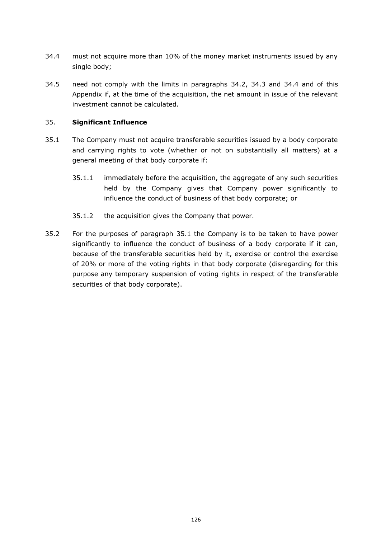- <span id="page-133-0"></span>34.4 must not acquire more than 10% of the money market instruments issued by any single body;
- 34.5 need not comply with the limits in paragraphs [34.2,](#page-132-3) [34.3](#page-132-4) and [34.4](#page-133-0) and of this Appendix if, at the time of the acquisition, the net amount in issue of the relevant investment cannot be calculated.

# 35. **Significant Influence**

- <span id="page-133-1"></span>35.1 The Company must not acquire transferable securities issued by a body corporate and carrying rights to vote (whether or not on substantially all matters) at a general meeting of that body corporate if:
	- 35.1.1 immediately before the acquisition, the aggregate of any such securities held by the Company gives that Company power significantly to influence the conduct of business of that body corporate; or
	- 35.1.2 the acquisition gives the Company that power.
- 35.2 For the purposes of paragraph [35.1](#page-133-1) the Company is to be taken to have power significantly to influence the conduct of business of a body corporate if it can, because of the transferable securities held by it, exercise or control the exercise of 20% or more of the voting rights in that body corporate (disregarding for this purpose any temporary suspension of voting rights in respect of the transferable securities of that body corporate).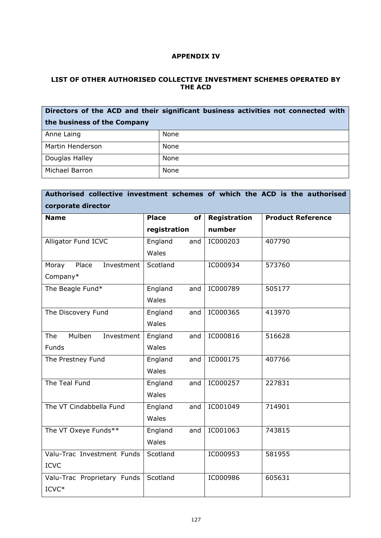# **APPENDIX IV**

# **LIST OF OTHER AUTHORISED COLLECTIVE INVESTMENT SCHEMES OPERATED BY THE ACD**

| Directors of the ACD and their significant business activities not connected with |      |  |  |  |  |
|-----------------------------------------------------------------------------------|------|--|--|--|--|
| the business of the Company                                                       |      |  |  |  |  |
| Anne Laing                                                                        | None |  |  |  |  |
| Martin Henderson                                                                  | None |  |  |  |  |
| Douglas Halley                                                                    | None |  |  |  |  |
| Michael Barron                                                                    | None |  |  |  |  |

| Authorised collective investment schemes of which the ACD is the authorised |                    |              |                          |  |  |  |  |  |
|-----------------------------------------------------------------------------|--------------------|--------------|--------------------------|--|--|--|--|--|
| corporate director                                                          |                    |              |                          |  |  |  |  |  |
| <b>Name</b>                                                                 | <b>Place</b><br>of | Registration | <b>Product Reference</b> |  |  |  |  |  |
|                                                                             | registration       | number       |                          |  |  |  |  |  |
| Alligator Fund ICVC                                                         | England<br>and     | IC000203     | 407790                   |  |  |  |  |  |
|                                                                             | Wales              |              |                          |  |  |  |  |  |
| Place<br>Investment<br>Moray                                                | Scotland           | IC000934     | 573760                   |  |  |  |  |  |
| Company*                                                                    |                    |              |                          |  |  |  |  |  |
| The Beagle Fund*                                                            | England<br>and     | IC000789     | 505177                   |  |  |  |  |  |
|                                                                             | Wales              |              |                          |  |  |  |  |  |
| The Discovery Fund                                                          | England<br>and     | IC000365     | 413970                   |  |  |  |  |  |
|                                                                             | Wales              |              |                          |  |  |  |  |  |
| Mulben<br>Investment<br>The                                                 | England<br>and     | IC000816     | 516628                   |  |  |  |  |  |
| Funds                                                                       | Wales              |              |                          |  |  |  |  |  |
| The Prestney Fund                                                           | England<br>and     | IC000175     | 407766                   |  |  |  |  |  |
|                                                                             | Wales              |              |                          |  |  |  |  |  |
| The Teal Fund                                                               | England<br>and     | IC000257     | 227831                   |  |  |  |  |  |
|                                                                             | Wales              |              |                          |  |  |  |  |  |
| The VT Cindabbella Fund                                                     | England<br>and     | IC001049     | 714901                   |  |  |  |  |  |
|                                                                             | Wales              |              |                          |  |  |  |  |  |
| The VT Oxeye Funds**                                                        | England<br>and     | IC001063     | 743815                   |  |  |  |  |  |
|                                                                             | Wales              |              |                          |  |  |  |  |  |
| Valu-Trac Investment Funds                                                  | Scotland           | IC000953     | 581955                   |  |  |  |  |  |
| <b>ICVC</b>                                                                 |                    |              |                          |  |  |  |  |  |
| Valu-Trac Proprietary Funds                                                 | Scotland           | IC000986     | 605631                   |  |  |  |  |  |
| ICVC*                                                                       |                    |              |                          |  |  |  |  |  |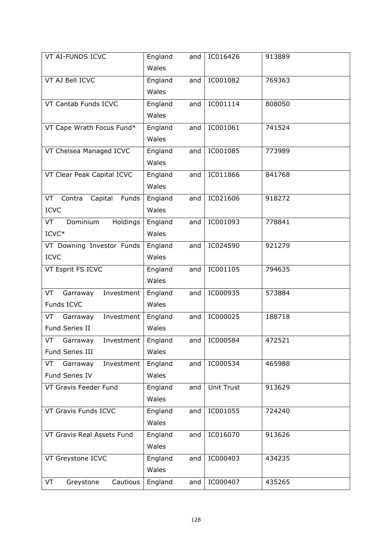| VT AI-FUNDS ICVC                 | England<br>and | IC016426          | 913889 |
|----------------------------------|----------------|-------------------|--------|
|                                  | Wales          |                   |        |
| VT AJ Bell ICVC                  | England<br>and | IC001082          | 769363 |
|                                  | Wales          |                   |        |
| VT Cantab Funds ICVC             | England<br>and | IC001114          | 808050 |
|                                  | Wales          |                   |        |
| VT Cape Wrath Focus Fund*        | England<br>and | IC001061          | 741524 |
|                                  | Wales          |                   |        |
| VT Chelsea Managed ICVC          | England<br>and | IC001085          | 773989 |
|                                  | Wales          |                   |        |
| VT Clear Peak Capital ICVC       | England<br>and | IC011866          | 841768 |
|                                  | Wales          |                   |        |
| Funds<br>Contra<br>Capital<br>VT | England<br>and | IC021606          | 918272 |
| <b>ICVC</b>                      | Wales          |                   |        |
| Dominium<br>Holdings<br>VT       | England<br>and | IC001093          | 778841 |
| ICVC*                            | Wales          |                   |        |
| VT Downing Investor Funds        | England<br>and | IC024590          | 921279 |
| <b>ICVC</b>                      | Wales          |                   |        |
| VT Esprit FS ICVC                | England<br>and | IC001105          | 794635 |
|                                  | Wales          |                   |        |
| Garraway<br>Investment<br>VT     | England<br>and | IC000935          | 573884 |
| Funds ICVC                       | Wales          |                   |        |
| Investment<br>VT<br>Garraway     | England<br>and | IC000025          | 188718 |
| Fund Series II                   | Wales          |                   |        |
| VT<br>Garraway<br>Investment     | England<br>and | IC000584          | 472521 |
| Fund Series III                  | Wales          |                   |        |
| Investment<br>VT<br>Garraway     | England<br>and | IC000534          | 465988 |
| Fund Series IV                   | Wales          |                   |        |
| VT Gravis Feeder Fund            | England<br>and | <b>Unit Trust</b> | 913629 |
|                                  | Wales          |                   |        |
| VT Gravis Funds ICVC             | England<br>and | IC001055          | 724240 |
|                                  | Wales          |                   |        |
| VT Gravis Real Assets Fund       | England<br>and | IC016070          | 913626 |
|                                  | Wales          |                   |        |
| VT Greystone ICVC                | England<br>and | IC000403          | 434235 |
|                                  | Wales          |                   |        |
| Cautious<br>VT<br>Greystone      | England<br>and | IC000407          | 435265 |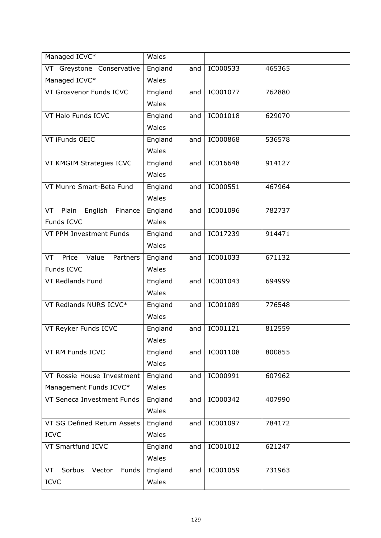| Managed ICVC*                    | Wales          |          |        |
|----------------------------------|----------------|----------|--------|
| VT Greystone Conservative        | England<br>and | IC000533 | 465365 |
| Managed ICVC*                    | Wales          |          |        |
| VT Grosvenor Funds ICVC          | England<br>and | IC001077 | 762880 |
|                                  | Wales          |          |        |
| VT Halo Funds ICVC               | England<br>and | IC001018 | 629070 |
|                                  | Wales          |          |        |
| VT iFunds OEIC                   | England<br>and | IC000868 | 536578 |
|                                  | Wales          |          |        |
| VT KMGIM Strategies ICVC         | England<br>and | IC016648 | 914127 |
|                                  | Wales          |          |        |
| VT Munro Smart-Beta Fund         | England<br>and | IC000551 | 467964 |
|                                  | Wales          |          |        |
| VT Plain<br>English Finance      | England<br>and | IC001096 | 782737 |
| Funds ICVC                       | Wales          |          |        |
| VT PPM Investment Funds          | England<br>and | IC017239 | 914471 |
|                                  | Wales          |          |        |
| Price<br>Value<br>Partners<br>VT | England<br>and | IC001033 | 671132 |
| Funds ICVC                       | Wales          |          |        |
| VT Redlands Fund                 | England<br>and | IC001043 | 694999 |
|                                  | Wales          |          |        |
| VT Redlands NURS ICVC*           | England<br>and | IC001089 | 776548 |
|                                  | Wales          |          |        |
| VT Reyker Funds ICVC             | England<br>and | IC001121 | 812559 |
|                                  | Wales          |          |        |
| VT RM Funds ICVC                 | England<br>and | IC001108 | 800855 |
|                                  | Wales          |          |        |
| VT Rossie House Investment       | England<br>and | IC000991 | 607962 |
| Management Funds ICVC*           | Wales          |          |        |
| VT Seneca Investment Funds       | England<br>and | IC000342 | 407990 |
|                                  | Wales          |          |        |
| VT SG Defined Return Assets      | England<br>and | IC001097 | 784172 |
| <b>ICVC</b>                      | Wales          |          |        |
| VT Smartfund ICVC                | England<br>and | IC001012 | 621247 |
|                                  | Wales          |          |        |
| Sorbus<br>Vector<br>Funds<br>VT  | England<br>and | IC001059 | 731963 |
| <b>ICVC</b>                      | Wales          |          |        |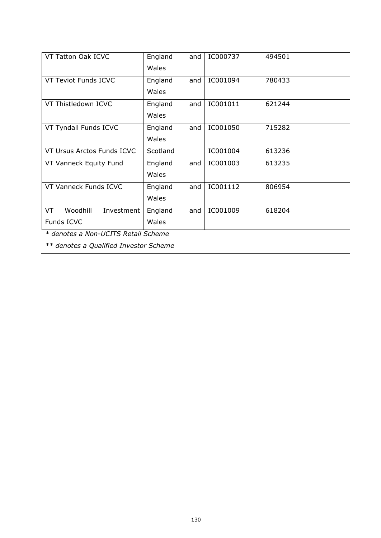| VT Tatton Oak ICVC           | England<br>and | IC000737 | 494501 |
|------------------------------|----------------|----------|--------|
|                              | Wales          |          |        |
| VT Teviot Funds ICVC         | England<br>and | IC001094 | 780433 |
|                              | Wales          |          |        |
| VT Thistledown ICVC          | England<br>and | IC001011 | 621244 |
|                              | Wales          |          |        |
| VT Tyndall Funds ICVC        | England<br>and | IC001050 | 715282 |
|                              | Wales          |          |        |
| VT Ursus Arctos Funds ICVC   | Scotland       | IC001004 | 613236 |
| VT Vanneck Equity Fund       | England<br>and | IC001003 | 613235 |
|                              | Wales          |          |        |
| VT Vanneck Funds ICVC        | England<br>and | IC001112 | 806954 |
|                              | Wales          |          |        |
| Woodhill<br>VT<br>Investment | England<br>and | IC001009 | 618204 |
| Funds ICVC                   | Wales          |          |        |

*\* denotes a Non-UCITS Retail Scheme*

*\*\* denotes a Qualified Investor Scheme*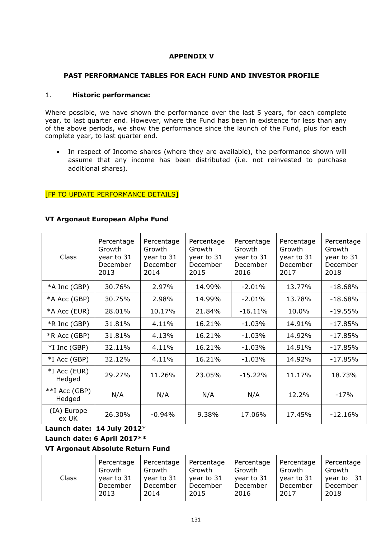# **APPENDIX V**

# **PAST PERFORMANCE TABLES FOR EACH FUND AND INVESTOR PROFILE**

### 1. **Historic performance:**

Where possible, we have shown the performance over the last 5 years, for each complete year, to last quarter end. However, where the Fund has been in existence for less than any of the above periods, we show the performance since the launch of the Fund, plus for each complete year, to last quarter end.

• In respect of Income shares (where they are available), the performance shown will assume that any income has been distributed (i.e. not reinvested to purchase additional shares).

# **[FP TO UPDATE PERFORMANCE DETAILS]**

## **VT Argonaut European Alpha Fund**

| <b>Class</b>              | Percentage<br>Growth<br>year to 31<br>December<br>2013 | Percentage<br>Growth<br>year to 31<br>December<br>2014 | Percentage<br>Growth<br>year to 31<br>December<br>2015 | Percentage<br>Growth<br>year to 31<br>December<br>2016 | Percentage<br>Growth<br>year to 31<br>December<br>2017 | Percentage<br>Growth<br>year to 31<br>December<br>2018 |
|---------------------------|--------------------------------------------------------|--------------------------------------------------------|--------------------------------------------------------|--------------------------------------------------------|--------------------------------------------------------|--------------------------------------------------------|
| *A Inc (GBP)              | 30.76%                                                 | 2.97%                                                  | 14.99%                                                 | $-2.01%$                                               | 13.77%                                                 | $-18.68\%$                                             |
| *A Acc (GBP)              | 30.75%                                                 | 2.98%                                                  | 14.99%                                                 | $-2.01%$                                               | 13.78%                                                 | $-18.68%$                                              |
| *A Acc (EUR)              | 28.01%                                                 | 10.17%                                                 | 21.84%                                                 | $-16.11%$                                              | 10.0%                                                  | $-19.55%$                                              |
| *R Inc (GBP)              | 31.81%                                                 | 4.11%                                                  | 16.21%                                                 | $-1.03%$                                               | 14.91%                                                 | $-17.85%$                                              |
| *R Acc (GBP)              | 31.81%                                                 | 4.13%                                                  | 16.21%                                                 | $-1.03%$                                               | 14.92%                                                 | $-17.85%$                                              |
| $*I$ Inc (GBP)            | 32.11%                                                 | 4.11%                                                  | 16.21%                                                 | $-1.03%$                                               | 14.91%                                                 | $-17.85%$                                              |
| *I Acc (GBP)              | 32.12%                                                 | 4.11%                                                  | 16.21%                                                 | $-1.03%$                                               | 14.92%                                                 | $-17.85%$                                              |
| *I Acc (EUR)<br>Hedged    | 29.27%                                                 | 11.26%                                                 | 23.05%                                                 | $-15.22%$                                              | 11.17%                                                 | 18.73%                                                 |
| $**I$ Acc (GBP)<br>Hedged | N/A                                                    | N/A                                                    | N/A                                                    | N/A                                                    | 12.2%                                                  | $-17%$                                                 |
| (IA) Europe<br>ex UK      | 26.30%                                                 | $-0.94%$                                               | 9.38%                                                  | 17.06%                                                 | 17.45%                                                 | $-12.16%$                                              |

# **Launch date: 14 July 2012**\*

# **Launch date: 6 April 2017\*\***

# **VT Argonaut Absolute Return Fund**

| <b>Class</b> | Percentage | Percentage | Percentage | Percentage | Percentage | Percentage |
|--------------|------------|------------|------------|------------|------------|------------|
|              | Growth     | Growth     | Growth     | Growth     | Growth     | Growth     |
|              | year to 31 | year to 31 | year to 31 | year to 31 | year to 31 | vear to 31 |
|              | December   | December   | December   | December   | December   | December   |
|              | 2013       | 2014       | 2015       | 2016       | 2017       | 2018       |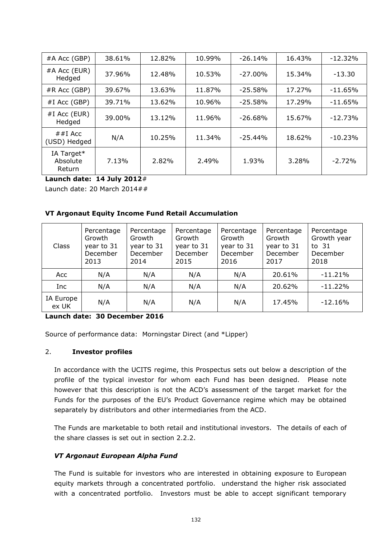| #A Acc (GBP)                     | 38.61% | 12.82% | 10.99% | $-26.14%$  | 16.43% | $-12.32%$ |
|----------------------------------|--------|--------|--------|------------|--------|-----------|
| $#A$ Acc (EUR)<br>Hedged         | 37.96% | 12.48% | 10.53% | $-27.00\%$ | 15.34% | $-13.30$  |
| $#R$ Acc (GBP)                   | 39.67% | 13.63% | 11.87% | $-25.58\%$ | 17.27% | $-11.65%$ |
| $#I$ Acc (GBP)                   | 39.71% | 13.62% | 10.96% | $-25.58\%$ | 17.29% | $-11.65%$ |
| $#I$ Acc (EUR)<br>Hedged         | 39.00% | 13.12% | 11.96% | $-26.68%$  | 15.67% | $-12.73%$ |
| ##I Acc<br>(USD) Hedged          | N/A    | 10.25% | 11.34% | $-25.44%$  | 18.62% | $-10.23%$ |
| IA Target*<br>Absolute<br>Return | 7.13%  | 2.82%  | 2.49%  | 1.93%      | 3.28%  | $-2.72%$  |

**Launch date: 14 July 2012**#

Launch date: 20 March 2014##

## **VT Argonaut Equity Income Fund Retail Accumulation**

| Class              | Percentage<br>Growth<br>year to 31<br>December<br>2013 | Percentage<br>Growth<br>year to 31<br>December<br>2014 | Percentage<br>Growth<br>year to 31<br>December<br>2015 | Percentage<br>Growth<br>year to 31<br>December<br>2016 | Percentage<br>Growth<br>year to 31<br>December<br>2017 | Percentage<br>Growth year<br>to $31$<br>December<br>2018 |
|--------------------|--------------------------------------------------------|--------------------------------------------------------|--------------------------------------------------------|--------------------------------------------------------|--------------------------------------------------------|----------------------------------------------------------|
| Acc                | N/A                                                    | N/A                                                    | N/A                                                    | N/A                                                    | 20.61%                                                 | $-11.21%$                                                |
| <b>Inc</b>         | N/A                                                    | N/A                                                    | N/A                                                    | N/A                                                    | 20.62%                                                 | $-11.22%$                                                |
| IA Europe<br>ex UK | N/A                                                    | N/A                                                    | N/A                                                    | N/A                                                    | 17.45%                                                 | $-12.16%$                                                |

#### **Launch date: 30 December 2016**

Source of performance data: Morningstar Direct (and \*Lipper)

#### 2. **Investor profiles**

In accordance with the UCITS regime, this Prospectus sets out below a description of the profile of the typical investor for whom each Fund has been designed. Please note however that this description is not the ACD's assessment of the target market for the Funds for the purposes of the EU's Product Governance regime which may be obtained separately by distributors and other intermediaries from the ACD.

The Funds are marketable to both retail and institutional investors. The details of each of the share classes is set out in section 2.2.2.

#### *VT Argonaut European Alpha Fund*

The Fund is suitable for investors who are interested in obtaining exposure to European equity markets through a concentrated portfolio. understand the higher risk associated with a concentrated portfolio. Investors must be able to accept significant temporary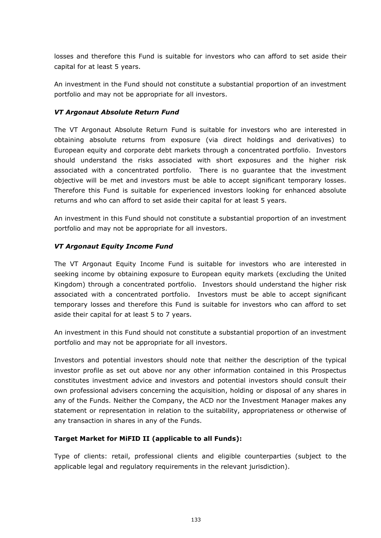losses and therefore this Fund is suitable for investors who can afford to set aside their capital for at least 5 years.

An investment in the Fund should not constitute a substantial proportion of an investment portfolio and may not be appropriate for all investors.

# *VT Argonaut Absolute Return Fund*

The VT Argonaut Absolute Return Fund is suitable for investors who are interested in obtaining absolute returns from exposure (via direct holdings and derivatives) to European equity and corporate debt markets through a concentrated portfolio. Investors should understand the risks associated with short exposures and the higher risk associated with a concentrated portfolio. There is no guarantee that the investment objective will be met and investors must be able to accept significant temporary losses. Therefore this Fund is suitable for experienced investors looking for enhanced absolute returns and who can afford to set aside their capital for at least 5 years.

An investment in this Fund should not constitute a substantial proportion of an investment portfolio and may not be appropriate for all investors.

# *VT Argonaut Equity Income Fund*

The VT Argonaut Equity Income Fund is suitable for investors who are interested in seeking income by obtaining exposure to European equity markets (excluding the United Kingdom) through a concentrated portfolio. Investors should understand the higher risk associated with a concentrated portfolio. Investors must be able to accept significant temporary losses and therefore this Fund is suitable for investors who can afford to set aside their capital for at least 5 to 7 years.

An investment in this Fund should not constitute a substantial proportion of an investment portfolio and may not be appropriate for all investors.

Investors and potential investors should note that neither the description of the typical investor profile as set out above nor any other information contained in this Prospectus constitutes investment advice and investors and potential investors should consult their own professional advisers concerning the acquisition, holding or disposal of any shares in any of the Funds. Neither the Company, the ACD nor the Investment Manager makes any statement or representation in relation to the suitability, appropriateness or otherwise of any transaction in shares in any of the Funds.

# **Target Market for MiFID II (applicable to all Funds):**

Type of clients: retail, professional clients and eligible counterparties (subject to the applicable legal and regulatory requirements in the relevant jurisdiction).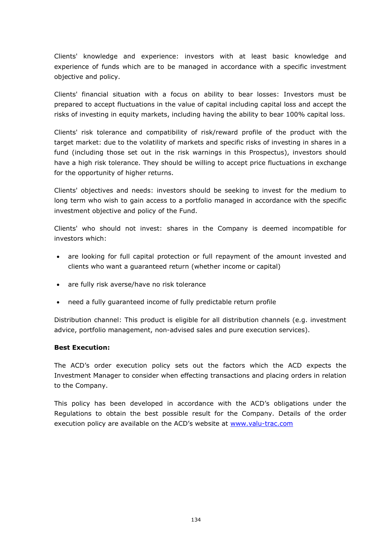Clients' knowledge and experience: investors with at least basic knowledge and experience of funds which are to be managed in accordance with a specific investment objective and policy.

Clients' financial situation with a focus on ability to bear losses: Investors must be prepared to accept fluctuations in the value of capital including capital loss and accept the risks of investing in equity markets, including having the ability to bear 100% capital loss.

Clients' risk tolerance and compatibility of risk/reward profile of the product with the target market: due to the volatility of markets and specific risks of investing in shares in a fund (including those set out in the risk warnings in this Prospectus), investors should have a high risk tolerance. They should be willing to accept price fluctuations in exchange for the opportunity of higher returns.

Clients' objectives and needs: investors should be seeking to invest for the medium to long term who wish to gain access to a portfolio managed in accordance with the specific investment objective and policy of the Fund.

Clients' who should not invest: shares in the Company is deemed incompatible for investors which:

- are looking for full capital protection or full repayment of the amount invested and clients who want a guaranteed return (whether income or capital)
- are fully risk averse/have no risk tolerance
- need a fully guaranteed income of fully predictable return profile

Distribution channel: This product is eligible for all distribution channels (e.g. investment advice, portfolio management, non-advised sales and pure execution services).

# **Best Execution:**

The ACD's order execution policy sets out the factors which the ACD expects the Investment Manager to consider when effecting transactions and placing orders in relation to the Company.

This policy has been developed in accordance with the ACD's obligations under the Regulations to obtain the best possible result for the Company. Details of the order execution policy are available on the ACD's website at [www.valu-trac.com](http://www.valu-trac.com/)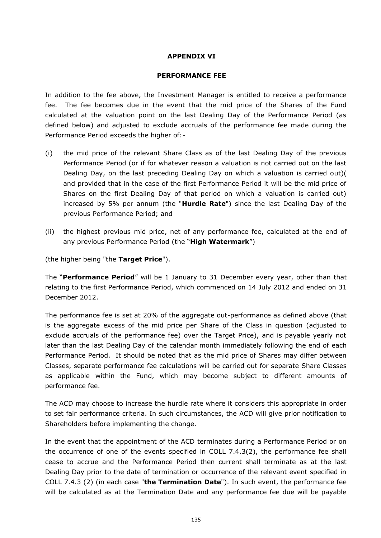## **APPENDIX VI**

#### **PERFORMANCE FEE**

In addition to the fee above, the Investment Manager is entitled to receive a performance fee. The fee becomes due in the event that the mid price of the Shares of the Fund calculated at the valuation point on the last Dealing Day of the Performance Period (as defined below) and adjusted to exclude accruals of the performance fee made during the Performance Period exceeds the higher of:-

- (i) the mid price of the relevant Share Class as of the last Dealing Day of the previous Performance Period (or if for whatever reason a valuation is not carried out on the last Dealing Day, on the last preceding Dealing Day on which a valuation is carried out)( and provided that in the case of the first Performance Period it will be the mid price of Shares on the first Dealing Day of that period on which a valuation is carried out) increased by 5% per annum (the "**Hurdle Rate**") since the last Dealing Day of the previous Performance Period; and
- (ii) the highest previous mid price, net of any performance fee, calculated at the end of any previous Performance Period (the "**High Watermark**")

(the higher being "the **Target Price**").

The "**Performance Period**" will be 1 January to 31 December every year, other than that relating to the first Performance Period, which commenced on 14 July 2012 and ended on 31 December 2012.

The performance fee is set at 20% of the aggregate out-performance as defined above (that is the aggregate excess of the mid price per Share of the Class in question (adjusted to exclude accruals of the performance fee) over the Target Price), and is payable yearly not later than the last Dealing Day of the calendar month immediately following the end of each Performance Period. It should be noted that as the mid price of Shares may differ between Classes, separate performance fee calculations will be carried out for separate Share Classes as applicable within the Fund, which may become subject to different amounts of performance fee.

The ACD may choose to increase the hurdle rate where it considers this appropriate in order to set fair performance criteria. In such circumstances, the ACD will give prior notification to Shareholders before implementing the change.

In the event that the appointment of the ACD terminates during a Performance Period or on the occurrence of one of the events specified in COLL 7.4.3(2), the performance fee shall cease to accrue and the Performance Period then current shall terminate as at the last Dealing Day prior to the date of termination or occurrence of the relevant event specified in COLL 7.4.3 (2) (in each case "**the Termination Date**"). In such event, the performance fee will be calculated as at the Termination Date and any performance fee due will be payable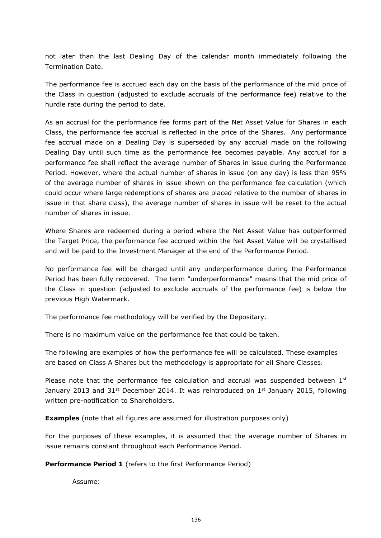not later than the last Dealing Day of the calendar month immediately following the Termination Date.

The performance fee is accrued each day on the basis of the performance of the mid price of the Class in question (adjusted to exclude accruals of the performance fee) relative to the hurdle rate during the period to date.

As an accrual for the performance fee forms part of the Net Asset Value for Shares in each Class, the performance fee accrual is reflected in the price of the Shares. Any performance fee accrual made on a Dealing Day is superseded by any accrual made on the following Dealing Day until such time as the performance fee becomes payable. Any accrual for a performance fee shall reflect the average number of Shares in issue during the Performance Period. However, where the actual number of shares in issue (on any day) is less than 95% of the average number of shares in issue shown on the performance fee calculation (which could occur where large redemptions of shares are placed relative to the number of shares in issue in that share class), the average number of shares in issue will be reset to the actual number of shares in issue.

Where Shares are redeemed during a period where the Net Asset Value has outperformed the Target Price, the performance fee accrued within the Net Asset Value will be crystallised and will be paid to the Investment Manager at the end of the Performance Period.

No performance fee will be charged until any underperformance during the Performance Period has been fully recovered. The term "underperformance" means that the mid price of the Class in question (adjusted to exclude accruals of the performance fee) is below the previous High Watermark.

The performance fee methodology will be verified by the Depositary.

There is no maximum value on the performance fee that could be taken.

The following are examples of how the performance fee will be calculated. These examples are based on Class A Shares but the methodology is appropriate for all Share Classes.

Please note that the performance fee calculation and accrual was suspended between 1st January 2013 and  $31^{st}$  December 2014. It was reintroduced on  $1^{st}$  January 2015, following written pre-notification to Shareholders.

**Examples** (note that all figures are assumed for illustration purposes only)

For the purposes of these examples, it is assumed that the average number of Shares in issue remains constant throughout each Performance Period.

**Performance Period 1** (refers to the first Performance Period)

Assume: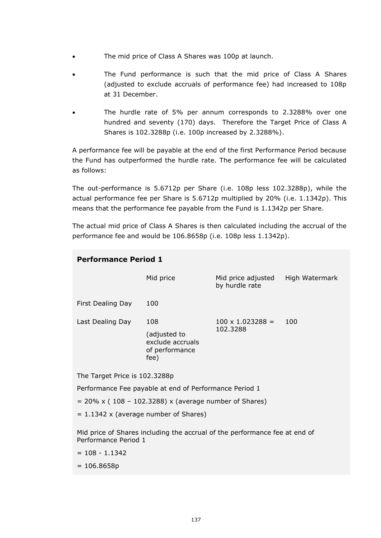- The mid price of Class A Shares was 100p at launch.
- The Fund performance is such that the mid price of Class A Shares (adjusted to exclude accruals of performance fee) had increased to 108p at 31 December.
- The hurdle rate of 5% per annum corresponds to 2.3288% over one hundred and seventy (170) days. Therefore the Target Price of Class A Shares is 102.3288p (i.e. 100p increased by 2.3288%).

A performance fee will be payable at the end of the first Performance Period because the Fund has outperformed the hurdle rate. The performance fee will be calculated as follows:

The out-performance is 5.6712p per Share (i.e. 108p less 102.3288p), while the actual performance fee per Share is 5.6712p multiplied by 20% (i.e. 1.1342p). This means that the performance fee payable from the Fund is 1.1342p per Share.

The actual mid price of Class A Shares is then calculated including the accrual of the performance fee and would be 106.8658p (i.e. 108p less 1.1342p).

| <b>Performance Period 1</b>   |                                                                   |                                      |                |
|-------------------------------|-------------------------------------------------------------------|--------------------------------------|----------------|
|                               | Mid price                                                         | Mid price adjusted<br>by hurdle rate | High Watermark |
| First Dealing Day             | 100                                                               |                                      |                |
| Last Dealing Day              | 108<br>(adjusted to<br>exclude accruals<br>of performance<br>fee) | $100 \times 1.023288 =$<br>102.3288  | 100            |
| The Target Price is 102.3288p |                                                                   |                                      |                |

Performance Fee payable at end of Performance Period 1

 $= 20\% \times (108 - 102.3288) \times (average number of Shares)$ 

 $= 1.1342$  x (average number of Shares)

Mid price of Shares including the accrual of the performance fee at end of Performance Period 1

- $= 108 1.1342$
- $= 106.8658p$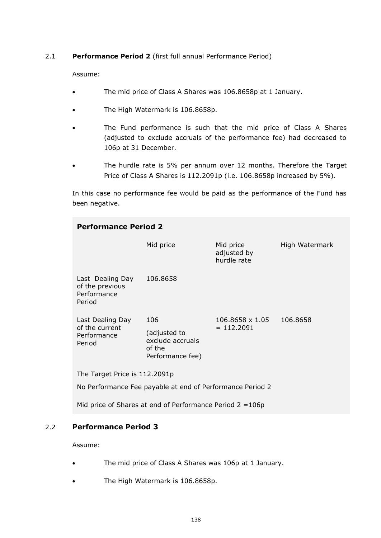## 2.1 **Performance Period 2** (first full annual Performance Period)

Assume:

- The mid price of Class A Shares was 106.8658p at 1 January.
- The High Watermark is 106.8658p.
- The Fund performance is such that the mid price of Class A Shares (adjusted to exclude accruals of the performance fee) had decreased to 106p at 31 December.
- The hurdle rate is 5% per annum over 12 months. Therefore the Target Price of Class A Shares is 112.2091p (i.e. 106.8658p increased by 5%).

In this case no performance fee would be paid as the performance of the Fund has been negative.

| <b>Performance Period 2</b>                                                                |                                                                       |                                         |                |
|--------------------------------------------------------------------------------------------|-----------------------------------------------------------------------|-----------------------------------------|----------------|
|                                                                                            | Mid price                                                             | Mid price<br>adjusted by<br>hurdle rate | High Watermark |
| Last Dealing Day<br>of the previous<br>Performance<br>Period                               | 106.8658                                                              |                                         |                |
| Last Dealing Day<br>of the current<br>Performance<br>Period                                | 106<br>(adjusted to<br>exclude accruals<br>of the<br>Performance fee) | 106.8658 x 1.05<br>$= 112.2091$         | 106.8658       |
| The Target Price is 112.2091p<br>No Performance Fee payable at end of Performance Period 2 |                                                                       |                                         |                |
| Mid price of Shares at end of Performance Period $2 = 106p$                                |                                                                       |                                         |                |

# 2.2 **Performance Period 3**

Assume:

- The mid price of Class A Shares was 106p at 1 January.
- The High Watermark is 106.8658p.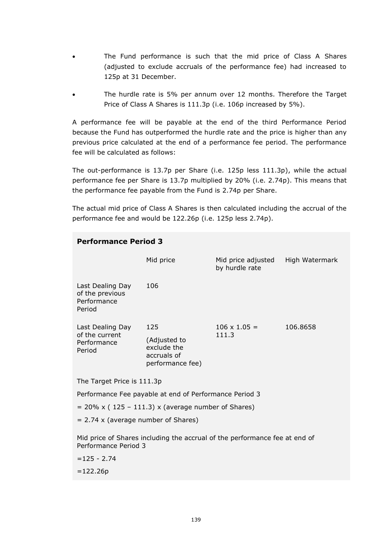- The Fund performance is such that the mid price of Class A Shares (adjusted to exclude accruals of the performance fee) had increased to 125p at 31 December.
- The hurdle rate is 5% per annum over 12 months. Therefore the Target Price of Class A Shares is 111.3p (i.e. 106p increased by 5%).

A performance fee will be payable at the end of the third Performance Period because the Fund has outperformed the hurdle rate and the price is higher than any previous price calculated at the end of a performance fee period. The performance fee will be calculated as follows:

The out-performance is 13.7p per Share (i.e. 125p less 111.3p), while the actual performance fee per Share is 13.7p multiplied by 20% (i.e. 2.74p). This means that the performance fee payable from the Fund is 2.74p per Share.

The actual mid price of Class A Shares is then calculated including the accrual of the performance fee and would be 122.26p (i.e. 125p less 2.74p).

| <b>Performance Period 3</b>                                  |                                                                            |                                      |                |
|--------------------------------------------------------------|----------------------------------------------------------------------------|--------------------------------------|----------------|
|                                                              | Mid price                                                                  | Mid price adjusted<br>by hurdle rate | High Watermark |
| Last Dealing Day<br>of the previous<br>Performance<br>Period | 106                                                                        |                                      |                |
| Last Dealing Day<br>of the current<br>Performance<br>Period  | 125<br>(Adjusted to<br>exclude the<br>accruals of<br>performance fee)      | $106 \times 1.05 =$<br>111.3         | 106.8658       |
| The Target Price is 111.3p                                   |                                                                            |                                      |                |
| Performance Fee payable at end of Performance Period 3       |                                                                            |                                      |                |
| $= 20\%$ x (125 – 111.3) x (average number of Shares)        |                                                                            |                                      |                |
| $= 2.74$ x (average number of Shares)                        |                                                                            |                                      |                |
| Performance Period 3                                         | Mid price of Shares including the accrual of the performance fee at end of |                                      |                |
| $= 125 - 2.74$                                               |                                                                            |                                      |                |
| $=122.26p$                                                   |                                                                            |                                      |                |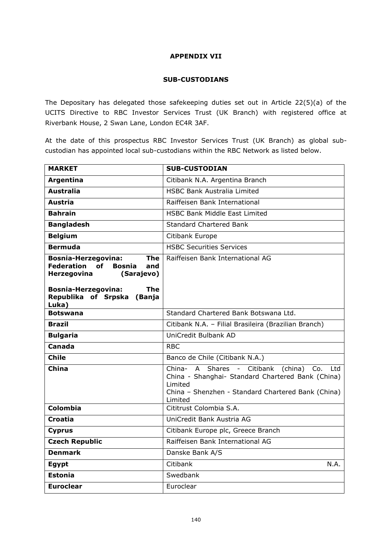## **APPENDIX VII**

## **SUB-CUSTODIANS**

The Depositary has delegated those safekeeping duties set out in Article 22(5)(a) of the UCITS Directive to RBC Investor Services Trust (UK Branch) with registered office at Riverbank House, 2 Swan Lane, London EC4R 3AF.

At the date of this prospectus RBC Investor Services Trust (UK Branch) as global subcustodian has appointed local sub-custodians within the RBC Network as listed below.

| <b>MARKET</b>                                                                                                                                                                                 | <b>SUB-CUSTODIAN</b>                                                                                                                                                                       |
|-----------------------------------------------------------------------------------------------------------------------------------------------------------------------------------------------|--------------------------------------------------------------------------------------------------------------------------------------------------------------------------------------------|
| Argentina                                                                                                                                                                                     | Citibank N.A. Argentina Branch                                                                                                                                                             |
| <b>Australia</b>                                                                                                                                                                              | <b>HSBC Bank Australia Limited</b>                                                                                                                                                         |
| <b>Austria</b>                                                                                                                                                                                | Raiffeisen Bank International                                                                                                                                                              |
| <b>Bahrain</b>                                                                                                                                                                                | <b>HSBC Bank Middle East Limited</b>                                                                                                                                                       |
| <b>Bangladesh</b>                                                                                                                                                                             | <b>Standard Chartered Bank</b>                                                                                                                                                             |
| <b>Belgium</b>                                                                                                                                                                                | Citibank Europe                                                                                                                                                                            |
| <b>Bermuda</b>                                                                                                                                                                                | <b>HSBC Securities Services</b>                                                                                                                                                            |
| <b>Bosnia-Herzegovina:</b><br><b>The</b><br>Federation<br>of Bosnia<br>and<br>Herzegovina<br>(Sarajevo)<br><b>Bosnia-Herzegovina:</b><br><b>The</b><br>Republika of Srpska<br>(Banja<br>Luka) | Raiffeisen Bank International AG                                                                                                                                                           |
| <b>Botswana</b>                                                                                                                                                                               | Standard Chartered Bank Botswana Ltd.                                                                                                                                                      |
| <b>Brazil</b>                                                                                                                                                                                 | Citibank N.A. - Filial Brasileira (Brazilian Branch)                                                                                                                                       |
| <b>Bulgaria</b>                                                                                                                                                                               | UniCredit Bulbank AD                                                                                                                                                                       |
| Canada                                                                                                                                                                                        | <b>RBC</b>                                                                                                                                                                                 |
| <b>Chile</b>                                                                                                                                                                                  | Banco de Chile (Citibank N.A.)                                                                                                                                                             |
| China                                                                                                                                                                                         | A Shares -<br>Citibank<br>China-<br>(china)<br>Co.<br>Ltd<br>China - Shanghai- Standard Chartered Bank (China)<br>Limited<br>China - Shenzhen - Standard Chartered Bank (China)<br>Limited |
| Colombia                                                                                                                                                                                      | Cititrust Colombia S.A.                                                                                                                                                                    |
| <b>Croatia</b>                                                                                                                                                                                | UniCredit Bank Austria AG                                                                                                                                                                  |
| <b>Cyprus</b>                                                                                                                                                                                 | Citibank Europe plc, Greece Branch                                                                                                                                                         |
| <b>Czech Republic</b>                                                                                                                                                                         | Raiffeisen Bank International AG                                                                                                                                                           |
| <b>Denmark</b>                                                                                                                                                                                | Danske Bank A/S                                                                                                                                                                            |
| Egypt                                                                                                                                                                                         | Citibank<br>N.A.                                                                                                                                                                           |
| <b>Estonia</b>                                                                                                                                                                                | Swedbank                                                                                                                                                                                   |
| <b>Euroclear</b>                                                                                                                                                                              | Euroclear                                                                                                                                                                                  |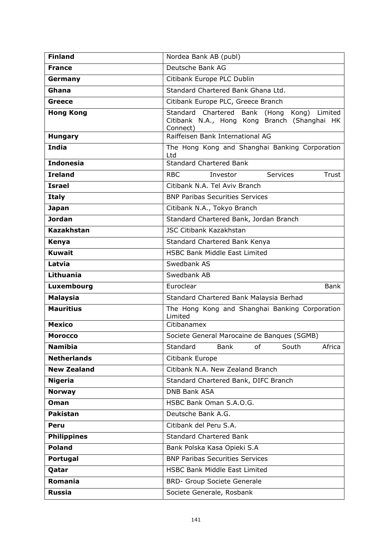| <b>Finland</b>     | Nordea Bank AB (publ)                                                                                      |
|--------------------|------------------------------------------------------------------------------------------------------------|
| <b>France</b>      | Deutsche Bank AG                                                                                           |
| Germany            | Citibank Europe PLC Dublin                                                                                 |
| Ghana              | Standard Chartered Bank Ghana Ltd.                                                                         |
| <b>Greece</b>      | Citibank Europe PLC, Greece Branch                                                                         |
| <b>Hong Kong</b>   | Standard Chartered Bank (Hong Kong)<br>Limited<br>Citibank N.A., Hong Kong Branch (Shanghai HK<br>Connect) |
| <b>Hungary</b>     | Raiffeisen Bank International AG                                                                           |
| <b>India</b>       | The Hong Kong and Shanghai Banking Corporation<br>Ltd                                                      |
| <b>Indonesia</b>   | <b>Standard Chartered Bank</b>                                                                             |
| <b>Ireland</b>     | <b>RBC</b><br>Services<br>Investor<br>Trust                                                                |
| <b>Israel</b>      | Citibank N.A. Tel Aviv Branch                                                                              |
| <b>Italy</b>       | <b>BNP Paribas Securities Services</b>                                                                     |
| <b>Japan</b>       | Citibank N.A., Tokyo Branch                                                                                |
| <b>Jordan</b>      | Standard Chartered Bank, Jordan Branch                                                                     |
| <b>Kazakhstan</b>  | <b>JSC Citibank Kazakhstan</b>                                                                             |
| Kenya              | Standard Chartered Bank Kenya                                                                              |
| <b>Kuwait</b>      | <b>HSBC Bank Middle East Limited</b>                                                                       |
| Latvia             | Swedbank AS                                                                                                |
| <b>Lithuania</b>   | Swedbank AB                                                                                                |
| Luxembourg         | Euroclear<br>Bank                                                                                          |
| <b>Malaysia</b>    | Standard Chartered Bank Malaysia Berhad                                                                    |
| <b>Mauritius</b>   | The Hong Kong and Shanghai Banking Corporation<br>Limited                                                  |
| <b>Mexico</b>      | Citibanamex                                                                                                |
| <b>Morocco</b>     | Societe General Marocaine de Banques (SGMB)                                                                |
| <b>Namibia</b>     | Standard<br>Bank<br>South<br>Africa<br>of                                                                  |
| <b>Netherlands</b> | Citibank Europe                                                                                            |
| <b>New Zealand</b> | Citibank N.A. New Zealand Branch                                                                           |
| <b>Nigeria</b>     | Standard Chartered Bank, DIFC Branch                                                                       |
| <b>Norway</b>      | <b>DNB Bank ASA</b>                                                                                        |
| <b>Oman</b>        | HSBC Bank Oman S.A.O.G.                                                                                    |
| <b>Pakistan</b>    | Deutsche Bank A.G.                                                                                         |
| Peru               | Citibank del Peru S.A.                                                                                     |
| <b>Philippines</b> | <b>Standard Chartered Bank</b>                                                                             |
| <b>Poland</b>      | Bank Polska Kasa Opieki S.A                                                                                |
| Portugal           | <b>BNP Paribas Securities Services</b>                                                                     |
| Qatar              | <b>HSBC Bank Middle East Limited</b>                                                                       |
| Romania            | <b>BRD- Group Societe Generale</b>                                                                         |
| Russia             | Societe Generale, Rosbank                                                                                  |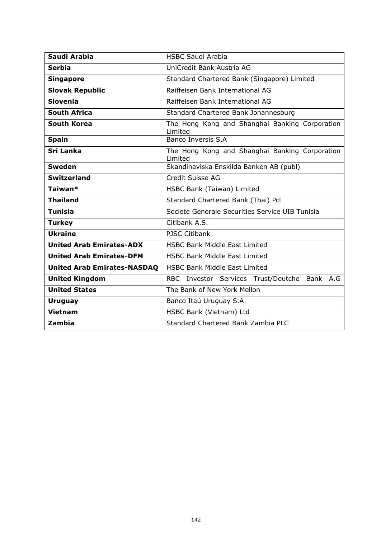| Saudi Arabia                       | <b>HSBC Saudi Arabia</b>                                  |  |  |
|------------------------------------|-----------------------------------------------------------|--|--|
| <b>Serbia</b>                      | UniCredit Bank Austria AG                                 |  |  |
| <b>Singapore</b>                   | Standard Chartered Bank (Singapore) Limited               |  |  |
| <b>Slovak Republic</b>             | Raiffeisen Bank International AG                          |  |  |
| <b>Slovenia</b>                    | Raiffeisen Bank International AG                          |  |  |
| <b>South Africa</b>                | Standard Chartered Bank Johannesburg                      |  |  |
| <b>South Korea</b>                 | The Hong Kong and Shanghai Banking Corporation<br>Limited |  |  |
| <b>Spain</b>                       | Banco Inversis S.A                                        |  |  |
| Sri Lanka                          | The Hong Kong and Shanghai Banking Corporation<br>Limited |  |  |
| <b>Sweden</b>                      | Skandinaviska Enskilda Banken AB (publ)                   |  |  |
| <b>Switzerland</b>                 | Credit Suisse AG                                          |  |  |
| Taiwan*                            | HSBC Bank (Taiwan) Limited                                |  |  |
| <b>Thailand</b>                    | Standard Chartered Bank (Thai) Pcl                        |  |  |
| <b>Tunisia</b>                     | Societe Generale Securities Service UIB Tunisia           |  |  |
| <b>Turkey</b>                      | Citibank A.S.                                             |  |  |
| <b>Ukraine</b>                     | <b>PJSC Citibank</b>                                      |  |  |
| <b>United Arab Emirates-ADX</b>    | <b>HSBC Bank Middle East Limited</b>                      |  |  |
| <b>United Arab Emirates-DFM</b>    | <b>HSBC Bank Middle East Limited</b>                      |  |  |
| <b>United Arab Emirates-NASDAQ</b> | <b>HSBC Bank Middle East Limited</b>                      |  |  |
| <b>United Kingdom</b>              | RBC Investor Services Trust/Deutche Bank A.G              |  |  |
| <b>United States</b>               | The Bank of New York Mellon                               |  |  |
| <b>Uruguay</b>                     | Banco Itaú Uruguay S.A.                                   |  |  |
| <b>Vietnam</b>                     | HSBC Bank (Vietnam) Ltd                                   |  |  |
| Zambia                             | <b>Standard Chartered Bank Zambia PLC</b>                 |  |  |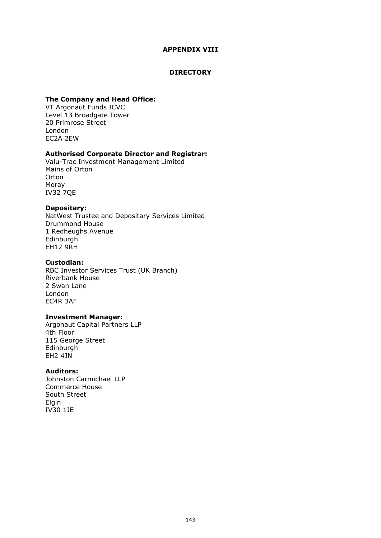## **APPENDIX VIII**

#### **DIRECTORY**

#### **The Company and Head Office:**

VT Argonaut Funds ICVC Level 13 Broadgate Tower 20 Primrose Street London EC2A 2EW

## **Authorised Corporate Director and Registrar:**

Valu-Trac Investment Management Limited Mains of Orton Orton Moray IV32 7QE

## **Depositary:**

NatWest Trustee and Depositary Services Limited Drummond House 1 Redheughs Avenue Edinburgh EH12 9RH

## **Custodian:**

RBC Investor Services Trust (UK Branch) Riverbank House 2 Swan Lane London EC4R 3AF

#### **Investment Manager:**

Argonaut Capital Partners LLP 4th Floor 115 George Street Edinburgh EH2 4JN

#### **Auditors:**

Johnston Carmichael LLP Commerce House South Street Elgin IV30 1JE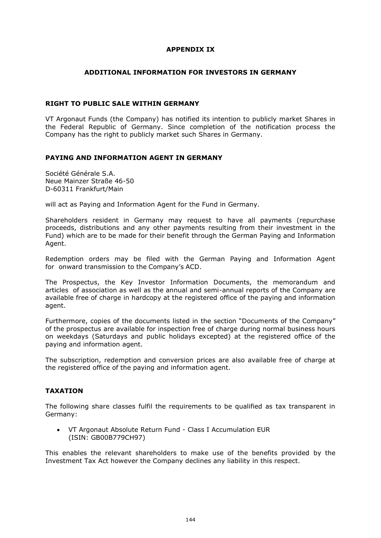## **APPENDIX IX**

#### **ADDITIONAL INFORMATION FOR INVESTORS IN GERMANY**

## **RIGHT TO PUBLIC SALE WITHIN GERMANY**

VT Argonaut Funds (the Company) has notified its intention to publicly market Shares in the Federal Republic of Germany. Since completion of the notification process the Company has the right to publicly market such Shares in Germany.

#### **PAYING AND INFORMATION AGENT IN GERMANY**

Société Générale S.A. Neue Mainzer Straße 46-50 D-60311 Frankfurt/Main

will act as Paying and Information Agent for the Fund in Germany.

Shareholders resident in Germany may request to have all payments (repurchase proceeds, distributions and any other payments resulting from their investment in the Fund) which are to be made for their benefit through the German Paying and Information Agent.

Redemption orders may be filed with the German Paying and Information Agent for onward transmission to the Company's ACD.

The Prospectus, the Key Investor Information Documents, the memorandum and articles of association as well as the annual and semi-annual reports of the Company are available free of charge in hardcopy at the registered office of the paying and information agent.

Furthermore, copies of the documents listed in the section "Documents of the Company" of the prospectus are available for inspection free of charge during normal business hours on weekdays (Saturdays and public holidays excepted) at the registered office of the paying and information agent.

The subscription, redemption and conversion prices are also available free of charge at the registered office of the paying and information agent.

## **TAXATION**

The following share classes fulfil the requirements to be qualified as tax transparent in Germany:

• VT Argonaut Absolute Return Fund - Class I Accumulation EUR (ISIN: GB00B779CH97)

This enables the relevant shareholders to make use of the benefits provided by the Investment Tax Act however the Company declines any liability in this respect.